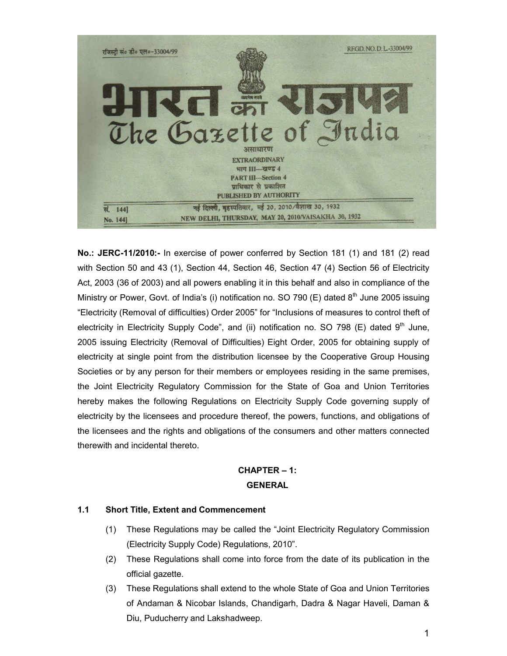

**No.: JERC-11/2010:-** In exercise of power conferred by Section 181 (1) and 181 (2) read with Section 50 and 43 (1), Section 44, Section 46, Section 47 (4) Section 56 of Electricity Act, 2003 (36 of 2003) and all powers enabling it in this behalf and also in compliance of the Ministry or Power, Govt. of India's (i) notification no. SO 790 (E) dated  $8<sup>th</sup>$  June 2005 issuing "Electricity (Removal of difficulties) Order 2005" for "Inclusions of measures to control theft of electricity in Electricity Supply Code", and (ii) notification no. SO 798 (E) dated  $9<sup>th</sup>$  June, 2005 issuing Electricity (Removal of Difficulties) Eight Order, 2005 for obtaining supply of electricity at single point from the distribution licensee by the Cooperative Group Housing Societies or by any person for their members or employees residing in the same premises, the Joint Electricity Regulatory Commission for the State of Goa and Union Territories hereby makes the following Regulations on Electricity Supply Code governing supply of electricity by the licensees and procedure thereof, the powers, functions, and obligations of the licensees and the rights and obligations of the consumers and other matters connected therewith and incidental thereto.

# **CHAPTER – 1: GENERAL**

# **1.1 Short Title, Extent and Commencement**

- (1) These Regulations may be called the "Joint Electricity Regulatory Commission (Electricity Supply Code) Regulations, 2010".
- (2) These Regulations shall come into force from the date of its publication in the official gazette.
- (3) These Regulations shall extend to the whole State of Goa and Union Territories of Andaman & Nicobar Islands, Chandigarh, Dadra & Nagar Haveli, Daman & Diu, Puducherry and Lakshadweep.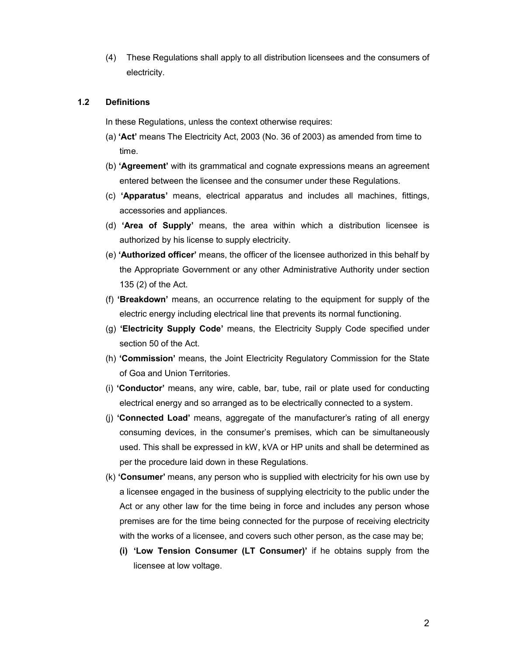(4) These Regulations shall apply to all distribution licensees and the consumers of electricity.

### **1.2 Definitions**

In these Regulations, unless the context otherwise requires:

- (a) **'Act'** means The Electricity Act, 2003 (No. 36 of 2003) as amended from time to time.
- (b) **'Agreement'** with its grammatical and cognate expressions means an agreement entered between the licensee and the consumer under these Regulations.
- (c) **'Apparatus'** means, electrical apparatus and includes all machines, fittings, accessories and appliances.
- (d) **'Area of Supply'** means, the area within which a distribution licensee is authorized by his license to supply electricity.
- (e) **'Authorized officer'** means, the officer of the licensee authorized in this behalf by the Appropriate Government or any other Administrative Authority under section 135 (2) of the Act.
- (f) **'Breakdown'** means, an occurrence relating to the equipment for supply of the electric energy including electrical line that prevents its normal functioning.
- (g) **'Electricity Supply Code'** means, the Electricity Supply Code specified under section 50 of the Act.
- (h) **'Commission'** means, the Joint Electricity Regulatory Commission for the State of Goa and Union Territories.
- (i) **'Conductor'** means, any wire, cable, bar, tube, rail or plate used for conducting electrical energy and so arranged as to be electrically connected to a system.
- (j) **'Connected Load'** means, aggregate of the manufacturer's rating of all energy consuming devices, in the consumer's premises, which can be simultaneously used. This shall be expressed in kW, kVA or HP units and shall be determined as per the procedure laid down in these Regulations.
- (k) **'Consumer'** means, any person who is supplied with electricity for his own use by a licensee engaged in the business of supplying electricity to the public under the Act or any other law for the time being in force and includes any person whose premises are for the time being connected for the purpose of receiving electricity with the works of a licensee, and covers such other person, as the case may be;
	- **(i) 'Low Tension Consumer (LT Consumer)'** if he obtains supply from the licensee at low voltage.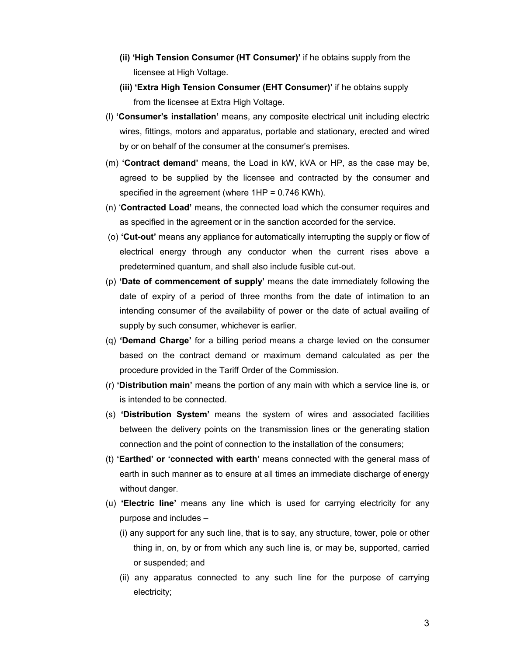- **(ii) 'High Tension Consumer (HT Consumer)'** if he obtains supply from the licensee at High Voltage.
- **(iii) 'Extra High Tension Consumer (EHT Consumer)'** if he obtains supply from the licensee at Extra High Voltage.
- (l) **'Consumer's installation'** means, any composite electrical unit including electric wires, fittings, motors and apparatus, portable and stationary, erected and wired by or on behalf of the consumer at the consumer's premises.
- (m) **'Contract demand'** means, the Load in kW, kVA or HP, as the case may be, agreed to be supplied by the licensee and contracted by the consumer and specified in the agreement (where 1HP = 0.746 KWh).
- (n) '**Contracted Load'** means, the connected load which the consumer requires and as specified in the agreement or in the sanction accorded for the service.
- (o) **'Cut-out'** means any appliance for automatically interrupting the supply or flow of electrical energy through any conductor when the current rises above a predetermined quantum, and shall also include fusible cut-out.
- (p) **'Date of commencement of supply'** means the date immediately following the date of expiry of a period of three months from the date of intimation to an intending consumer of the availability of power or the date of actual availing of supply by such consumer, whichever is earlier.
- (q) **'Demand Charge'** for a billing period means a charge levied on the consumer based on the contract demand or maximum demand calculated as per the procedure provided in the Tariff Order of the Commission.
- (r) **'Distribution main'** means the portion of any main with which a service line is, or is intended to be connected.
- (s) **'Distribution System'** means the system of wires and associated facilities between the delivery points on the transmission lines or the generating station connection and the point of connection to the installation of the consumers;
- (t) **'Earthed' or 'connected with earth'** means connected with the general mass of earth in such manner as to ensure at all times an immediate discharge of energy without danger.
- (u) **'Electric line'** means any line which is used for carrying electricity for any purpose and includes –
	- (i) any support for any such line, that is to say, any structure, tower, pole or other thing in, on, by or from which any such line is, or may be, supported, carried or suspended; and
	- (ii) any apparatus connected to any such line for the purpose of carrying electricity;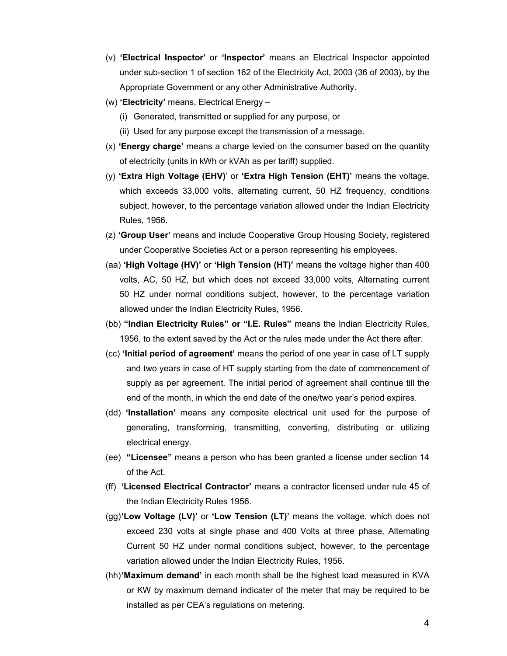- (v) **'Electrical Inspector'** or **'Inspector'** means an Electrical Inspector appointed under sub-section 1 of section 162 of the Electricity Act, 2003 (36 of 2003), by the Appropriate Government or any other Administrative Authority.
- (w) **'Electricity'** means, Electrical Energy
	- (i) Generated, transmitted or supplied for any purpose, or
	- (ii) Used for any purpose except the transmission of a message.
- (x) **'Energy charge'** means a charge levied on the consumer based on the quantity of electricity (units in kWh or kVAh as per tariff) supplied.
- (y) **'Extra High Voltage (EHV)**' or **'Extra High Tension (EHT)'** means the voltage, which exceeds 33,000 volts, alternating current, 50 HZ frequency, conditions subject, however, to the percentage variation allowed under the Indian Electricity Rules, 1956.
- (z) **'Group User'** means and include Cooperative Group Housing Society, registered under Cooperative Societies Act or a person representing his employees.
- (aa) **'High Voltage (HV)'** or **'High Tension (HT)'** means the voltage higher than 400 volts, AC, 50 HZ, but which does not exceed 33,000 volts, Alternating current 50 HZ under normal conditions subject, however, to the percentage variation allowed under the Indian Electricity Rules, 1956.
- (bb) **"Indian Electricity Rules" or "I.E. Rules"** means the Indian Electricity Rules, 1956, to the extent saved by the Act or the rules made under the Act there after.
- (cc) **'Initial period of agreement'** means the period of one year in case of LT supply and two years in case of HT supply starting from the date of commencement of supply as per agreement. The initial period of agreement shall continue till the end of the month, in which the end date of the one/two year's period expires.
- (dd) **'Installation'** means any composite electrical unit used for the purpose of generating, transforming, transmitting, converting, distributing or utilizing electrical energy.
- (ee) **"Licensee"** means a person who has been granted a license under section 14 of the Act.
- (ff) **'Licensed Electrical Contractor'** means a contractor licensed under rule 45 of the Indian Electricity Rules 1956.
- (gg)**'Low Voltage (LV)'** or **'Low Tension (LT)'** means the voltage, which does not exceed 230 volts at single phase and 400 Volts at three phase, Alternating Current 50 HZ under normal conditions subject, however, to the percentage variation allowed under the Indian Electricity Rules, 1956.
- (hh)**'Maximum demand'** in each month shall be the highest load measured in KVA or KW by maximum demand indicater of the meter that may be required to be installed as per CEA's regulations on metering.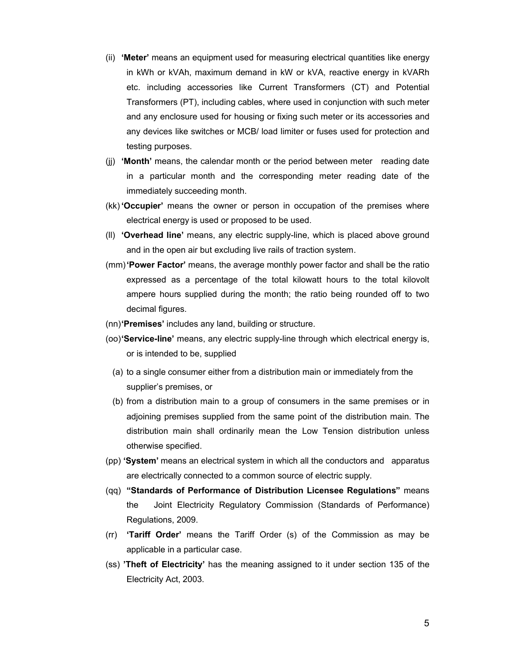- (ii) **'Meter'** means an equipment used for measuring electrical quantities like energy in kWh or kVAh, maximum demand in kW or kVA, reactive energy in kVARh etc. including accessories like Current Transformers (CT) and Potential Transformers (PT), including cables, where used in conjunction with such meter and any enclosure used for housing or fixing such meter or its accessories and any devices like switches or MCB/ load limiter or fuses used for protection and testing purposes.
- (jj) **'Month'** means, the calendar month or the period between meter reading date in a particular month and the corresponding meter reading date of the immediately succeeding month.
- (kk) **'Occupier'** means the owner or person in occupation of the premises where electrical energy is used or proposed to be used.
- (ll) **'Overhead line'** means, any electric supply-line, which is placed above ground and in the open air but excluding live rails of traction system.
- (mm)**'Power Factor'** means, the average monthly power factor and shall be the ratio expressed as a percentage of the total kilowatt hours to the total kilovolt ampere hours supplied during the month; the ratio being rounded off to two decimal figures.
- (nn)**'Premises'** includes any land, building or structure.
- (oo)**'Service-line'** means, any electric supply-line through which electrical energy is, or is intended to be, supplied
	- (a) to a single consumer either from a distribution main or immediately from the supplier's premises, or
	- (b) from a distribution main to a group of consumers in the same premises or in adjoining premises supplied from the same point of the distribution main. The distribution main shall ordinarily mean the Low Tension distribution unless otherwise specified.
- (pp) **'System'** means an electrical system in which all the conductors and apparatus are electrically connected to a common source of electric supply.
- (qq) **"Standards of Performance of Distribution Licensee Regulations"** means the Joint Electricity Regulatory Commission (Standards of Performance) Regulations, 2009.
- (rr) **'Tariff Order'** means the Tariff Order (s) of the Commission as may be applicable in a particular case.
- (ss) **'Theft of Electricity'** has the meaning assigned to it under section 135 of the Electricity Act, 2003.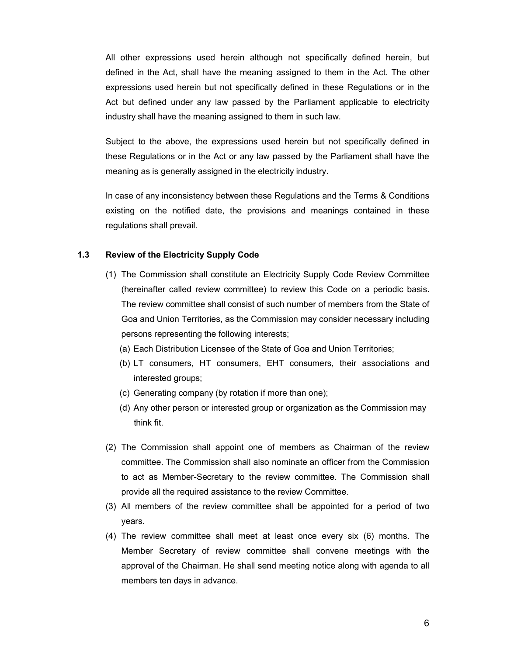All other expressions used herein although not specifically defined herein, but defined in the Act, shall have the meaning assigned to them in the Act. The other expressions used herein but not specifically defined in these Regulations or in the Act but defined under any law passed by the Parliament applicable to electricity industry shall have the meaning assigned to them in such law.

Subject to the above, the expressions used herein but not specifically defined in these Regulations or in the Act or any law passed by the Parliament shall have the meaning as is generally assigned in the electricity industry.

In case of any inconsistency between these Regulations and the Terms & Conditions existing on the notified date, the provisions and meanings contained in these regulations shall prevail.

# **1.3 Review of the Electricity Supply Code**

- (1) The Commission shall constitute an Electricity Supply Code Review Committee (hereinafter called review committee) to review this Code on a periodic basis. The review committee shall consist of such number of members from the State of Goa and Union Territories, as the Commission may consider necessary including persons representing the following interests;
	- (a) Each Distribution Licensee of the State of Goa and Union Territories;
	- (b) LT consumers, HT consumers, EHT consumers, their associations and interested groups;
	- (c) Generating company (by rotation if more than one);
	- (d) Any other person or interested group or organization as the Commission may think fit.
- (2) The Commission shall appoint one of members as Chairman of the review committee. The Commission shall also nominate an officer from the Commission to act as Member-Secretary to the review committee. The Commission shall provide all the required assistance to the review Committee.
- (3) All members of the review committee shall be appointed for a period of two years.
- (4) The review committee shall meet at least once every six (6) months. The Member Secretary of review committee shall convene meetings with the approval of the Chairman. He shall send meeting notice along with agenda to all members ten days in advance.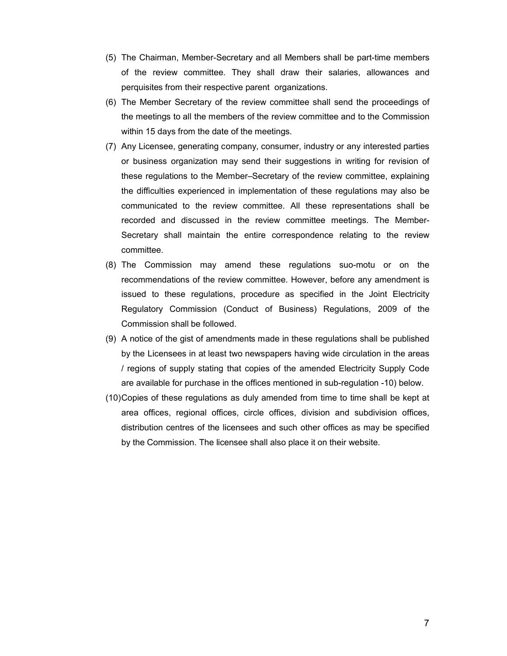- (5) The Chairman, Member-Secretary and all Members shall be part-time members of the review committee. They shall draw their salaries, allowances and perquisites from their respective parent organizations.
- (6) The Member Secretary of the review committee shall send the proceedings of the meetings to all the members of the review committee and to the Commission within 15 days from the date of the meetings.
- (7) Any Licensee, generating company, consumer, industry or any interested parties or business organization may send their suggestions in writing for revision of these regulations to the Member–Secretary of the review committee, explaining the difficulties experienced in implementation of these regulations may also be communicated to the review committee. All these representations shall be recorded and discussed in the review committee meetings. The Member-Secretary shall maintain the entire correspondence relating to the review committee.
- (8) The Commission may amend these regulations suo-motu or on the recommendations of the review committee. However, before any amendment is issued to these regulations, procedure as specified in the Joint Electricity Regulatory Commission (Conduct of Business) Regulations, 2009 of the Commission shall be followed.
- (9) A notice of the gist of amendments made in these regulations shall be published by the Licensees in at least two newspapers having wide circulation in the areas / regions of supply stating that copies of the amended Electricity Supply Code are available for purchase in the offices mentioned in sub-regulation -10) below.
- (10)Copies of these regulations as duly amended from time to time shall be kept at area offices, regional offices, circle offices, division and subdivision offices, distribution centres of the licensees and such other offices as may be specified by the Commission. The licensee shall also place it on their website.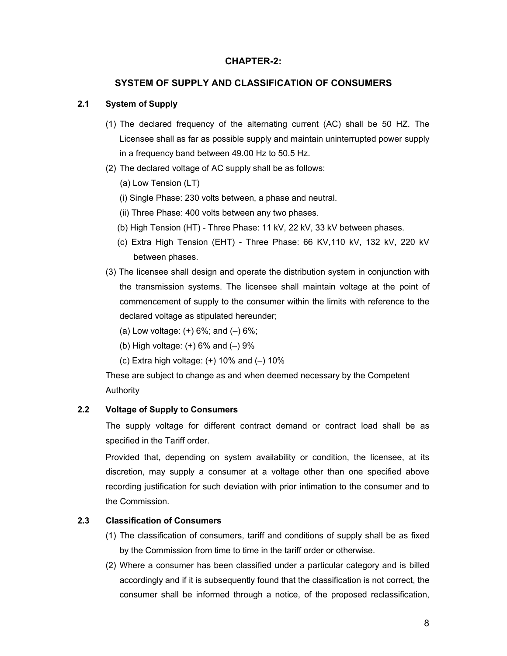# **CHAPTER-2:**

### **SYSTEM OF SUPPLY AND CLASSIFICATION OF CONSUMERS**

### **2.1 System of Supply**

- (1) The declared frequency of the alternating current (AC) shall be 50 HZ. The Licensee shall as far as possible supply and maintain uninterrupted power supply in a frequency band between 49.00 Hz to 50.5 Hz.
- (2) The declared voltage of AC supply shall be as follows:
	- (a) Low Tension (LT)
	- (i) Single Phase: 230 volts between, a phase and neutral.
	- (ii) Three Phase: 400 volts between any two phases.
	- (b) High Tension (HT) Three Phase: 11 kV, 22 kV, 33 kV between phases.
	- (c) Extra High Tension (EHT) Three Phase: 66 KV,110 kV, 132 kV, 220 kV between phases.
- (3) The licensee shall design and operate the distribution system in conjunction with the transmission systems. The licensee shall maintain voltage at the point of commencement of supply to the consumer within the limits with reference to the declared voltage as stipulated hereunder;
	- (a) Low voltage:  $(+)$  6%; and  $(-)$  6%;
	- (b) High voltage:  $(+)$  6% and  $(-)$  9%
	- (c) Extra high voltage:  $(+)$  10% and  $(-)$  10%

These are subject to change as and when deemed necessary by the Competent Authority

### **2.2 Voltage of Supply to Consumers**

The supply voltage for different contract demand or contract load shall be as specified in the Tariff order.

Provided that, depending on system availability or condition, the licensee, at its discretion, may supply a consumer at a voltage other than one specified above recording justification for such deviation with prior intimation to the consumer and to the Commission.

# **2.3 Classification of Consumers**

- (1) The classification of consumers, tariff and conditions of supply shall be as fixed by the Commission from time to time in the tariff order or otherwise.
- (2) Where a consumer has been classified under a particular category and is billed accordingly and if it is subsequently found that the classification is not correct, the consumer shall be informed through a notice, of the proposed reclassification,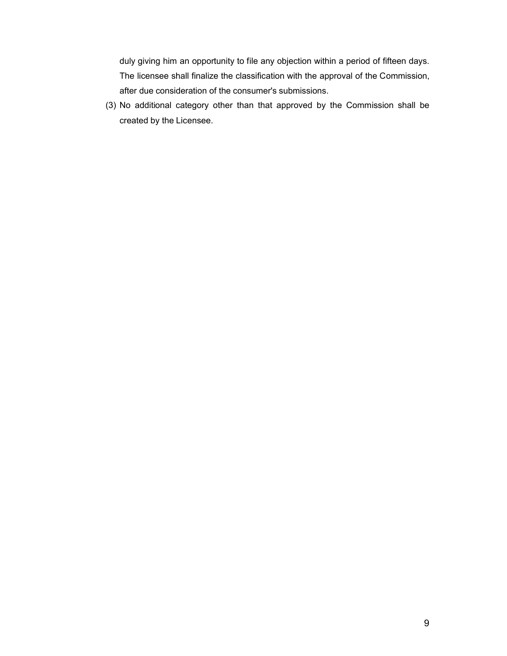duly giving him an opportunity to file any objection within a period of fifteen days. The licensee shall finalize the classification with the approval of the Commission, after due consideration of the consumer's submissions.

(3) No additional category other than that approved by the Commission shall be created by the Licensee.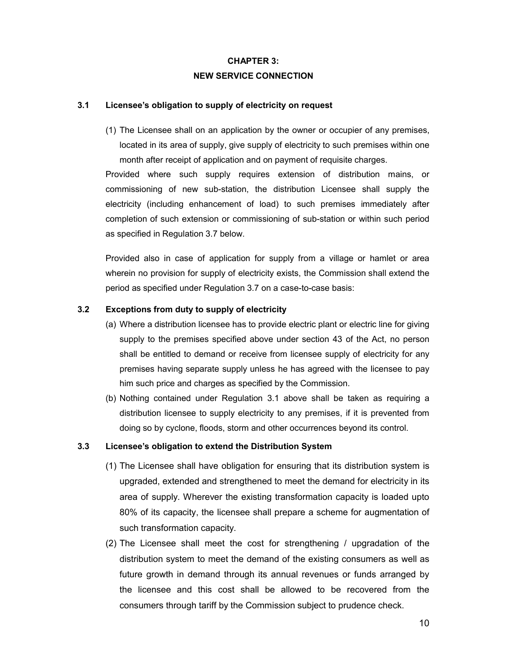# **CHAPTER 3: NEW SERVICE CONNECTION**

### **3.1 Licensee's obligation to supply of electricity on request**

(1) The Licensee shall on an application by the owner or occupier of any premises, located in its area of supply, give supply of electricity to such premises within one month after receipt of application and on payment of requisite charges.

Provided where such supply requires extension of distribution mains, or commissioning of new sub-station, the distribution Licensee shall supply the electricity (including enhancement of load) to such premises immediately after completion of such extension or commissioning of sub-station or within such period as specified in Regulation 3.7 below.

Provided also in case of application for supply from a village or hamlet or area wherein no provision for supply of electricity exists, the Commission shall extend the period as specified under Regulation 3.7 on a case-to-case basis:

# **3.2 Exceptions from duty to supply of electricity**

- (a) Where a distribution licensee has to provide electric plant or electric line for giving supply to the premises specified above under section 43 of the Act, no person shall be entitled to demand or receive from licensee supply of electricity for any premises having separate supply unless he has agreed with the licensee to pay him such price and charges as specified by the Commission.
- (b) Nothing contained under Regulation 3.1 above shall be taken as requiring a distribution licensee to supply electricity to any premises, if it is prevented from doing so by cyclone, floods, storm and other occurrences beyond its control.

# **3.3 Licensee's obligation to extend the Distribution System**

- (1) The Licensee shall have obligation for ensuring that its distribution system is upgraded, extended and strengthened to meet the demand for electricity in its area of supply. Wherever the existing transformation capacity is loaded upto 80% of its capacity, the licensee shall prepare a scheme for augmentation of such transformation capacity.
- (2) The Licensee shall meet the cost for strengthening / upgradation of the distribution system to meet the demand of the existing consumers as well as future growth in demand through its annual revenues or funds arranged by the licensee and this cost shall be allowed to be recovered from the consumers through tariff by the Commission subject to prudence check.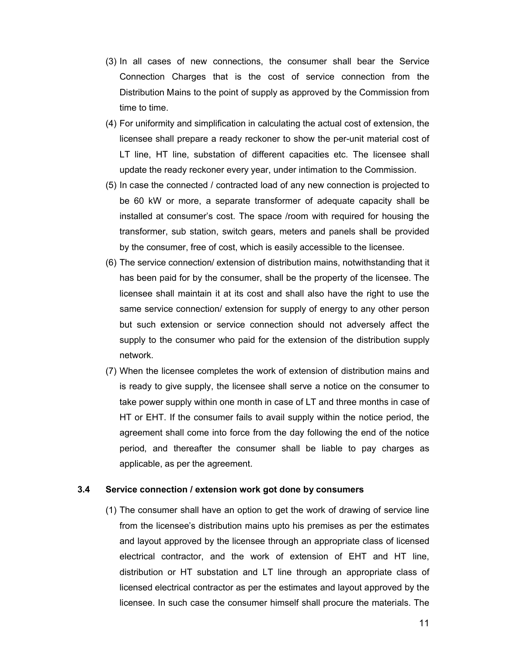- (3) In all cases of new connections, the consumer shall bear the Service Connection Charges that is the cost of service connection from the Distribution Mains to the point of supply as approved by the Commission from time to time.
- (4) For uniformity and simplification in calculating the actual cost of extension, the licensee shall prepare a ready reckoner to show the per-unit material cost of LT line, HT line, substation of different capacities etc. The licensee shall update the ready reckoner every year, under intimation to the Commission.
- (5) In case the connected / contracted load of any new connection is projected to be 60 kW or more, a separate transformer of adequate capacity shall be installed at consumer's cost. The space /room with required for housing the transformer, sub station, switch gears, meters and panels shall be provided by the consumer, free of cost, which is easily accessible to the licensee.
- (6) The service connection/ extension of distribution mains, notwithstanding that it has been paid for by the consumer, shall be the property of the licensee. The licensee shall maintain it at its cost and shall also have the right to use the same service connection/ extension for supply of energy to any other person but such extension or service connection should not adversely affect the supply to the consumer who paid for the extension of the distribution supply network.
- (7) When the licensee completes the work of extension of distribution mains and is ready to give supply, the licensee shall serve a notice on the consumer to take power supply within one month in case of LT and three months in case of HT or EHT. If the consumer fails to avail supply within the notice period, the agreement shall come into force from the day following the end of the notice period, and thereafter the consumer shall be liable to pay charges as applicable, as per the agreement.

# **3.4 Service connection / extension work got done by consumers**

(1) The consumer shall have an option to get the work of drawing of service line from the licensee's distribution mains upto his premises as per the estimates and layout approved by the licensee through an appropriate class of licensed electrical contractor, and the work of extension of EHT and HT line, distribution or HT substation and LT line through an appropriate class of licensed electrical contractor as per the estimates and layout approved by the licensee. In such case the consumer himself shall procure the materials. The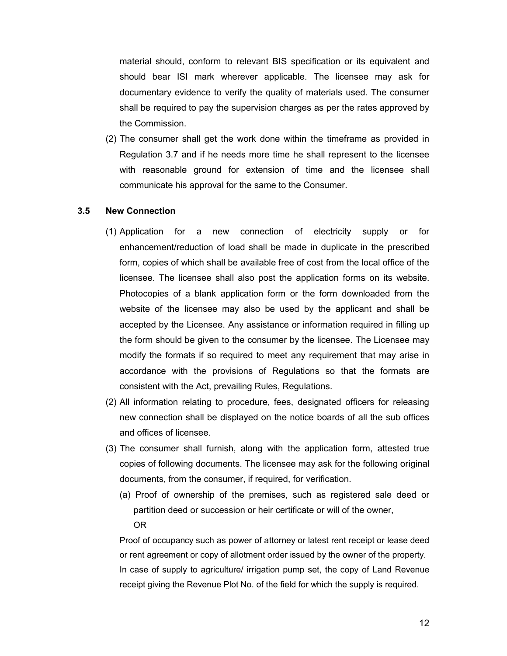material should, conform to relevant BIS specification or its equivalent and should bear ISI mark wherever applicable. The licensee may ask for documentary evidence to verify the quality of materials used. The consumer shall be required to pay the supervision charges as per the rates approved by the Commission.

(2) The consumer shall get the work done within the timeframe as provided in Regulation 3.7 and if he needs more time he shall represent to the licensee with reasonable ground for extension of time and the licensee shall communicate his approval for the same to the Consumer.

# **3.5 New Connection**

- (1) Application for a new connection of electricity supply or for enhancement/reduction of load shall be made in duplicate in the prescribed form, copies of which shall be available free of cost from the local office of the licensee. The licensee shall also post the application forms on its website. Photocopies of a blank application form or the form downloaded from the website of the licensee may also be used by the applicant and shall be accepted by the Licensee. Any assistance or information required in filling up the form should be given to the consumer by the licensee. The Licensee may modify the formats if so required to meet any requirement that may arise in accordance with the provisions of Regulations so that the formats are consistent with the Act, prevailing Rules, Regulations.
- (2) All information relating to procedure, fees, designated officers for releasing new connection shall be displayed on the notice boards of all the sub offices and offices of licensee.
- (3) The consumer shall furnish, along with the application form, attested true copies of following documents. The licensee may ask for the following original documents, from the consumer, if required, for verification.
	- (a) Proof of ownership of the premises, such as registered sale deed or partition deed or succession or heir certificate or will of the owner, OR

Proof of occupancy such as power of attorney or latest rent receipt or lease deed or rent agreement or copy of allotment order issued by the owner of the property. In case of supply to agriculture/ irrigation pump set, the copy of Land Revenue receipt giving the Revenue Plot No. of the field for which the supply is required.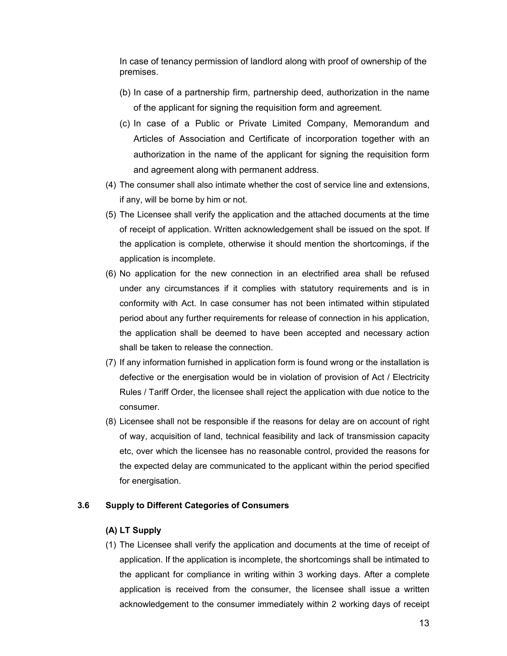In case of tenancy permission of landlord along with proof of ownership of the premises.

- (b) In case of a partnership firm, partnership deed, authorization in the name of the applicant for signing the requisition form and agreement.
- (c) In case of a Public or Private Limited Company, Memorandum and Articles of Association and Certificate of incorporation together with an authorization in the name of the applicant for signing the requisition form and agreement along with permanent address.
- (4) The consumer shall also intimate whether the cost of service line and extensions, if any, will be borne by him or not.
- (5) The Licensee shall verify the application and the attached documents at the time of receipt of application. Written acknowledgement shall be issued on the spot. If the application is complete, otherwise it should mention the shortcomings, if the application is incomplete.
- (6) No application for the new connection in an electrified area shall be refused under any circumstances if it complies with statutory requirements and is in conformity with Act. In case consumer has not been intimated within stipulated period about any further requirements for release of connection in his application, the application shall be deemed to have been accepted and necessary action shall be taken to release the connection.
- (7) If any information furnished in application form is found wrong or the installation is defective or the energisation would be in violation of provision of Act / Electricity Rules / Tariff Order, the licensee shall reject the application with due notice to the consumer.
- (8) Licensee shall not be responsible if the reasons for delay are on account of right of way, acquisition of land, technical feasibility and lack of transmission capacity etc, over which the licensee has no reasonable control, provided the reasons for the expected delay are communicated to the applicant within the period specified for energisation.

# **3.6 Supply to Different Categories of Consumers**

### **(A) LT Supply**

(1) The Licensee shall verify the application and documents at the time of receipt of application. If the application is incomplete, the shortcomings shall be intimated to the applicant for compliance in writing within 3 working days. After a complete application is received from the consumer, the licensee shall issue a written acknowledgement to the consumer immediately within 2 working days of receipt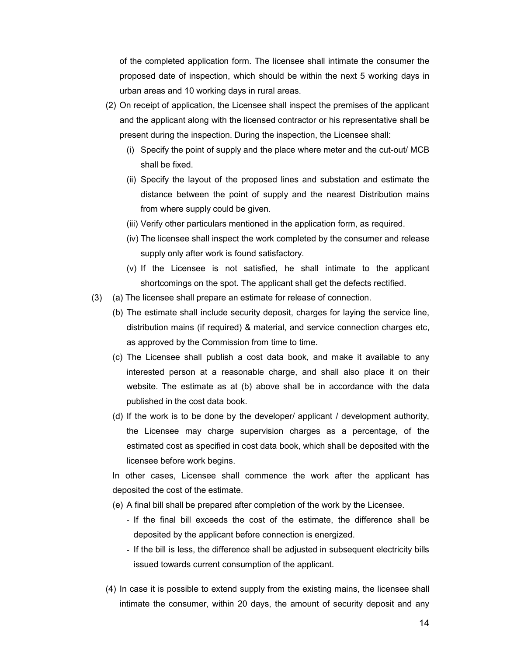of the completed application form. The licensee shall intimate the consumer the proposed date of inspection, which should be within the next 5 working days in urban areas and 10 working days in rural areas.

- (2) On receipt of application, the Licensee shall inspect the premises of the applicant and the applicant along with the licensed contractor or his representative shall be present during the inspection. During the inspection, the Licensee shall:
	- (i) Specify the point of supply and the place where meter and the cut-out/ MCB shall be fixed.
	- (ii) Specify the layout of the proposed lines and substation and estimate the distance between the point of supply and the nearest Distribution mains from where supply could be given.
	- (iii) Verify other particulars mentioned in the application form, as required.
	- (iv) The licensee shall inspect the work completed by the consumer and release supply only after work is found satisfactory.
	- (v) If the Licensee is not satisfied, he shall intimate to the applicant shortcomings on the spot. The applicant shall get the defects rectified.
- (3) (a) The licensee shall prepare an estimate for release of connection.
	- (b) The estimate shall include security deposit, charges for laying the service line, distribution mains (if required) & material, and service connection charges etc, as approved by the Commission from time to time.
	- (c) The Licensee shall publish a cost data book, and make it available to any interested person at a reasonable charge, and shall also place it on their website. The estimate as at (b) above shall be in accordance with the data published in the cost data book.
	- (d) If the work is to be done by the developer/ applicant / development authority, the Licensee may charge supervision charges as a percentage, of the estimated cost as specified in cost data book, which shall be deposited with the licensee before work begins.

In other cases, Licensee shall commence the work after the applicant has deposited the cost of the estimate.

- (e) A final bill shall be prepared after completion of the work by the Licensee.
	- If the final bill exceeds the cost of the estimate, the difference shall be deposited by the applicant before connection is energized.
	- If the bill is less, the difference shall be adjusted in subsequent electricity bills issued towards current consumption of the applicant.
- (4) In case it is possible to extend supply from the existing mains, the licensee shall intimate the consumer, within 20 days, the amount of security deposit and any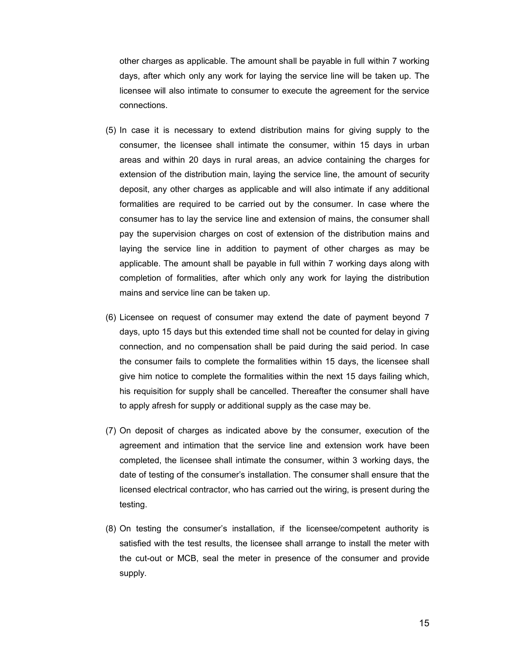other charges as applicable. The amount shall be payable in full within 7 working days, after which only any work for laying the service line will be taken up. The licensee will also intimate to consumer to execute the agreement for the service connections.

- (5) In case it is necessary to extend distribution mains for giving supply to the consumer, the licensee shall intimate the consumer, within 15 days in urban areas and within 20 days in rural areas, an advice containing the charges for extension of the distribution main, laying the service line, the amount of security deposit, any other charges as applicable and will also intimate if any additional formalities are required to be carried out by the consumer. In case where the consumer has to lay the service line and extension of mains, the consumer shall pay the supervision charges on cost of extension of the distribution mains and laying the service line in addition to payment of other charges as may be applicable. The amount shall be payable in full within 7 working days along with completion of formalities, after which only any work for laying the distribution mains and service line can be taken up.
- (6) Licensee on request of consumer may extend the date of payment beyond 7 days, upto 15 days but this extended time shall not be counted for delay in giving connection, and no compensation shall be paid during the said period. In case the consumer fails to complete the formalities within 15 days, the licensee shall give him notice to complete the formalities within the next 15 days failing which, his requisition for supply shall be cancelled. Thereafter the consumer shall have to apply afresh for supply or additional supply as the case may be.
- (7) On deposit of charges as indicated above by the consumer, execution of the agreement and intimation that the service line and extension work have been completed, the licensee shall intimate the consumer, within 3 working days, the date of testing of the consumer's installation. The consumer shall ensure that the licensed electrical contractor, who has carried out the wiring, is present during the testing.
- (8) On testing the consumer's installation, if the licensee/competent authority is satisfied with the test results, the licensee shall arrange to install the meter with the cut-out or MCB, seal the meter in presence of the consumer and provide supply.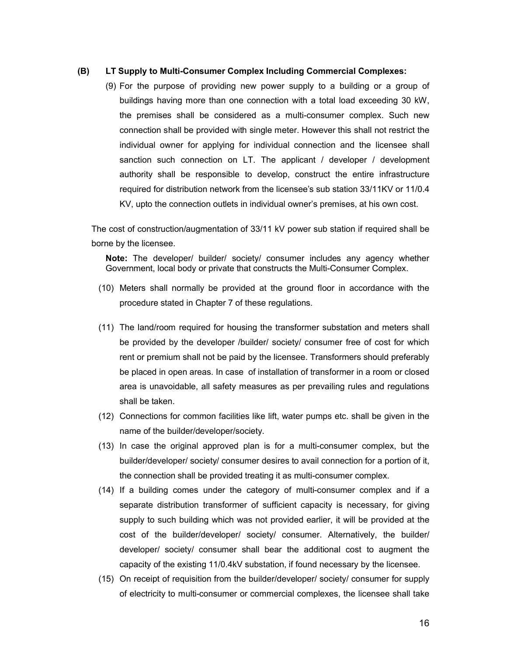### **(B) LT Supply to Multi-Consumer Complex Including Commercial Complexes:**

(9) For the purpose of providing new power supply to a building or a group of buildings having more than one connection with a total load exceeding 30 kW, the premises shall be considered as a multi-consumer complex. Such new connection shall be provided with single meter. However this shall not restrict the individual owner for applying for individual connection and the licensee shall sanction such connection on LT. The applicant  $/$  developer  $/$  development authority shall be responsible to develop, construct the entire infrastructure required for distribution network from the licensee's sub station 33/11KV or 11/0.4 KV, upto the connection outlets in individual owner's premises, at his own cost.

The cost of construction/augmentation of 33/11 kV power sub station if required shall be borne by the licensee.

**Note:** The developer/ builder/ society/ consumer includes any agency whether Government, local body or private that constructs the Multi-Consumer Complex.

- (10) Meters shall normally be provided at the ground floor in accordance with the procedure stated in Chapter 7 of these regulations.
- (11) The land/room required for housing the transformer substation and meters shall be provided by the developer /builder/ society/ consumer free of cost for which rent or premium shall not be paid by the licensee. Transformers should preferably be placed in open areas. In case of installation of transformer in a room or closed area is unavoidable, all safety measures as per prevailing rules and regulations shall be taken.
- (12) Connections for common facilities like lift, water pumps etc. shall be given in the name of the builder/developer/society.
- (13) In case the original approved plan is for a multi-consumer complex, but the builder/developer/ society/ consumer desires to avail connection for a portion of it, the connection shall be provided treating it as multi-consumer complex.
- (14) If a building comes under the category of multi-consumer complex and if a separate distribution transformer of sufficient capacity is necessary, for giving supply to such building which was not provided earlier, it will be provided at the cost of the builder/developer/ society/ consumer. Alternatively, the builder/ developer/ society/ consumer shall bear the additional cost to augment the capacity of the existing 11/0.4kV substation, if found necessary by the licensee.
- (15) On receipt of requisition from the builder/developer/ society/ consumer for supply of electricity to multi-consumer or commercial complexes, the licensee shall take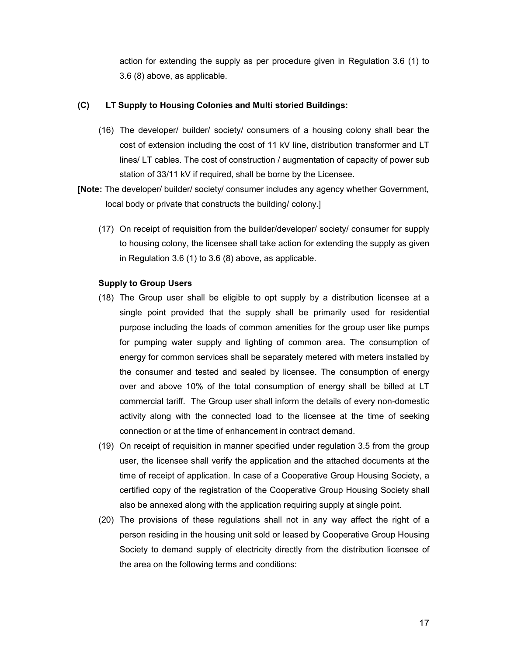action for extending the supply as per procedure given in Regulation 3.6 (1) to 3.6 (8) above, as applicable.

# **(C) LT Supply to Housing Colonies and Multi storied Buildings:**

- (16) The developer/ builder/ society/ consumers of a housing colony shall bear the cost of extension including the cost of 11 kV line, distribution transformer and LT lines/ LT cables. The cost of construction / augmentation of capacity of power sub station of 33/11 kV if required, shall be borne by the Licensee.
- **[Note:** The developer/ builder/ society/ consumer includes any agency whether Government, local body or private that constructs the building/ colony.]
	- (17) On receipt of requisition from the builder/developer/ society/ consumer for supply to housing colony, the licensee shall take action for extending the supply as given in Regulation 3.6 (1) to 3.6 (8) above, as applicable.

# **Supply to Group Users**

- (18) The Group user shall be eligible to opt supply by a distribution licensee at a single point provided that the supply shall be primarily used for residential purpose including the loads of common amenities for the group user like pumps for pumping water supply and lighting of common area. The consumption of energy for common services shall be separately metered with meters installed by the consumer and tested and sealed by licensee. The consumption of energy over and above 10% of the total consumption of energy shall be billed at LT commercial tariff. The Group user shall inform the details of every non-domestic activity along with the connected load to the licensee at the time of seeking connection or at the time of enhancement in contract demand.
- (19) On receipt of requisition in manner specified under regulation 3.5 from the group user, the licensee shall verify the application and the attached documents at the time of receipt of application. In case of a Cooperative Group Housing Society, a certified copy of the registration of the Cooperative Group Housing Society shall also be annexed along with the application requiring supply at single point.
- (20) The provisions of these regulations shall not in any way affect the right of a person residing in the housing unit sold or leased by Cooperative Group Housing Society to demand supply of electricity directly from the distribution licensee of the area on the following terms and conditions: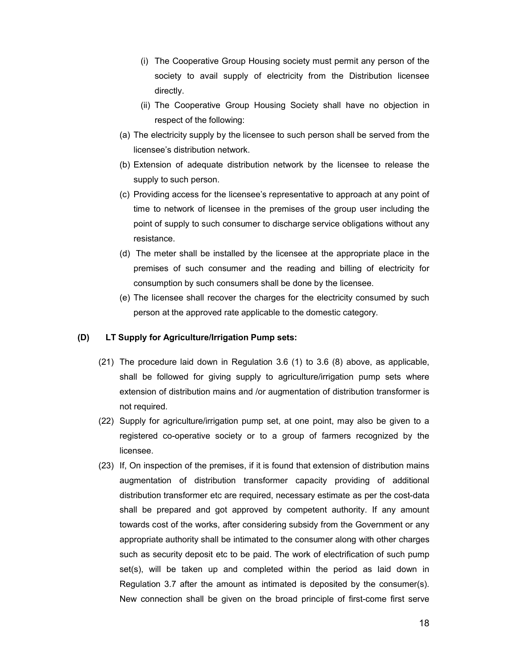- (i) The Cooperative Group Housing society must permit any person of the society to avail supply of electricity from the Distribution licensee directly.
- (ii) The Cooperative Group Housing Society shall have no objection in respect of the following:
- (a) The electricity supply by the licensee to such person shall be served from the licensee's distribution network.
- (b) Extension of adequate distribution network by the licensee to release the supply to such person.
- (c) Providing access for the licensee's representative to approach at any point of time to network of licensee in the premises of the group user including the point of supply to such consumer to discharge service obligations without any resistance.
- (d) The meter shall be installed by the licensee at the appropriate place in the premises of such consumer and the reading and billing of electricity for consumption by such consumers shall be done by the licensee.
- (e) The licensee shall recover the charges for the electricity consumed by such person at the approved rate applicable to the domestic category.

# **(D) LT Supply for Agriculture/Irrigation Pump sets:**

- (21) The procedure laid down in Regulation 3.6 (1) to 3.6 (8) above, as applicable, shall be followed for giving supply to agriculture/irrigation pump sets where extension of distribution mains and /or augmentation of distribution transformer is not required.
- (22) Supply for agriculture/irrigation pump set, at one point, may also be given to a registered co-operative society or to a group of farmers recognized by the licensee.
- (23) If, On inspection of the premises, if it is found that extension of distribution mains augmentation of distribution transformer capacity providing of additional distribution transformer etc are required, necessary estimate as per the cost-data shall be prepared and got approved by competent authority. If any amount towards cost of the works, after considering subsidy from the Government or any appropriate authority shall be intimated to the consumer along with other charges such as security deposit etc to be paid. The work of electrification of such pump set(s), will be taken up and completed within the period as laid down in Regulation 3.7 after the amount as intimated is deposited by the consumer(s). New connection shall be given on the broad principle of first-come first serve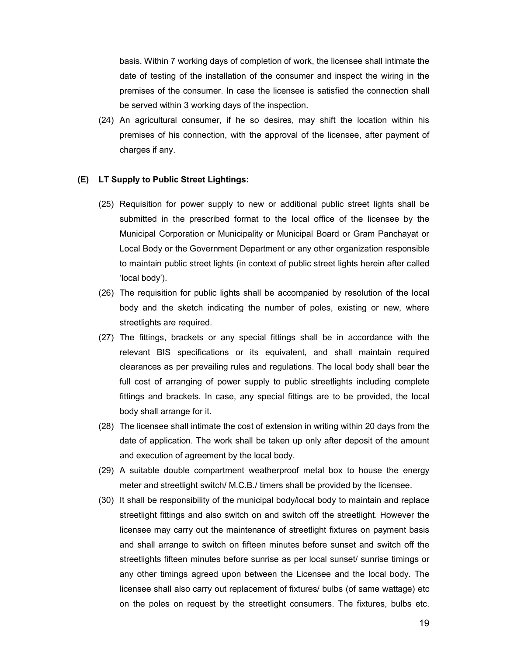basis. Within 7 working days of completion of work, the licensee shall intimate the date of testing of the installation of the consumer and inspect the wiring in the premises of the consumer. In case the licensee is satisfied the connection shall be served within 3 working days of the inspection.

(24) An agricultural consumer, if he so desires, may shift the location within his premises of his connection, with the approval of the licensee, after payment of charges if any.

### **(E) LT Supply to Public Street Lightings:**

- (25) Requisition for power supply to new or additional public street lights shall be submitted in the prescribed format to the local office of the licensee by the Municipal Corporation or Municipality or Municipal Board or Gram Panchayat or Local Body or the Government Department or any other organization responsible to maintain public street lights (in context of public street lights herein after called 'local body').
- (26) The requisition for public lights shall be accompanied by resolution of the local body and the sketch indicating the number of poles, existing or new, where streetlights are required.
- (27) The fittings, brackets or any special fittings shall be in accordance with the relevant BIS specifications or its equivalent, and shall maintain required clearances as per prevailing rules and regulations. The local body shall bear the full cost of arranging of power supply to public streetlights including complete fittings and brackets. In case, any special fittings are to be provided, the local body shall arrange for it.
- (28) The licensee shall intimate the cost of extension in writing within 20 days from the date of application. The work shall be taken up only after deposit of the amount and execution of agreement by the local body.
- (29) A suitable double compartment weatherproof metal box to house the energy meter and streetlight switch/ M.C.B./ timers shall be provided by the licensee.
- (30) It shall be responsibility of the municipal body/local body to maintain and replace streetlight fittings and also switch on and switch off the streetlight. However the licensee may carry out the maintenance of streetlight fixtures on payment basis and shall arrange to switch on fifteen minutes before sunset and switch off the streetlights fifteen minutes before sunrise as per local sunset/ sunrise timings or any other timings agreed upon between the Licensee and the local body. The licensee shall also carry out replacement of fixtures/ bulbs (of same wattage) etc on the poles on request by the streetlight consumers. The fixtures, bulbs etc.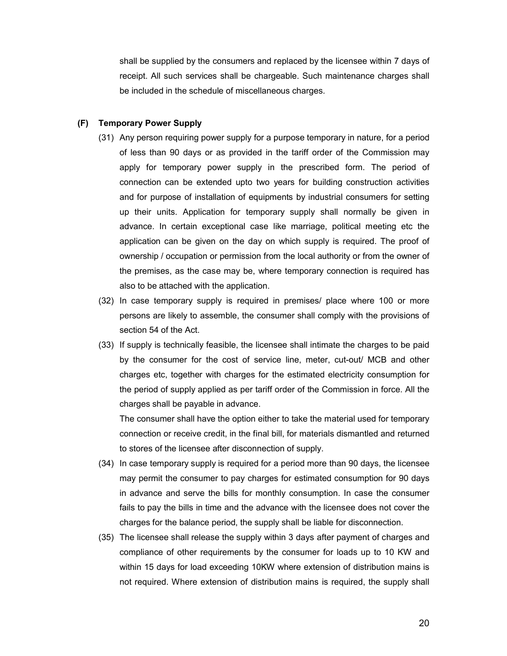shall be supplied by the consumers and replaced by the licensee within 7 days of receipt. All such services shall be chargeable. Such maintenance charges shall be included in the schedule of miscellaneous charges.

### **(F) Temporary Power Supply**

- (31) Any person requiring power supply for a purpose temporary in nature, for a period of less than 90 days or as provided in the tariff order of the Commission may apply for temporary power supply in the prescribed form. The period of connection can be extended upto two years for building construction activities and for purpose of installation of equipments by industrial consumers for setting up their units. Application for temporary supply shall normally be given in advance. In certain exceptional case like marriage, political meeting etc the application can be given on the day on which supply is required. The proof of ownership / occupation or permission from the local authority or from the owner of the premises, as the case may be, where temporary connection is required has also to be attached with the application.
- (32) In case temporary supply is required in premises/ place where 100 or more persons are likely to assemble, the consumer shall comply with the provisions of section 54 of the Act.
- (33) If supply is technically feasible, the licensee shall intimate the charges to be paid by the consumer for the cost of service line, meter, cut-out/ MCB and other charges etc, together with charges for the estimated electricity consumption for the period of supply applied as per tariff order of the Commission in force. All the charges shall be payable in advance.

The consumer shall have the option either to take the material used for temporary connection or receive credit, in the final bill, for materials dismantled and returned to stores of the licensee after disconnection of supply.

- (34) In case temporary supply is required for a period more than 90 days, the licensee may permit the consumer to pay charges for estimated consumption for 90 days in advance and serve the bills for monthly consumption. In case the consumer fails to pay the bills in time and the advance with the licensee does not cover the charges for the balance period, the supply shall be liable for disconnection.
- (35) The licensee shall release the supply within 3 days after payment of charges and compliance of other requirements by the consumer for loads up to 10 KW and within 15 days for load exceeding 10KW where extension of distribution mains is not required. Where extension of distribution mains is required, the supply shall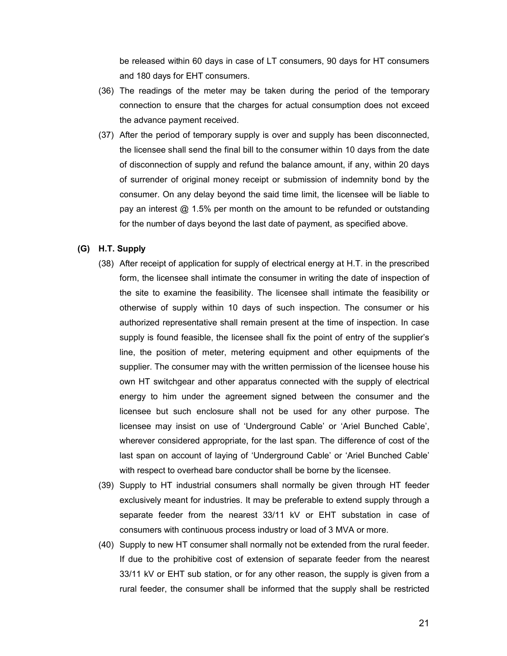be released within 60 days in case of LT consumers, 90 days for HT consumers and 180 days for EHT consumers.

- (36) The readings of the meter may be taken during the period of the temporary connection to ensure that the charges for actual consumption does not exceed the advance payment received.
- (37) After the period of temporary supply is over and supply has been disconnected, the licensee shall send the final bill to the consumer within 10 days from the date of disconnection of supply and refund the balance amount, if any, within 20 days of surrender of original money receipt or submission of indemnity bond by the consumer. On any delay beyond the said time limit, the licensee will be liable to pay an interest @ 1.5% per month on the amount to be refunded or outstanding for the number of days beyond the last date of payment, as specified above.

### **(G) H.T. Supply**

- (38) After receipt of application for supply of electrical energy at H.T. in the prescribed form, the licensee shall intimate the consumer in writing the date of inspection of the site to examine the feasibility. The licensee shall intimate the feasibility or otherwise of supply within 10 days of such inspection. The consumer or his authorized representative shall remain present at the time of inspection. In case supply is found feasible, the licensee shall fix the point of entry of the supplier's line, the position of meter, metering equipment and other equipments of the supplier. The consumer may with the written permission of the licensee house his own HT switchgear and other apparatus connected with the supply of electrical energy to him under the agreement signed between the consumer and the licensee but such enclosure shall not be used for any other purpose. The licensee may insist on use of 'Underground Cable' or 'Ariel Bunched Cable', wherever considered appropriate, for the last span. The difference of cost of the last span on account of laying of 'Underground Cable' or 'Ariel Bunched Cable' with respect to overhead bare conductor shall be borne by the licensee.
- (39) Supply to HT industrial consumers shall normally be given through HT feeder exclusively meant for industries. It may be preferable to extend supply through a separate feeder from the nearest 33/11 kV or EHT substation in case of consumers with continuous process industry or load of 3 MVA or more.
- (40) Supply to new HT consumer shall normally not be extended from the rural feeder. If due to the prohibitive cost of extension of separate feeder from the nearest 33/11 kV or EHT sub station, or for any other reason, the supply is given from a rural feeder, the consumer shall be informed that the supply shall be restricted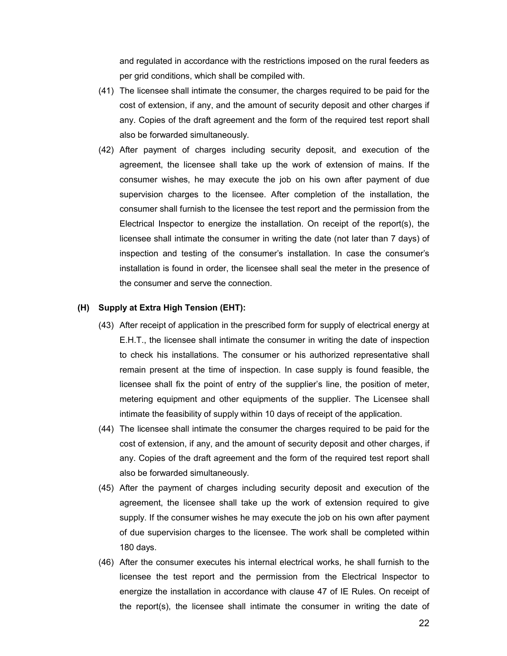and regulated in accordance with the restrictions imposed on the rural feeders as per grid conditions, which shall be compiled with.

- (41) The licensee shall intimate the consumer, the charges required to be paid for the cost of extension, if any, and the amount of security deposit and other charges if any. Copies of the draft agreement and the form of the required test report shall also be forwarded simultaneously.
- (42) After payment of charges including security deposit, and execution of the agreement, the licensee shall take up the work of extension of mains. If the consumer wishes, he may execute the job on his own after payment of due supervision charges to the licensee. After completion of the installation, the consumer shall furnish to the licensee the test report and the permission from the Electrical Inspector to energize the installation. On receipt of the report(s), the licensee shall intimate the consumer in writing the date (not later than 7 days) of inspection and testing of the consumer's installation. In case the consumer's installation is found in order, the licensee shall seal the meter in the presence of the consumer and serve the connection.

### **(H) Supply at Extra High Tension (EHT):**

- (43) After receipt of application in the prescribed form for supply of electrical energy at E.H.T., the licensee shall intimate the consumer in writing the date of inspection to check his installations. The consumer or his authorized representative shall remain present at the time of inspection. In case supply is found feasible, the licensee shall fix the point of entry of the supplier's line, the position of meter, metering equipment and other equipments of the supplier. The Licensee shall intimate the feasibility of supply within 10 days of receipt of the application.
- (44) The licensee shall intimate the consumer the charges required to be paid for the cost of extension, if any, and the amount of security deposit and other charges, if any. Copies of the draft agreement and the form of the required test report shall also be forwarded simultaneously.
- (45) After the payment of charges including security deposit and execution of the agreement, the licensee shall take up the work of extension required to give supply. If the consumer wishes he may execute the job on his own after payment of due supervision charges to the licensee. The work shall be completed within 180 days.
- (46) After the consumer executes his internal electrical works, he shall furnish to the licensee the test report and the permission from the Electrical Inspector to energize the installation in accordance with clause 47 of IE Rules. On receipt of the report(s), the licensee shall intimate the consumer in writing the date of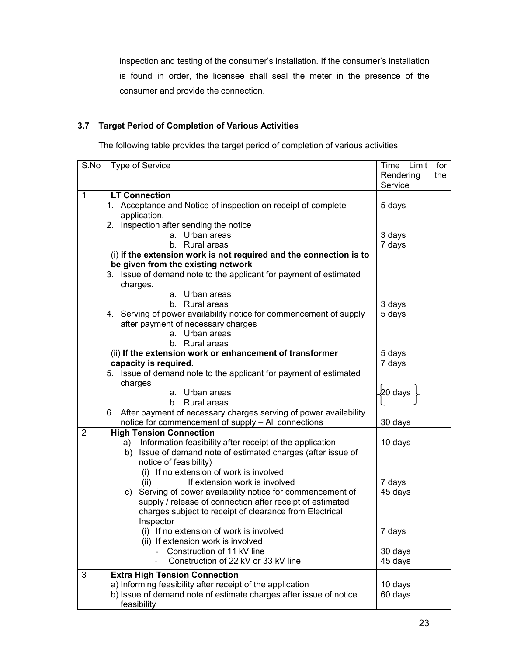inspection and testing of the consumer's installation. If the consumer's installation is found in order, the licensee shall seal the meter in the presence of the consumer and provide the connection.

# **3.7 Target Period of Completion of Various Activities**

The following table provides the target period of completion of various activities:

| S.No           | Type of Service                                                        | Time Limit<br>Rendering<br>Service | for<br>the |
|----------------|------------------------------------------------------------------------|------------------------------------|------------|
| $\mathbf{1}$   | <b>LT Connection</b>                                                   |                                    |            |
|                | Acceptance and Notice of inspection on receipt of complete<br>l1.      | 5 days                             |            |
|                | application.                                                           |                                    |            |
|                | Inspection after sending the notice<br>2.                              |                                    |            |
|                | a. Urban areas                                                         | 3 days                             |            |
|                | b. Rural areas                                                         | 7 days                             |            |
|                | (i) if the extension work is not required and the connection is to     |                                    |            |
|                | be given from the existing network                                     |                                    |            |
|                | 3. Issue of demand note to the applicant for payment of estimated      |                                    |            |
|                | charges.                                                               |                                    |            |
|                | a. Urban areas                                                         |                                    |            |
|                | b. Rural areas                                                         | 3 days                             |            |
|                | Serving of power availability notice for commencement of supply<br>4.  | 5 days                             |            |
|                | after payment of necessary charges                                     |                                    |            |
|                | a. Urban areas                                                         |                                    |            |
|                | b. Rural areas                                                         |                                    |            |
|                | (ii) If the extension work or enhancement of transformer               | 5 days                             |            |
|                | capacity is required.                                                  | 7 days                             |            |
|                | Issue of demand note to the applicant for payment of estimated<br>5.   |                                    |            |
|                | charges                                                                |                                    |            |
|                | a. Urban areas                                                         | ∤20 days                           |            |
|                | b. Rural areas                                                         |                                    |            |
|                | After payment of necessary charges serving of power availability<br>6. |                                    |            |
|                | notice for commencement of supply - All connections                    | 30 days                            |            |
| $\overline{2}$ | <b>High Tension Connection</b>                                         |                                    |            |
|                | Information feasibility after receipt of the application<br>a)         | 10 days                            |            |
|                | Issue of demand note of estimated charges (after issue of<br>b)        |                                    |            |
|                | notice of feasibility)                                                 |                                    |            |
|                | (i) If no extension of work is involved                                |                                    |            |
|                | If extension work is involved<br>(ii)                                  | 7 days                             |            |
|                | Serving of power availability notice for commencement of<br>C)         | 45 days                            |            |
|                | supply / release of connection after receipt of estimated              |                                    |            |
|                | charges subject to receipt of clearance from Electrical                |                                    |            |
|                | Inspector                                                              |                                    |            |
|                | (i) If no extension of work is involved                                | 7 days                             |            |
|                | (ii) If extension work is involved                                     |                                    |            |
|                | Construction of 11 kV line                                             | 30 days                            |            |
|                | Construction of 22 kV or 33 kV line                                    | 45 days                            |            |
| 3              | <b>Extra High Tension Connection</b>                                   |                                    |            |
|                | a) Informing feasibility after receipt of the application              | 10 days                            |            |
|                | b) Issue of demand note of estimate charges after issue of notice      | 60 days                            |            |
|                | feasibility                                                            |                                    |            |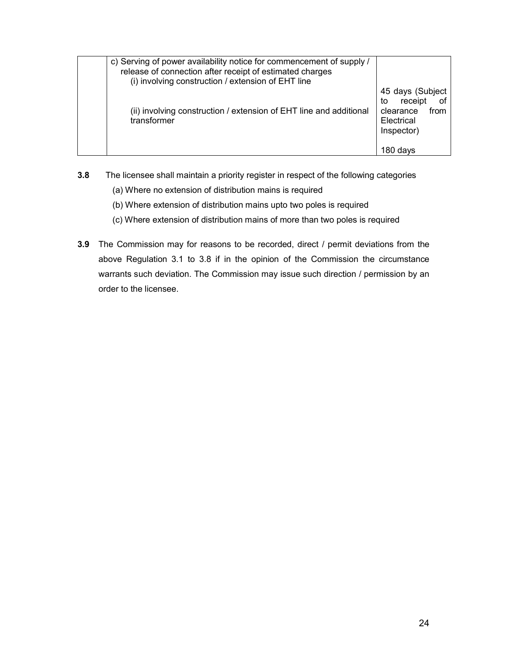| c) Serving of power availability notice for commencement of supply /<br>release of connection after receipt of estimated charges<br>(i) involving construction / extension of EHT line |                                                                                    |
|----------------------------------------------------------------------------------------------------------------------------------------------------------------------------------------|------------------------------------------------------------------------------------|
| (ii) involving construction / extension of EHT line and additional<br>transformer                                                                                                      | 45 days (Subject<br>to receipt of<br>from<br>clearance<br>Electrical<br>Inspector) |
|                                                                                                                                                                                        | 180 davs                                                                           |

- **3.8** The licensee shall maintain a priority register in respect of the following categories
	- (a) Where no extension of distribution mains is required
	- (b) Where extension of distribution mains upto two poles is required
	- (c) Where extension of distribution mains of more than two poles is required
- **3.9** The Commission may for reasons to be recorded, direct / permit deviations from the above Regulation 3.1 to 3.8 if in the opinion of the Commission the circumstance warrants such deviation. The Commission may issue such direction / permission by an order to the licensee.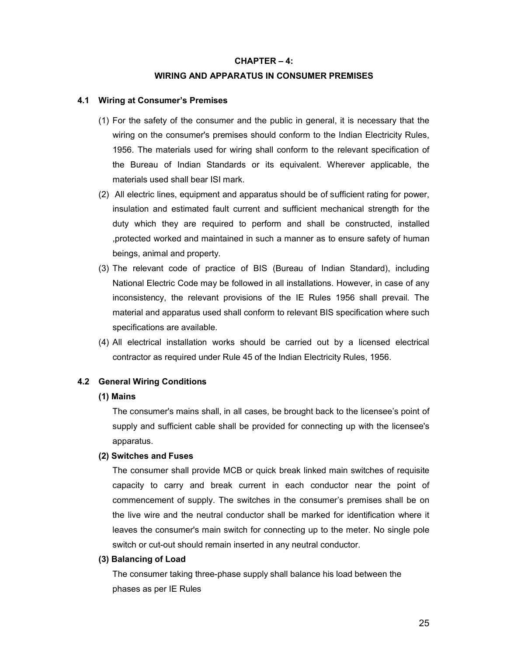### **CHAPTER – 4:**

### **WIRING AND APPARATUS IN CONSUMER PREMISES**

### **4.1 Wiring at Consumer's Premises**

- (1) For the safety of the consumer and the public in general, it is necessary that the wiring on the consumer's premises should conform to the Indian Electricity Rules, 1956. The materials used for wiring shall conform to the relevant specification of the Bureau of Indian Standards or its equivalent. Wherever applicable, the materials used shall bear ISI mark.
- (2) All electric lines, equipment and apparatus should be of sufficient rating for power, insulation and estimated fault current and sufficient mechanical strength for the duty which they are required to perform and shall be constructed, installed ,protected worked and maintained in such a manner as to ensure safety of human beings, animal and property.
- (3) The relevant code of practice of BIS (Bureau of Indian Standard), including National Electric Code may be followed in all installations. However, in case of any inconsistency, the relevant provisions of the IE Rules 1956 shall prevail. The material and apparatus used shall conform to relevant BIS specification where such specifications are available.
- (4) All electrical installation works should be carried out by a licensed electrical contractor as required under Rule 45 of the Indian Electricity Rules, 1956.

### **4.2 General Wiring Conditions**

### **(1) Mains**

The consumer's mains shall, in all cases, be brought back to the licensee's point of supply and sufficient cable shall be provided for connecting up with the licensee's apparatus.

### **(2) Switches and Fuses**

The consumer shall provide MCB or quick break linked main switches of requisite capacity to carry and break current in each conductor near the point of commencement of supply. The switches in the consumer's premises shall be on the live wire and the neutral conductor shall be marked for identification where it leaves the consumer's main switch for connecting up to the meter. No single pole switch or cut-out should remain inserted in any neutral conductor.

#### **(3) Balancing of Load**

The consumer taking three-phase supply shall balance his load between the phases as per IE Rules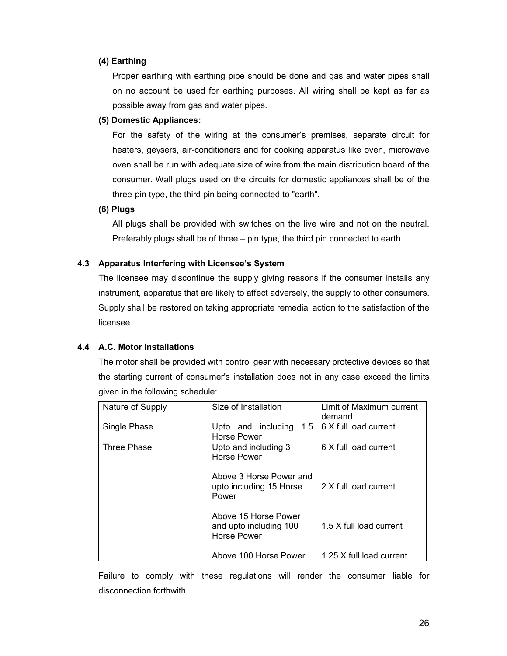# **(4) Earthing**

Proper earthing with earthing pipe should be done and gas and water pipes shall on no account be used for earthing purposes. All wiring shall be kept as far as possible away from gas and water pipes.

# **(5) Domestic Appliances:**

For the safety of the wiring at the consumer's premises, separate circuit for heaters, geysers, air-conditioners and for cooking apparatus like oven, microwave oven shall be run with adequate size of wire from the main distribution board of the consumer. Wall plugs used on the circuits for domestic appliances shall be of the three-pin type, the third pin being connected to "earth".

### **(6) Plugs**

All plugs shall be provided with switches on the live wire and not on the neutral. Preferably plugs shall be of three – pin type, the third pin connected to earth.

# **4.3 Apparatus Interfering with Licensee's System**

The licensee may discontinue the supply giving reasons if the consumer installs any instrument, apparatus that are likely to affect adversely, the supply to other consumers. Supply shall be restored on taking appropriate remedial action to the satisfaction of the licensee.

# **4.4 A.C. Motor Installations**

The motor shall be provided with control gear with necessary protective devices so that the starting current of consumer's installation does not in any case exceed the limits given in the following schedule:

| Nature of Supply | Size of Installation                                                 | Limit of Maximum current<br>demand |
|------------------|----------------------------------------------------------------------|------------------------------------|
| Single Phase     | Upto and including<br>1.5<br>Horse Power                             | 6 X full load current              |
| Three Phase      | Upto and including 3<br><b>Horse Power</b>                           | 6 X full load current              |
|                  | Above 3 Horse Power and<br>upto including 15 Horse<br>Power          | 2 X full load current              |
|                  | Above 15 Horse Power<br>and upto including 100<br><b>Horse Power</b> | 1.5 X full load current            |
|                  | Above 100 Horse Power                                                | 1.25 X full load current           |

Failure to comply with these regulations will render the consumer liable for disconnection forthwith.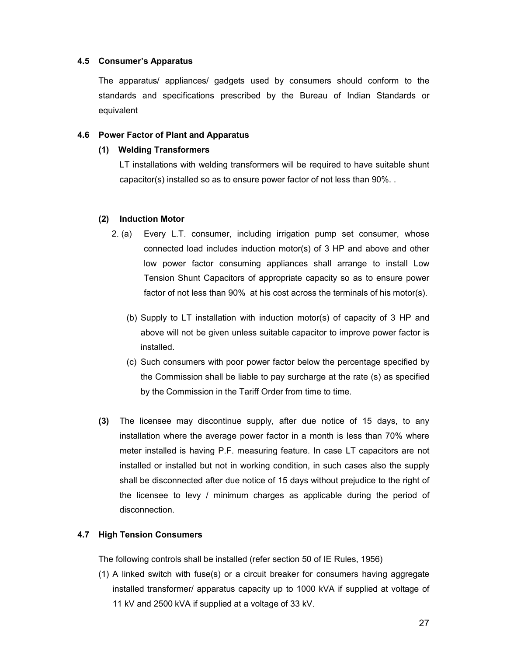### **4.5 Consumer's Apparatus**

The apparatus/ appliances/ gadgets used by consumers should conform to the standards and specifications prescribed by the Bureau of Indian Standards or equivalent

### **4.6 Power Factor of Plant and Apparatus**

### **(1) Welding Transformers**

LT installations with welding transformers will be required to have suitable shunt capacitor(s) installed so as to ensure power factor of not less than 90%. .

### **(2) Induction Motor**

- 2. (a) Every L.T. consumer, including irrigation pump set consumer, whose connected load includes induction motor(s) of 3 HP and above and other low power factor consuming appliances shall arrange to install Low Tension Shunt Capacitors of appropriate capacity so as to ensure power factor of not less than 90% at his cost across the terminals of his motor(s).
	- (b) Supply to LT installation with induction motor(s) of capacity of 3 HP and above will not be given unless suitable capacitor to improve power factor is installed.
	- (c) Such consumers with poor power factor below the percentage specified by the Commission shall be liable to pay surcharge at the rate (s) as specified by the Commission in the Tariff Order from time to time.
- **(3)** The licensee may discontinue supply, after due notice of 15 days, to any installation where the average power factor in a month is less than 70% where meter installed is having P.F. measuring feature. In case LT capacitors are not installed or installed but not in working condition, in such cases also the supply shall be disconnected after due notice of 15 days without prejudice to the right of the licensee to levy / minimum charges as applicable during the period of disconnection.

# **4.7 High Tension Consumers**

The following controls shall be installed (refer section 50 of IE Rules, 1956)

(1) A linked switch with fuse(s) or a circuit breaker for consumers having aggregate installed transformer/ apparatus capacity up to 1000 kVA if supplied at voltage of 11 kV and 2500 kVA if supplied at a voltage of 33 kV.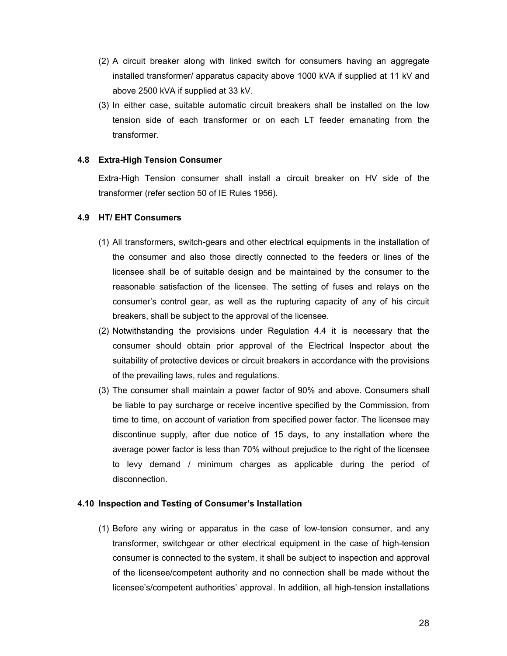- (2) A circuit breaker along with linked switch for consumers having an aggregate installed transformer/ apparatus capacity above 1000 kVA if supplied at 11 kV and above 2500 kVA if supplied at 33 kV.
- (3) In either case, suitable automatic circuit breakers shall be installed on the low tension side of each transformer or on each LT feeder emanating from the transformer.

# **4.8 Extra-High Tension Consumer**

Extra-High Tension consumer shall install a circuit breaker on HV side of the transformer (refer section 50 of IE Rules 1956).

# **4.9 HT/ EHT Consumers**

- (1) All transformers, switch-gears and other electrical equipments in the installation of the consumer and also those directly connected to the feeders or lines of the licensee shall be of suitable design and be maintained by the consumer to the reasonable satisfaction of the licensee. The setting of fuses and relays on the consumer's control gear, as well as the rupturing capacity of any of his circuit breakers, shall be subject to the approval of the licensee.
- (2) Notwithstanding the provisions under Regulation 4.4 it is necessary that the consumer should obtain prior approval of the Electrical Inspector about the suitability of protective devices or circuit breakers in accordance with the provisions of the prevailing laws, rules and regulations.
- (3) The consumer shall maintain a power factor of 90% and above. Consumers shall be liable to pay surcharge or receive incentive specified by the Commission, from time to time, on account of variation from specified power factor. The licensee may discontinue supply, after due notice of 15 days, to any installation where the average power factor is less than 70% without prejudice to the right of the licensee to levy demand / minimum charges as applicable during the period of disconnection.

# **4.10 Inspection and Testing of Consumer's Installation**

(1) Before any wiring or apparatus in the case of low-tension consumer, and any transformer, switchgear or other electrical equipment in the case of high-tension consumer is connected to the system, it shall be subject to inspection and approval of the licensee/competent authority and no connection shall be made without the licensee's/competent authorities' approval. In addition, all high-tension installations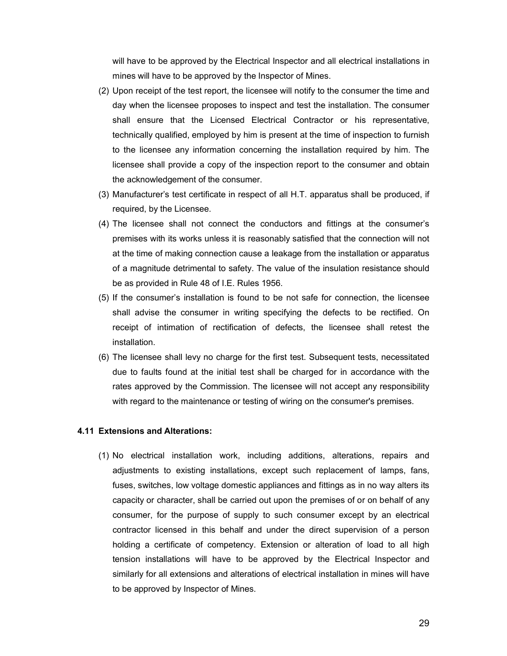will have to be approved by the Electrical Inspector and all electrical installations in mines will have to be approved by the Inspector of Mines.

- (2) Upon receipt of the test report, the licensee will notify to the consumer the time and day when the licensee proposes to inspect and test the installation. The consumer shall ensure that the Licensed Electrical Contractor or his representative, technically qualified, employed by him is present at the time of inspection to furnish to the licensee any information concerning the installation required by him. The licensee shall provide a copy of the inspection report to the consumer and obtain the acknowledgement of the consumer.
- (3) Manufacturer's test certificate in respect of all H.T. apparatus shall be produced, if required, by the Licensee.
- (4) The licensee shall not connect the conductors and fittings at the consumer's premises with its works unless it is reasonably satisfied that the connection will not at the time of making connection cause a leakage from the installation or apparatus of a magnitude detrimental to safety. The value of the insulation resistance should be as provided in Rule 48 of I.E. Rules 1956.
- (5) If the consumer's installation is found to be not safe for connection, the licensee shall advise the consumer in writing specifying the defects to be rectified. On receipt of intimation of rectification of defects, the licensee shall retest the installation.
- (6) The licensee shall levy no charge for the first test. Subsequent tests, necessitated due to faults found at the initial test shall be charged for in accordance with the rates approved by the Commission. The licensee will not accept any responsibility with regard to the maintenance or testing of wiring on the consumer's premises.

### **4.11 Extensions and Alterations:**

(1) No electrical installation work, including additions, alterations, repairs and adjustments to existing installations, except such replacement of lamps, fans, fuses, switches, low voltage domestic appliances and fittings as in no way alters its capacity or character, shall be carried out upon the premises of or on behalf of any consumer, for the purpose of supply to such consumer except by an electrical contractor licensed in this behalf and under the direct supervision of a person holding a certificate of competency. Extension or alteration of load to all high tension installations will have to be approved by the Electrical Inspector and similarly for all extensions and alterations of electrical installation in mines will have to be approved by Inspector of Mines.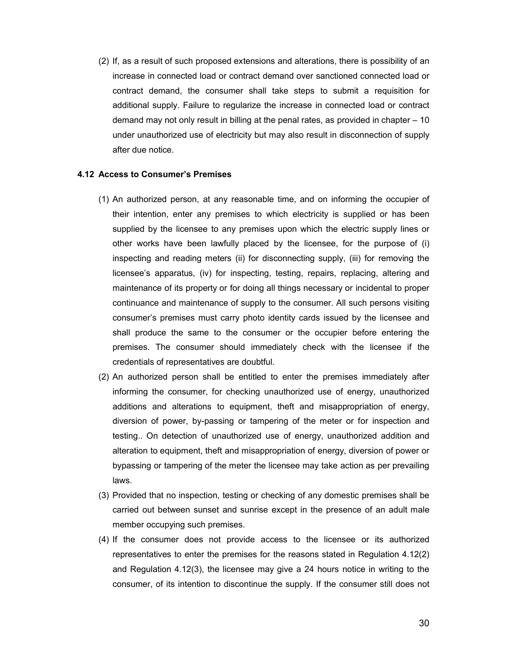(2) If, as a result of such proposed extensions and alterations, there is possibility of an increase in connected load or contract demand over sanctioned connected load or contract demand, the consumer shall take steps to submit a requisition for additional supply. Failure to regularize the increase in connected load or contract demand may not only result in billing at the penal rates, as provided in chapter – 10 under unauthorized use of electricity but may also result in disconnection of supply after due notice.

### **4.12 Access to Consumer's Premises**

- (1) An authorized person, at any reasonable time, and on informing the occupier of their intention, enter any premises to which electricity is supplied or has been supplied by the licensee to any premises upon which the electric supply lines or other works have been lawfully placed by the licensee, for the purpose of (i) inspecting and reading meters (ii) for disconnecting supply, (iii) for removing the licensee's apparatus, (iv) for inspecting, testing, repairs, replacing, altering and maintenance of its property or for doing all things necessary or incidental to proper continuance and maintenance of supply to the consumer. All such persons visiting consumer's premises must carry photo identity cards issued by the licensee and shall produce the same to the consumer or the occupier before entering the premises. The consumer should immediately check with the licensee if the credentials of representatives are doubtful.
- (2) An authorized person shall be entitled to enter the premises immediately after informing the consumer, for checking unauthorized use of energy, unauthorized additions and alterations to equipment, theft and misappropriation of energy, diversion of power, by-passing or tampering of the meter or for inspection and testing.. On detection of unauthorized use of energy, unauthorized addition and alteration to equipment, theft and misappropriation of energy, diversion of power or bypassing or tampering of the meter the licensee may take action as per prevailing laws.
- (3) Provided that no inspection, testing or checking of any domestic premises shall be carried out between sunset and sunrise except in the presence of an adult male member occupying such premises.
- (4) If the consumer does not provide access to the licensee or its authorized representatives to enter the premises for the reasons stated in Regulation 4.12(2) and Regulation 4.12(3), the licensee may give a 24 hours notice in writing to the consumer, of its intention to discontinue the supply. If the consumer still does not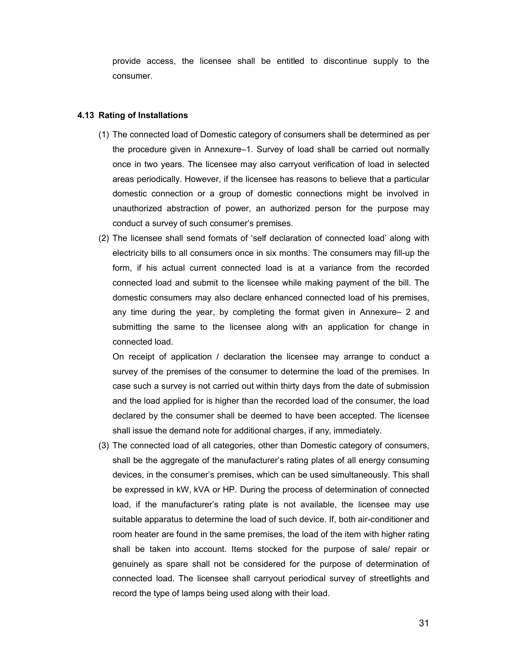provide access, the licensee shall be entitled to discontinue supply to the consumer.

### **4.13 Rating of Installations**

- (1) The connected load of Domestic category of consumers shall be determined as per the procedure given in Annexure–1. Survey of load shall be carried out normally once in two years. The licensee may also carryout verification of load in selected areas periodically. However, if the licensee has reasons to believe that a particular domestic connection or a group of domestic connections might be involved in unauthorized abstraction of power, an authorized person for the purpose may conduct a survey of such consumer's premises.
- (2) The licensee shall send formats of 'self declaration of connected load' along with electricity bills to all consumers once in six months. The consumers may fill-up the form, if his actual current connected load is at a variance from the recorded connected load and submit to the licensee while making payment of the bill. The domestic consumers may also declare enhanced connected load of his premises, any time during the year, by completing the format given in Annexure– 2 and submitting the same to the licensee along with an application for change in connected load.

On receipt of application / declaration the licensee may arrange to conduct a survey of the premises of the consumer to determine the load of the premises. In case such a survey is not carried out within thirty days from the date of submission and the load applied for is higher than the recorded load of the consumer, the load declared by the consumer shall be deemed to have been accepted. The licensee shall issue the demand note for additional charges, if any, immediately.

(3) The connected load of all categories, other than Domestic category of consumers, shall be the aggregate of the manufacturer's rating plates of all energy consuming devices, in the consumer's premises, which can be used simultaneously. This shall be expressed in kW, kVA or HP. During the process of determination of connected load, if the manufacturer's rating plate is not available, the licensee may use suitable apparatus to determine the load of such device. If, both air-conditioner and room heater are found in the same premises, the load of the item with higher rating shall be taken into account. Items stocked for the purpose of sale/ repair or genuinely as spare shall not be considered for the purpose of determination of connected load. The licensee shall carryout periodical survey of streetlights and record the type of lamps being used along with their load.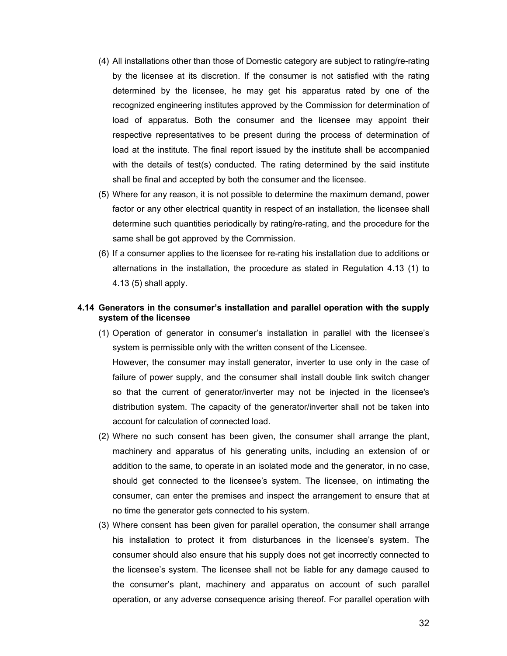- (4) All installations other than those of Domestic category are subject to rating/re-rating by the licensee at its discretion. If the consumer is not satisfied with the rating determined by the licensee, he may get his apparatus rated by one of the recognized engineering institutes approved by the Commission for determination of load of apparatus. Both the consumer and the licensee may appoint their respective representatives to be present during the process of determination of load at the institute. The final report issued by the institute shall be accompanied with the details of test(s) conducted. The rating determined by the said institute shall be final and accepted by both the consumer and the licensee.
- (5) Where for any reason, it is not possible to determine the maximum demand, power factor or any other electrical quantity in respect of an installation, the licensee shall determine such quantities periodically by rating/re-rating, and the procedure for the same shall be got approved by the Commission.
- (6) If a consumer applies to the licensee for re-rating his installation due to additions or alternations in the installation, the procedure as stated in Regulation 4.13 (1) to 4.13 (5) shall apply.

# **4.14 Generators in the consumer's installation and parallel operation with the supply system of the licensee**

- (1) Operation of generator in consumer's installation in parallel with the licensee's system is permissible only with the written consent of the Licensee. However, the consumer may install generator, inverter to use only in the case of failure of power supply, and the consumer shall install double link switch changer so that the current of generator/inverter may not be injected in the licensee's distribution system. The capacity of the generator/inverter shall not be taken into account for calculation of connected load.
- (2) Where no such consent has been given, the consumer shall arrange the plant, machinery and apparatus of his generating units, including an extension of or addition to the same, to operate in an isolated mode and the generator, in no case, should get connected to the licensee's system. The licensee, on intimating the consumer, can enter the premises and inspect the arrangement to ensure that at no time the generator gets connected to his system.
- (3) Where consent has been given for parallel operation, the consumer shall arrange his installation to protect it from disturbances in the licensee's system. The consumer should also ensure that his supply does not get incorrectly connected to the licensee's system. The licensee shall not be liable for any damage caused to the consumer's plant, machinery and apparatus on account of such parallel operation, or any adverse consequence arising thereof. For parallel operation with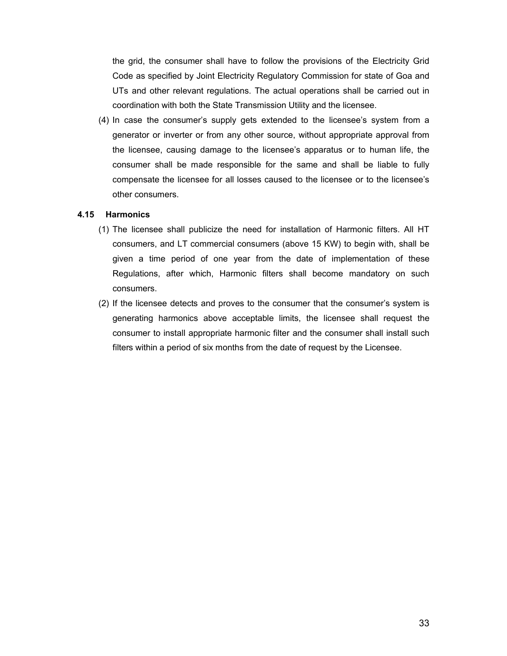the grid, the consumer shall have to follow the provisions of the Electricity Grid Code as specified by Joint Electricity Regulatory Commission for state of Goa and UTs and other relevant regulations. The actual operations shall be carried out in coordination with both the State Transmission Utility and the licensee.

(4) In case the consumer's supply gets extended to the licensee's system from a generator or inverter or from any other source, without appropriate approval from the licensee, causing damage to the licensee's apparatus or to human life, the consumer shall be made responsible for the same and shall be liable to fully compensate the licensee for all losses caused to the licensee or to the licensee's other consumers.

### **4.15 Harmonics**

- (1) The licensee shall publicize the need for installation of Harmonic filters. All HT consumers, and LT commercial consumers (above 15 KW) to begin with, shall be given a time period of one year from the date of implementation of these Regulations, after which, Harmonic filters shall become mandatory on such consumers.
- (2) If the licensee detects and proves to the consumer that the consumer's system is generating harmonics above acceptable limits, the licensee shall request the consumer to install appropriate harmonic filter and the consumer shall install such filters within a period of six months from the date of request by the Licensee.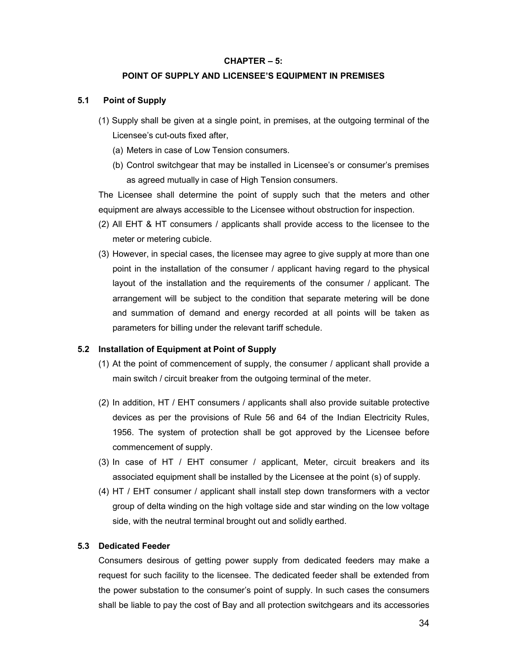### **CHAPTER – 5:**

#### **POINT OF SUPPLY AND LICENSEE'S EQUIPMENT IN PREMISES**

### **5.1 Point of Supply**

- (1) Supply shall be given at a single point, in premises, at the outgoing terminal of the Licensee's cut-outs fixed after,
	- (a) Meters in case of Low Tension consumers.
	- (b) Control switchgear that may be installed in Licensee's or consumer's premises as agreed mutually in case of High Tension consumers.

The Licensee shall determine the point of supply such that the meters and other equipment are always accessible to the Licensee without obstruction for inspection.

- (2) All EHT & HT consumers / applicants shall provide access to the licensee to the meter or metering cubicle.
- (3) However, in special cases, the licensee may agree to give supply at more than one point in the installation of the consumer / applicant having regard to the physical layout of the installation and the requirements of the consumer / applicant. The arrangement will be subject to the condition that separate metering will be done and summation of demand and energy recorded at all points will be taken as parameters for billing under the relevant tariff schedule.

#### **5.2 Installation of Equipment at Point of Supply**

- (1) At the point of commencement of supply, the consumer / applicant shall provide a main switch / circuit breaker from the outgoing terminal of the meter.
- (2) In addition, HT / EHT consumers / applicants shall also provide suitable protective devices as per the provisions of Rule 56 and 64 of the Indian Electricity Rules, 1956. The system of protection shall be got approved by the Licensee before commencement of supply.
- (3) In case of HT / EHT consumer / applicant, Meter, circuit breakers and its associated equipment shall be installed by the Licensee at the point (s) of supply.
- (4) HT / EHT consumer / applicant shall install step down transformers with a vector group of delta winding on the high voltage side and star winding on the low voltage side, with the neutral terminal brought out and solidly earthed.

### **5.3 Dedicated Feeder**

Consumers desirous of getting power supply from dedicated feeders may make a request for such facility to the licensee. The dedicated feeder shall be extended from the power substation to the consumer's point of supply. In such cases the consumers shall be liable to pay the cost of Bay and all protection switchgears and its accessories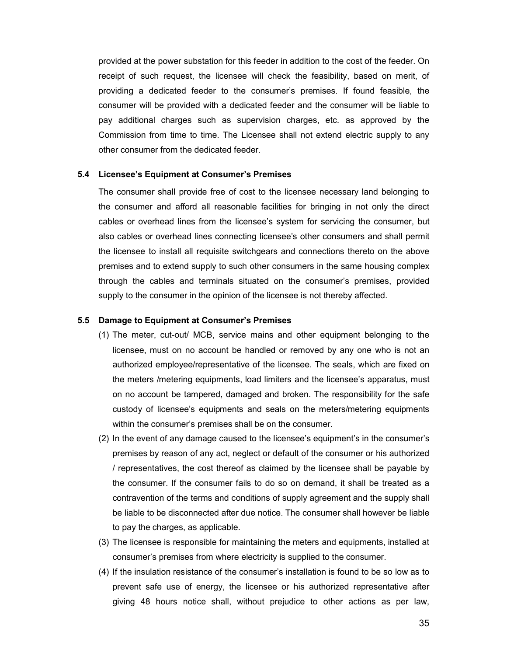provided at the power substation for this feeder in addition to the cost of the feeder. On receipt of such request, the licensee will check the feasibility, based on merit, of providing a dedicated feeder to the consumer's premises. If found feasible, the consumer will be provided with a dedicated feeder and the consumer will be liable to pay additional charges such as supervision charges, etc. as approved by the Commission from time to time. The Licensee shall not extend electric supply to any other consumer from the dedicated feeder.

#### **5.4 Licensee's Equipment at Consumer's Premises**

The consumer shall provide free of cost to the licensee necessary land belonging to the consumer and afford all reasonable facilities for bringing in not only the direct cables or overhead lines from the licensee's system for servicing the consumer, but also cables or overhead lines connecting licensee's other consumers and shall permit the licensee to install all requisite switchgears and connections thereto on the above premises and to extend supply to such other consumers in the same housing complex through the cables and terminals situated on the consumer's premises, provided supply to the consumer in the opinion of the licensee is not thereby affected.

### **5.5 Damage to Equipment at Consumer's Premises**

- (1) The meter, cut-out/ MCB, service mains and other equipment belonging to the licensee, must on no account be handled or removed by any one who is not an authorized employee/representative of the licensee. The seals, which are fixed on the meters /metering equipments, load limiters and the licensee's apparatus, must on no account be tampered, damaged and broken. The responsibility for the safe custody of licensee's equipments and seals on the meters/metering equipments within the consumer's premises shall be on the consumer.
- (2) In the event of any damage caused to the licensee's equipment's in the consumer's premises by reason of any act, neglect or default of the consumer or his authorized / representatives, the cost thereof as claimed by the licensee shall be payable by the consumer. If the consumer fails to do so on demand, it shall be treated as a contravention of the terms and conditions of supply agreement and the supply shall be liable to be disconnected after due notice. The consumer shall however be liable to pay the charges, as applicable.
- (3) The licensee is responsible for maintaining the meters and equipments, installed at consumer's premises from where electricity is supplied to the consumer.
- (4) If the insulation resistance of the consumer's installation is found to be so low as to prevent safe use of energy, the licensee or his authorized representative after giving 48 hours notice shall, without prejudice to other actions as per law,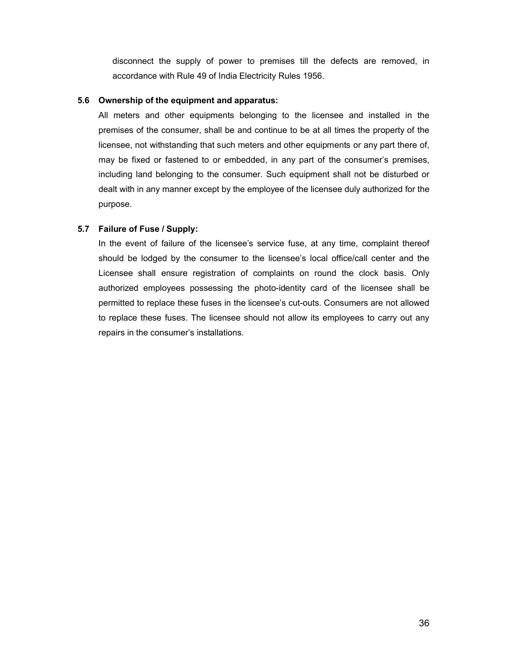disconnect the supply of power to premises till the defects are removed, in accordance with Rule 49 of India Electricity Rules 1956.

# **5.6 Ownership of the equipment and apparatus:**

All meters and other equipments belonging to the licensee and installed in the premises of the consumer, shall be and continue to be at all times the property of the licensee, not withstanding that such meters and other equipments or any part there of, may be fixed or fastened to or embedded, in any part of the consumer's premises, including land belonging to the consumer. Such equipment shall not be disturbed or dealt with in any manner except by the employee of the licensee duly authorized for the purpose.

# **5.7 Failure of Fuse / Supply:**

In the event of failure of the licensee's service fuse, at any time, complaint thereof should be lodged by the consumer to the licensee's local office/call center and the Licensee shall ensure registration of complaints on round the clock basis. Only authorized employees possessing the photo-identity card of the licensee shall be permitted to replace these fuses in the licensee's cut-outs. Consumers are not allowed to replace these fuses. The licensee should not allow its employees to carry out any repairs in the consumer's installations.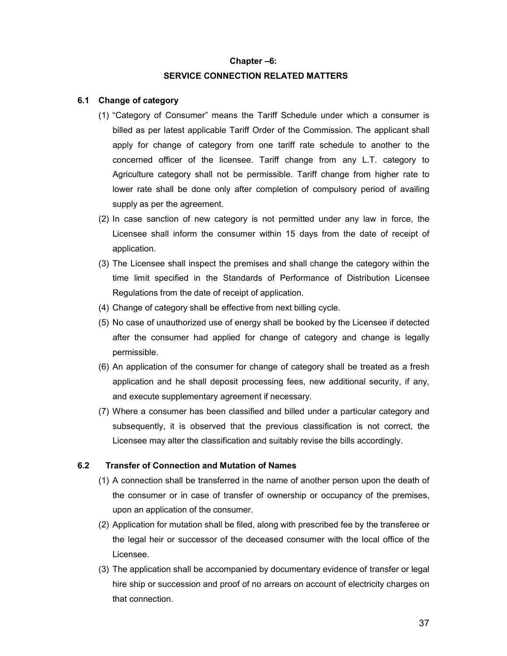#### **Chapter –6:**

### **SERVICE CONNECTION RELATED MATTERS**

### **6.1 Change of category**

- (1) "Category of Consumer" means the Tariff Schedule under which a consumer is billed as per latest applicable Tariff Order of the Commission. The applicant shall apply for change of category from one tariff rate schedule to another to the concerned officer of the licensee. Tariff change from any L.T. category to Agriculture category shall not be permissible. Tariff change from higher rate to lower rate shall be done only after completion of compulsory period of availing supply as per the agreement.
- (2) In case sanction of new category is not permitted under any law in force, the Licensee shall inform the consumer within 15 days from the date of receipt of application.
- (3) The Licensee shall inspect the premises and shall change the category within the time limit specified in the Standards of Performance of Distribution Licensee Regulations from the date of receipt of application.
- (4) Change of category shall be effective from next billing cycle.
- (5) No case of unauthorized use of energy shall be booked by the Licensee if detected after the consumer had applied for change of category and change is legally permissible.
- (6) An application of the consumer for change of category shall be treated as a fresh application and he shall deposit processing fees, new additional security, if any, and execute supplementary agreement if necessary.
- (7) Where a consumer has been classified and billed under a particular category and subsequently, it is observed that the previous classification is not correct, the Licensee may alter the classification and suitably revise the bills accordingly.

## **6.2 Transfer of Connection and Mutation of Names**

- (1) A connection shall be transferred in the name of another person upon the death of the consumer or in case of transfer of ownership or occupancy of the premises, upon an application of the consumer.
- (2) Application for mutation shall be filed, along with prescribed fee by the transferee or the legal heir or successor of the deceased consumer with the local office of the Licensee.
- (3) The application shall be accompanied by documentary evidence of transfer or legal hire ship or succession and proof of no arrears on account of electricity charges on that connection.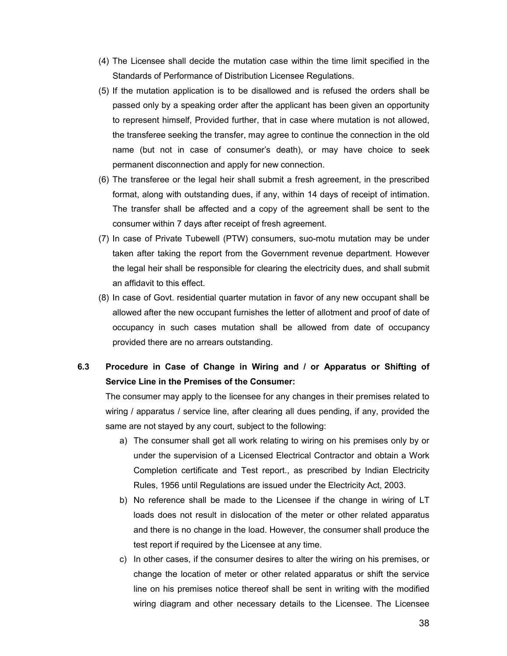- (4) The Licensee shall decide the mutation case within the time limit specified in the Standards of Performance of Distribution Licensee Regulations.
- (5) If the mutation application is to be disallowed and is refused the orders shall be passed only by a speaking order after the applicant has been given an opportunity to represent himself, Provided further, that in case where mutation is not allowed, the transferee seeking the transfer, may agree to continue the connection in the old name (but not in case of consumer's death), or may have choice to seek permanent disconnection and apply for new connection.
- (6) The transferee or the legal heir shall submit a fresh agreement, in the prescribed format, along with outstanding dues, if any, within 14 days of receipt of intimation. The transfer shall be affected and a copy of the agreement shall be sent to the consumer within 7 days after receipt of fresh agreement.
- (7) In case of Private Tubewell (PTW) consumers, suo-motu mutation may be under taken after taking the report from the Government revenue department. However the legal heir shall be responsible for clearing the electricity dues, and shall submit an affidavit to this effect.
- (8) In case of Govt. residential quarter mutation in favor of any new occupant shall be allowed after the new occupant furnishes the letter of allotment and proof of date of occupancy in such cases mutation shall be allowed from date of occupancy provided there are no arrears outstanding.

# **6.3 Procedure in Case of Change in Wiring and / or Apparatus or Shifting of Service Line in the Premises of the Consumer:**

The consumer may apply to the licensee for any changes in their premises related to wiring / apparatus / service line, after clearing all dues pending, if any, provided the same are not stayed by any court, subject to the following:

- a) The consumer shall get all work relating to wiring on his premises only by or under the supervision of a Licensed Electrical Contractor and obtain a Work Completion certificate and Test report., as prescribed by Indian Electricity Rules, 1956 until Regulations are issued under the Electricity Act, 2003.
- b) No reference shall be made to the Licensee if the change in wiring of LT loads does not result in dislocation of the meter or other related apparatus and there is no change in the load. However, the consumer shall produce the test report if required by the Licensee at any time.
- c) In other cases, if the consumer desires to alter the wiring on his premises, or change the location of meter or other related apparatus or shift the service line on his premises notice thereof shall be sent in writing with the modified wiring diagram and other necessary details to the Licensee. The Licensee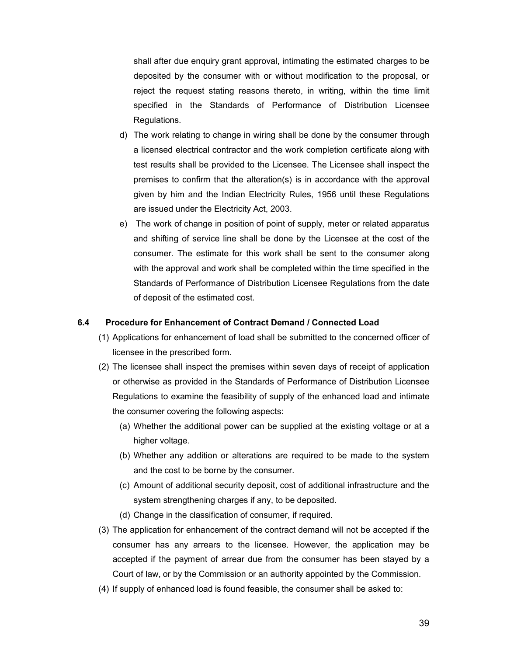shall after due enquiry grant approval, intimating the estimated charges to be deposited by the consumer with or without modification to the proposal, or reject the request stating reasons thereto, in writing, within the time limit specified in the Standards of Performance of Distribution Licensee Regulations.

- d) The work relating to change in wiring shall be done by the consumer through a licensed electrical contractor and the work completion certificate along with test results shall be provided to the Licensee. The Licensee shall inspect the premises to confirm that the alteration(s) is in accordance with the approval given by him and the Indian Electricity Rules, 1956 until these Regulations are issued under the Electricity Act, 2003.
- e) The work of change in position of point of supply, meter or related apparatus and shifting of service line shall be done by the Licensee at the cost of the consumer. The estimate for this work shall be sent to the consumer along with the approval and work shall be completed within the time specified in the Standards of Performance of Distribution Licensee Regulations from the date of deposit of the estimated cost.

#### **6.4 Procedure for Enhancement of Contract Demand / Connected Load**

- (1) Applications for enhancement of load shall be submitted to the concerned officer of licensee in the prescribed form.
- (2) The licensee shall inspect the premises within seven days of receipt of application or otherwise as provided in the Standards of Performance of Distribution Licensee Regulations to examine the feasibility of supply of the enhanced load and intimate the consumer covering the following aspects:
	- (a) Whether the additional power can be supplied at the existing voltage or at a higher voltage.
	- (b) Whether any addition or alterations are required to be made to the system and the cost to be borne by the consumer.
	- (c) Amount of additional security deposit, cost of additional infrastructure and the system strengthening charges if any, to be deposited.
	- (d) Change in the classification of consumer, if required.
- (3) The application for enhancement of the contract demand will not be accepted if the consumer has any arrears to the licensee. However, the application may be accepted if the payment of arrear due from the consumer has been stayed by a Court of law, or by the Commission or an authority appointed by the Commission.
- (4) If supply of enhanced load is found feasible, the consumer shall be asked to: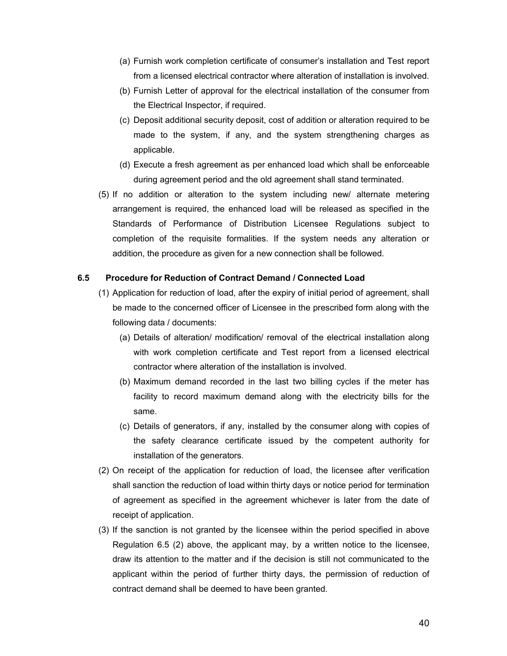- (a) Furnish work completion certificate of consumer's installation and Test report from a licensed electrical contractor where alteration of installation is involved.
- (b) Furnish Letter of approval for the electrical installation of the consumer from the Electrical Inspector, if required.
- (c) Deposit additional security deposit, cost of addition or alteration required to be made to the system, if any, and the system strengthening charges as applicable.
- (d) Execute a fresh agreement as per enhanced load which shall be enforceable during agreement period and the old agreement shall stand terminated.
- (5) If no addition or alteration to the system including new/ alternate metering arrangement is required, the enhanced load will be released as specified in the Standards of Performance of Distribution Licensee Regulations subject to completion of the requisite formalities. If the system needs any alteration or addition, the procedure as given for a new connection shall be followed.

### **6.5 Procedure for Reduction of Contract Demand / Connected Load**

- (1) Application for reduction of load, after the expiry of initial period of agreement, shall be made to the concerned officer of Licensee in the prescribed form along with the following data / documents:
	- (a) Details of alteration/ modification/ removal of the electrical installation along with work completion certificate and Test report from a licensed electrical contractor where alteration of the installation is involved.
	- (b) Maximum demand recorded in the last two billing cycles if the meter has facility to record maximum demand along with the electricity bills for the same.
	- (c) Details of generators, if any, installed by the consumer along with copies of the safety clearance certificate issued by the competent authority for installation of the generators.
- (2) On receipt of the application for reduction of load, the licensee after verification shall sanction the reduction of load within thirty days or notice period for termination of agreement as specified in the agreement whichever is later from the date of receipt of application.
- (3) If the sanction is not granted by the licensee within the period specified in above Regulation 6.5 (2) above, the applicant may, by a written notice to the licensee, draw its attention to the matter and if the decision is still not communicated to the applicant within the period of further thirty days, the permission of reduction of contract demand shall be deemed to have been granted.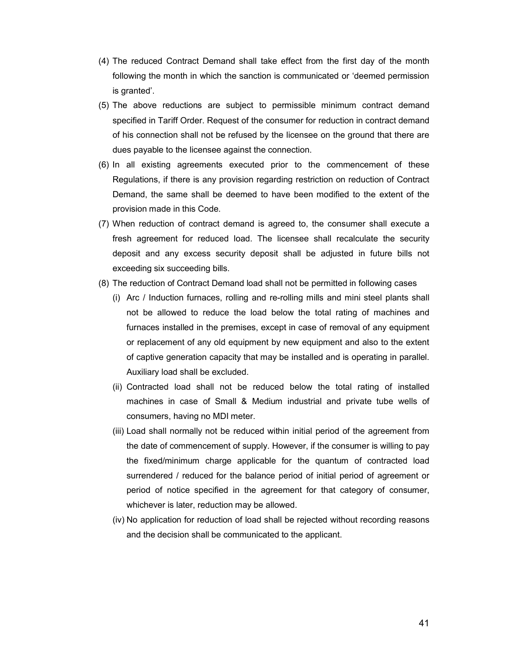- (4) The reduced Contract Demand shall take effect from the first day of the month following the month in which the sanction is communicated or 'deemed permission is granted'.
- (5) The above reductions are subject to permissible minimum contract demand specified in Tariff Order. Request of the consumer for reduction in contract demand of his connection shall not be refused by the licensee on the ground that there are dues payable to the licensee against the connection.
- (6) In all existing agreements executed prior to the commencement of these Regulations, if there is any provision regarding restriction on reduction of Contract Demand, the same shall be deemed to have been modified to the extent of the provision made in this Code.
- (7) When reduction of contract demand is agreed to, the consumer shall execute a fresh agreement for reduced load. The licensee shall recalculate the security deposit and any excess security deposit shall be adjusted in future bills not exceeding six succeeding bills.
- (8) The reduction of Contract Demand load shall not be permitted in following cases
	- (i) Arc / Induction furnaces, rolling and re-rolling mills and mini steel plants shall not be allowed to reduce the load below the total rating of machines and furnaces installed in the premises, except in case of removal of any equipment or replacement of any old equipment by new equipment and also to the extent of captive generation capacity that may be installed and is operating in parallel. Auxiliary load shall be excluded.
	- (ii) Contracted load shall not be reduced below the total rating of installed machines in case of Small & Medium industrial and private tube wells of consumers, having no MDI meter.
	- (iii) Load shall normally not be reduced within initial period of the agreement from the date of commencement of supply. However, if the consumer is willing to pay the fixed/minimum charge applicable for the quantum of contracted load surrendered / reduced for the balance period of initial period of agreement or period of notice specified in the agreement for that category of consumer, whichever is later, reduction may be allowed.
	- (iv) No application for reduction of load shall be rejected without recording reasons and the decision shall be communicated to the applicant.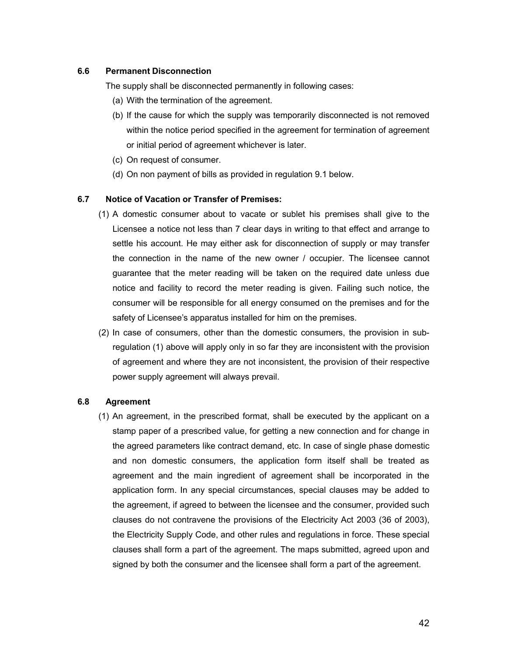## **6.6 Permanent Disconnection**

The supply shall be disconnected permanently in following cases:

- (a) With the termination of the agreement.
- (b) If the cause for which the supply was temporarily disconnected is not removed within the notice period specified in the agreement for termination of agreement or initial period of agreement whichever is later.
- (c) On request of consumer.
- (d) On non payment of bills as provided in regulation 9.1 below.

#### **6.7 Notice of Vacation or Transfer of Premises:**

- (1) A domestic consumer about to vacate or sublet his premises shall give to the Licensee a notice not less than 7 clear days in writing to that effect and arrange to settle his account. He may either ask for disconnection of supply or may transfer the connection in the name of the new owner / occupier. The licensee cannot guarantee that the meter reading will be taken on the required date unless due notice and facility to record the meter reading is given. Failing such notice, the consumer will be responsible for all energy consumed on the premises and for the safety of Licensee's apparatus installed for him on the premises.
- (2) In case of consumers, other than the domestic consumers, the provision in subregulation (1) above will apply only in so far they are inconsistent with the provision of agreement and where they are not inconsistent, the provision of their respective power supply agreement will always prevail.

#### **6.8 Agreement**

(1) An agreement, in the prescribed format, shall be executed by the applicant on a stamp paper of a prescribed value, for getting a new connection and for change in the agreed parameters like contract demand, etc. In case of single phase domestic and non domestic consumers, the application form itself shall be treated as agreement and the main ingredient of agreement shall be incorporated in the application form. In any special circumstances, special clauses may be added to the agreement, if agreed to between the licensee and the consumer, provided such clauses do not contravene the provisions of the Electricity Act 2003 (36 of 2003), the Electricity Supply Code, and other rules and regulations in force. These special clauses shall form a part of the agreement. The maps submitted, agreed upon and signed by both the consumer and the licensee shall form a part of the agreement.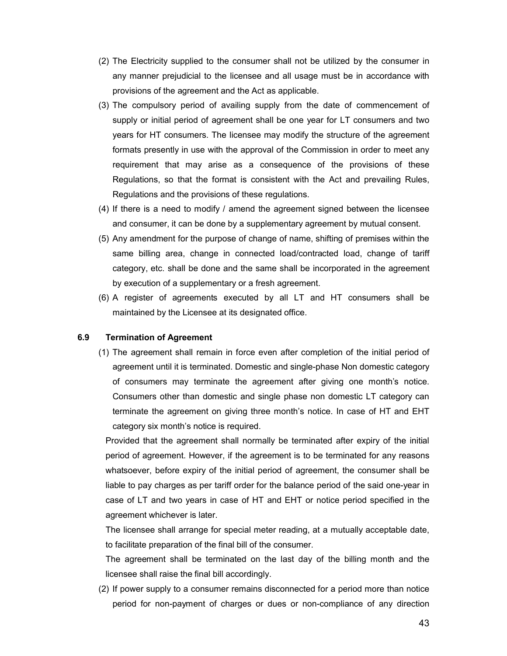- (2) The Electricity supplied to the consumer shall not be utilized by the consumer in any manner prejudicial to the licensee and all usage must be in accordance with provisions of the agreement and the Act as applicable.
- (3) The compulsory period of availing supply from the date of commencement of supply or initial period of agreement shall be one year for LT consumers and two years for HT consumers. The licensee may modify the structure of the agreement formats presently in use with the approval of the Commission in order to meet any requirement that may arise as a consequence of the provisions of these Regulations, so that the format is consistent with the Act and prevailing Rules, Regulations and the provisions of these regulations.
- (4) If there is a need to modify / amend the agreement signed between the licensee and consumer, it can be done by a supplementary agreement by mutual consent.
- (5) Any amendment for the purpose of change of name, shifting of premises within the same billing area, change in connected load/contracted load, change of tariff category, etc. shall be done and the same shall be incorporated in the agreement by execution of a supplementary or a fresh agreement.
- (6) A register of agreements executed by all LT and HT consumers shall be maintained by the Licensee at its designated office.

## **6.9 Termination of Agreement**

(1) The agreement shall remain in force even after completion of the initial period of agreement until it is terminated. Domestic and single-phase Non domestic category of consumers may terminate the agreement after giving one month's notice. Consumers other than domestic and single phase non domestic LT category can terminate the agreement on giving three month's notice. In case of HT and EHT category six month's notice is required.

Provided that the agreement shall normally be terminated after expiry of the initial period of agreement. However, if the agreement is to be terminated for any reasons whatsoever, before expiry of the initial period of agreement, the consumer shall be liable to pay charges as per tariff order for the balance period of the said one-year in case of LT and two years in case of HT and EHT or notice period specified in the agreement whichever is later.

The licensee shall arrange for special meter reading, at a mutually acceptable date, to facilitate preparation of the final bill of the consumer.

The agreement shall be terminated on the last day of the billing month and the licensee shall raise the final bill accordingly.

(2) If power supply to a consumer remains disconnected for a period more than notice period for non-payment of charges or dues or non-compliance of any direction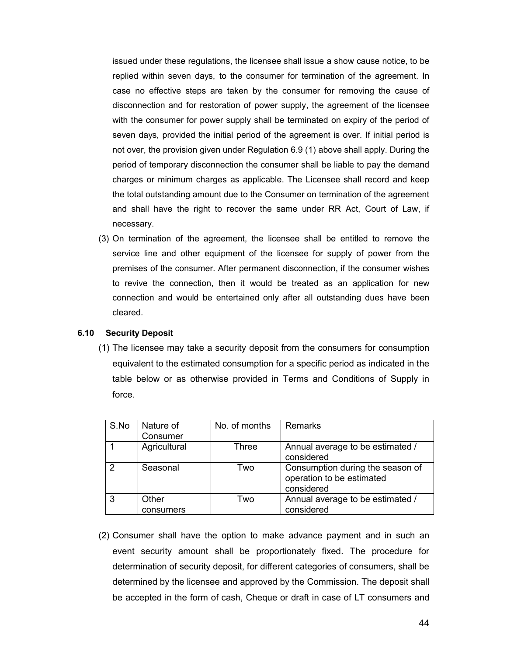issued under these regulations, the licensee shall issue a show cause notice, to be replied within seven days, to the consumer for termination of the agreement. In case no effective steps are taken by the consumer for removing the cause of disconnection and for restoration of power supply, the agreement of the licensee with the consumer for power supply shall be terminated on expiry of the period of seven days, provided the initial period of the agreement is over. If initial period is not over, the provision given under Regulation 6.9 (1) above shall apply. During the period of temporary disconnection the consumer shall be liable to pay the demand charges or minimum charges as applicable. The Licensee shall record and keep the total outstanding amount due to the Consumer on termination of the agreement and shall have the right to recover the same under RR Act, Court of Law, if necessary.

(3) On termination of the agreement, the licensee shall be entitled to remove the service line and other equipment of the licensee for supply of power from the premises of the consumer. After permanent disconnection, if the consumer wishes to revive the connection, then it would be treated as an application for new connection and would be entertained only after all outstanding dues have been cleared.

## **6.10 Security Deposit**

(1) The licensee may take a security deposit from the consumers for consumption equivalent to the estimated consumption for a specific period as indicated in the table below or as otherwise provided in Terms and Conditions of Supply in force.

| S.No | Nature of<br>Consumer | No. of months | Remarks                                                                     |
|------|-----------------------|---------------|-----------------------------------------------------------------------------|
|      | Agricultural          | Three         | Annual average to be estimated /<br>considered                              |
| 2    | Seasonal              | Two           | Consumption during the season of<br>operation to be estimated<br>considered |
| 3    | Other<br>consumers    | Two           | Annual average to be estimated /<br>considered                              |

(2) Consumer shall have the option to make advance payment and in such an event security amount shall be proportionately fixed. The procedure for determination of security deposit, for different categories of consumers, shall be determined by the licensee and approved by the Commission. The deposit shall be accepted in the form of cash, Cheque or draft in case of LT consumers and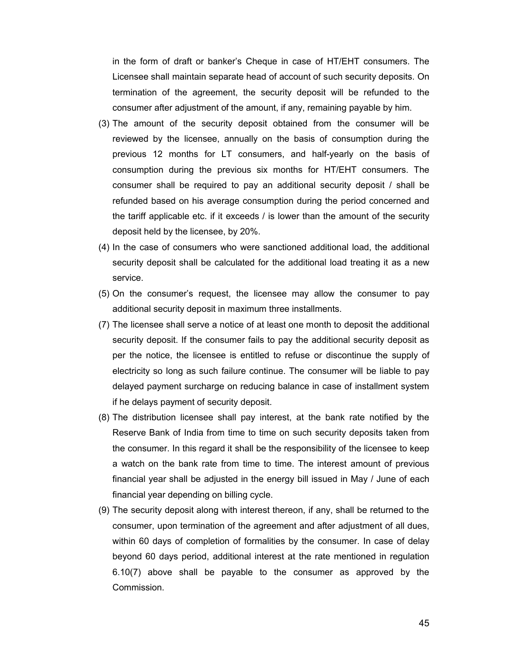in the form of draft or banker's Cheque in case of HT/EHT consumers. The Licensee shall maintain separate head of account of such security deposits. On termination of the agreement, the security deposit will be refunded to the consumer after adjustment of the amount, if any, remaining payable by him.

- (3) The amount of the security deposit obtained from the consumer will be reviewed by the licensee, annually on the basis of consumption during the previous 12 months for LT consumers, and half-yearly on the basis of consumption during the previous six months for HT/EHT consumers. The consumer shall be required to pay an additional security deposit / shall be refunded based on his average consumption during the period concerned and the tariff applicable etc. if it exceeds / is lower than the amount of the security deposit held by the licensee, by 20%.
- (4) In the case of consumers who were sanctioned additional load, the additional security deposit shall be calculated for the additional load treating it as a new service.
- (5) On the consumer's request, the licensee may allow the consumer to pay additional security deposit in maximum three installments.
- (7) The licensee shall serve a notice of at least one month to deposit the additional security deposit. If the consumer fails to pay the additional security deposit as per the notice, the licensee is entitled to refuse or discontinue the supply of electricity so long as such failure continue. The consumer will be liable to pay delayed payment surcharge on reducing balance in case of installment system if he delays payment of security deposit.
- (8) The distribution licensee shall pay interest, at the bank rate notified by the Reserve Bank of India from time to time on such security deposits taken from the consumer. In this regard it shall be the responsibility of the licensee to keep a watch on the bank rate from time to time. The interest amount of previous financial year shall be adjusted in the energy bill issued in May / June of each financial year depending on billing cycle.
- (9) The security deposit along with interest thereon, if any, shall be returned to the consumer, upon termination of the agreement and after adjustment of all dues, within 60 days of completion of formalities by the consumer. In case of delay beyond 60 days period, additional interest at the rate mentioned in regulation 6.10(7) above shall be payable to the consumer as approved by the Commission.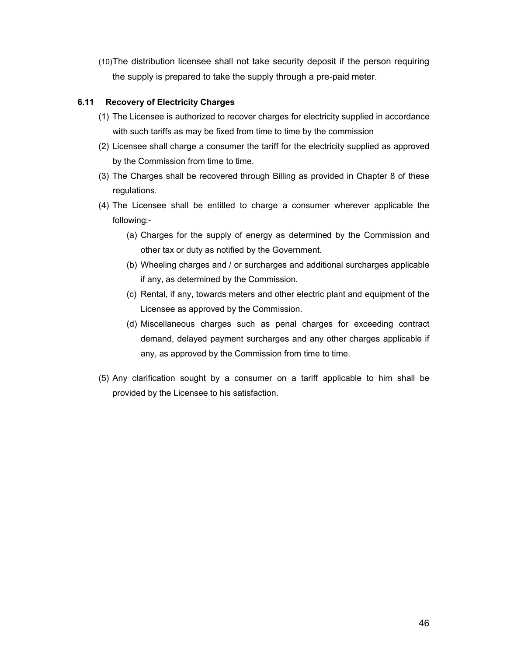(10)The distribution licensee shall not take security deposit if the person requiring the supply is prepared to take the supply through a pre-paid meter.

# **6.11 Recovery of Electricity Charges**

- (1) The Licensee is authorized to recover charges for electricity supplied in accordance with such tariffs as may be fixed from time to time by the commission
- (2) Licensee shall charge a consumer the tariff for the electricity supplied as approved by the Commission from time to time.
- (3) The Charges shall be recovered through Billing as provided in Chapter 8 of these regulations.
- (4) The Licensee shall be entitled to charge a consumer wherever applicable the following:-
	- (a) Charges for the supply of energy as determined by the Commission and other tax or duty as notified by the Government.
	- (b) Wheeling charges and / or surcharges and additional surcharges applicable if any, as determined by the Commission.
	- (c) Rental, if any, towards meters and other electric plant and equipment of the Licensee as approved by the Commission.
	- (d) Miscellaneous charges such as penal charges for exceeding contract demand, delayed payment surcharges and any other charges applicable if any, as approved by the Commission from time to time.
- (5) Any clarification sought by a consumer on a tariff applicable to him shall be provided by the Licensee to his satisfaction.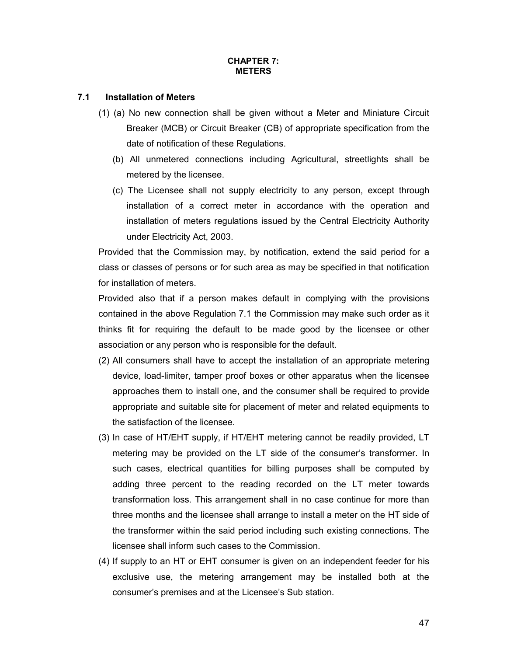## **CHAPTER 7: METERS**

# **7.1 Installation of Meters**

- (1) (a) No new connection shall be given without a Meter and Miniature Circuit Breaker (MCB) or Circuit Breaker (CB) of appropriate specification from the date of notification of these Regulations.
	- (b) All unmetered connections including Agricultural, streetlights shall be metered by the licensee.
	- (c) The Licensee shall not supply electricity to any person, except through installation of a correct meter in accordance with the operation and installation of meters regulations issued by the Central Electricity Authority under Electricity Act, 2003.

Provided that the Commission may, by notification, extend the said period for a class or classes of persons or for such area as may be specified in that notification for installation of meters.

Provided also that if a person makes default in complying with the provisions contained in the above Regulation 7.1 the Commission may make such order as it thinks fit for requiring the default to be made good by the licensee or other association or any person who is responsible for the default.

- (2) All consumers shall have to accept the installation of an appropriate metering device, load-limiter, tamper proof boxes or other apparatus when the licensee approaches them to install one, and the consumer shall be required to provide appropriate and suitable site for placement of meter and related equipments to the satisfaction of the licensee.
- (3) In case of HT/EHT supply, if HT/EHT metering cannot be readily provided, LT metering may be provided on the LT side of the consumer's transformer. In such cases, electrical quantities for billing purposes shall be computed by adding three percent to the reading recorded on the LT meter towards transformation loss. This arrangement shall in no case continue for more than three months and the licensee shall arrange to install a meter on the HT side of the transformer within the said period including such existing connections. The licensee shall inform such cases to the Commission.
- (4) If supply to an HT or EHT consumer is given on an independent feeder for his exclusive use, the metering arrangement may be installed both at the consumer's premises and at the Licensee's Sub station.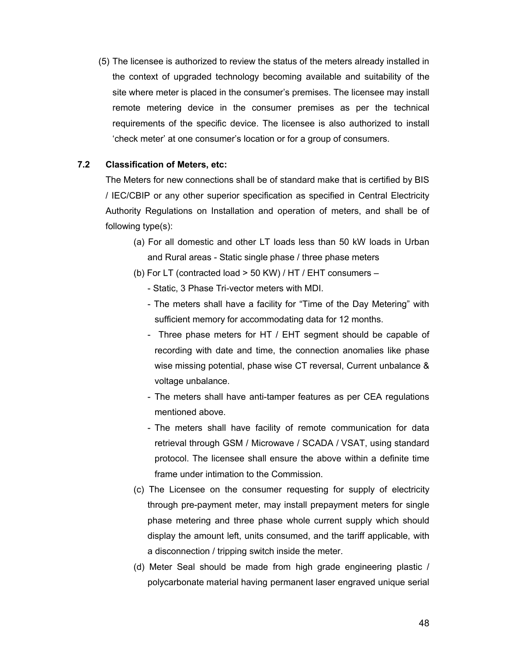(5) The licensee is authorized to review the status of the meters already installed in the context of upgraded technology becoming available and suitability of the site where meter is placed in the consumer's premises. The licensee may install remote metering device in the consumer premises as per the technical requirements of the specific device. The licensee is also authorized to install 'check meter' at one consumer's location or for a group of consumers.

# **7.2 Classification of Meters, etc:**

The Meters for new connections shall be of standard make that is certified by BIS / IEC/CBIP or any other superior specification as specified in Central Electricity Authority Regulations on Installation and operation of meters, and shall be of following type(s):

- (a) For all domestic and other LT loads less than 50 kW loads in Urban and Rural areas - Static single phase / three phase meters
- (b) For LT (contracted load > 50 KW) / HT / EHT consumers
	- Static, 3 Phase Tri-vector meters with MDI.
	- The meters shall have a facility for "Time of the Day Metering" with sufficient memory for accommodating data for 12 months.
	- Three phase meters for HT / EHT segment should be capable of recording with date and time, the connection anomalies like phase wise missing potential, phase wise CT reversal, Current unbalance & voltage unbalance.
	- The meters shall have anti-tamper features as per CEA regulations mentioned above.
	- The meters shall have facility of remote communication for data retrieval through GSM / Microwave / SCADA / VSAT, using standard protocol. The licensee shall ensure the above within a definite time frame under intimation to the Commission.
- (c) The Licensee on the consumer requesting for supply of electricity through pre-payment meter, may install prepayment meters for single phase metering and three phase whole current supply which should display the amount left, units consumed, and the tariff applicable, with a disconnection / tripping switch inside the meter.
- (d) Meter Seal should be made from high grade engineering plastic / polycarbonate material having permanent laser engraved unique serial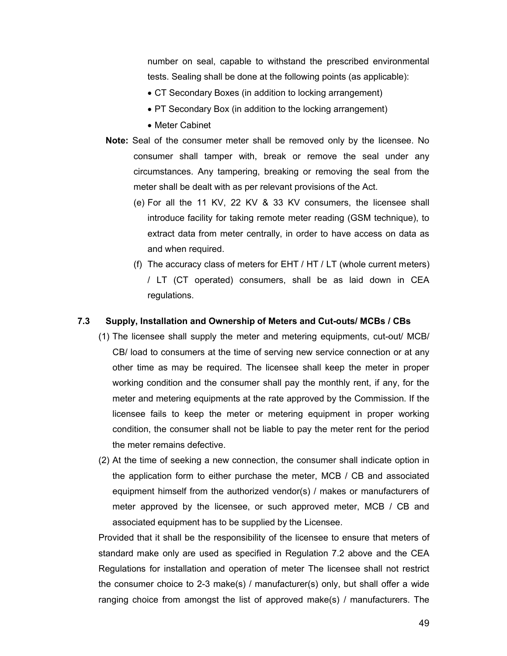number on seal, capable to withstand the prescribed environmental tests. Sealing shall be done at the following points (as applicable):

- CT Secondary Boxes (in addition to locking arrangement)
- PT Secondary Box (in addition to the locking arrangement)
- Meter Cabinet
- **Note:** Seal of the consumer meter shall be removed only by the licensee. No consumer shall tamper with, break or remove the seal under any circumstances. Any tampering, breaking or removing the seal from the meter shall be dealt with as per relevant provisions of the Act.
	- (e) For all the 11 KV, 22 KV & 33 KV consumers, the licensee shall introduce facility for taking remote meter reading (GSM technique), to extract data from meter centrally, in order to have access on data as and when required.
	- (f) The accuracy class of meters for EHT / HT / LT (whole current meters) / LT (CT operated) consumers, shall be as laid down in CEA regulations.

## **7.3 Supply, Installation and Ownership of Meters and Cut-outs/ MCBs / CBs**

- (1) The licensee shall supply the meter and metering equipments, cut-out/ MCB/ CB/ load to consumers at the time of serving new service connection or at any other time as may be required. The licensee shall keep the meter in proper working condition and the consumer shall pay the monthly rent, if any, for the meter and metering equipments at the rate approved by the Commission. If the licensee fails to keep the meter or metering equipment in proper working condition, the consumer shall not be liable to pay the meter rent for the period the meter remains defective.
- (2) At the time of seeking a new connection, the consumer shall indicate option in the application form to either purchase the meter, MCB / CB and associated equipment himself from the authorized vendor(s) / makes or manufacturers of meter approved by the licensee, or such approved meter, MCB / CB and associated equipment has to be supplied by the Licensee.

Provided that it shall be the responsibility of the licensee to ensure that meters of standard make only are used as specified in Regulation 7.2 above and the CEA Regulations for installation and operation of meter The licensee shall not restrict the consumer choice to 2-3 make(s) / manufacturer(s) only, but shall offer a wide ranging choice from amongst the list of approved make(s) / manufacturers. The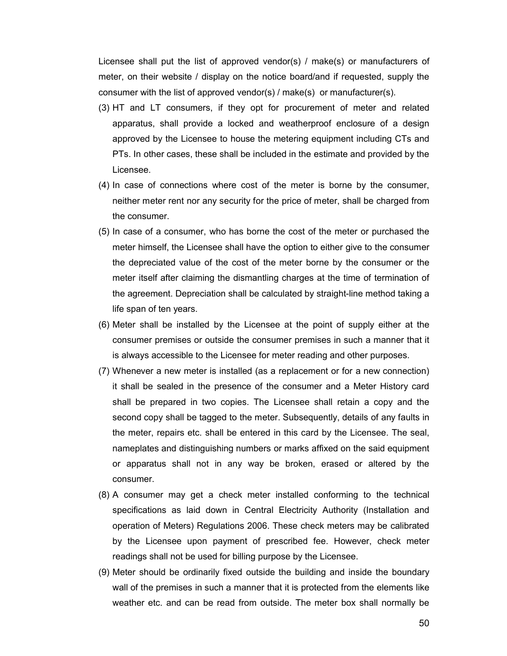Licensee shall put the list of approved vendor(s) / make(s) or manufacturers of meter, on their website / display on the notice board/and if requested, supply the consumer with the list of approved vendor(s) / make(s) or manufacturer(s).

- (3) HT and LT consumers, if they opt for procurement of meter and related apparatus, shall provide a locked and weatherproof enclosure of a design approved by the Licensee to house the metering equipment including CTs and PTs. In other cases, these shall be included in the estimate and provided by the Licensee.
- (4) In case of connections where cost of the meter is borne by the consumer, neither meter rent nor any security for the price of meter, shall be charged from the consumer.
- (5) In case of a consumer, who has borne the cost of the meter or purchased the meter himself, the Licensee shall have the option to either give to the consumer the depreciated value of the cost of the meter borne by the consumer or the meter itself after claiming the dismantling charges at the time of termination of the agreement. Depreciation shall be calculated by straight-line method taking a life span of ten years.
- (6) Meter shall be installed by the Licensee at the point of supply either at the consumer premises or outside the consumer premises in such a manner that it is always accessible to the Licensee for meter reading and other purposes.
- (7) Whenever a new meter is installed (as a replacement or for a new connection) it shall be sealed in the presence of the consumer and a Meter History card shall be prepared in two copies. The Licensee shall retain a copy and the second copy shall be tagged to the meter. Subsequently, details of any faults in the meter, repairs etc. shall be entered in this card by the Licensee. The seal, nameplates and distinguishing numbers or marks affixed on the said equipment or apparatus shall not in any way be broken, erased or altered by the consumer.
- (8) A consumer may get a check meter installed conforming to the technical specifications as laid down in Central Electricity Authority (Installation and operation of Meters) Regulations 2006. These check meters may be calibrated by the Licensee upon payment of prescribed fee. However, check meter readings shall not be used for billing purpose by the Licensee.
- (9) Meter should be ordinarily fixed outside the building and inside the boundary wall of the premises in such a manner that it is protected from the elements like weather etc. and can be read from outside. The meter box shall normally be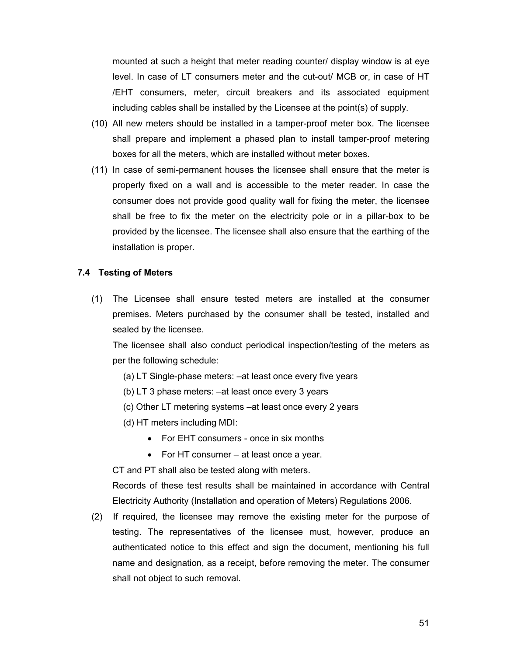mounted at such a height that meter reading counter/ display window is at eye level. In case of LT consumers meter and the cut-out/ MCB or, in case of HT /EHT consumers, meter, circuit breakers and its associated equipment including cables shall be installed by the Licensee at the point(s) of supply.

- (10) All new meters should be installed in a tamper-proof meter box. The licensee shall prepare and implement a phased plan to install tamper-proof metering boxes for all the meters, which are installed without meter boxes.
- (11) In case of semi-permanent houses the licensee shall ensure that the meter is properly fixed on a wall and is accessible to the meter reader. In case the consumer does not provide good quality wall for fixing the meter, the licensee shall be free to fix the meter on the electricity pole or in a pillar-box to be provided by the licensee. The licensee shall also ensure that the earthing of the installation is proper.

# **7.4 Testing of Meters**

(1) The Licensee shall ensure tested meters are installed at the consumer premises. Meters purchased by the consumer shall be tested, installed and sealed by the licensee.

The licensee shall also conduct periodical inspection/testing of the meters as per the following schedule:

- (a) LT Single-phase meters: –at least once every five years
- (b) LT 3 phase meters: –at least once every 3 years
- (c) Other LT metering systems –at least once every 2 years
- (d) HT meters including MDI:
	- For EHT consumers once in six months
	- For HT consumer at least once a year.

CT and PT shall also be tested along with meters.

Records of these test results shall be maintained in accordance with Central Electricity Authority (Installation and operation of Meters) Regulations 2006.

(2) If required, the licensee may remove the existing meter for the purpose of testing. The representatives of the licensee must, however, produce an authenticated notice to this effect and sign the document, mentioning his full name and designation, as a receipt, before removing the meter. The consumer shall not object to such removal.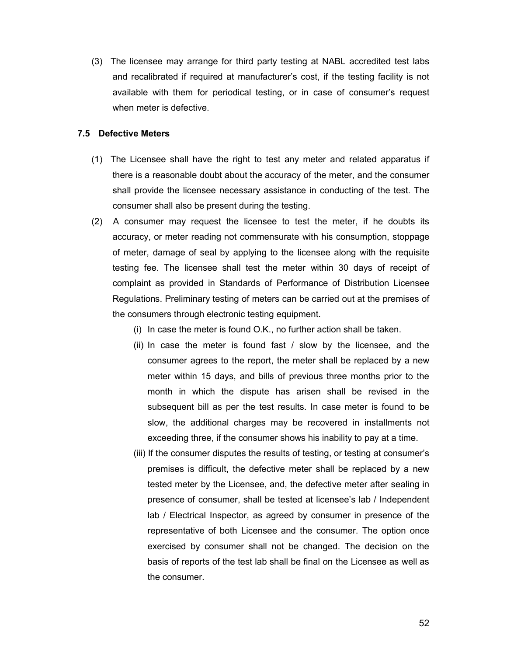(3) The licensee may arrange for third party testing at NABL accredited test labs and recalibrated if required at manufacturer's cost, if the testing facility is not available with them for periodical testing, or in case of consumer's request when meter is defective.

# **7.5 Defective Meters**

- (1) The Licensee shall have the right to test any meter and related apparatus if there is a reasonable doubt about the accuracy of the meter, and the consumer shall provide the licensee necessary assistance in conducting of the test. The consumer shall also be present during the testing.
- (2) A consumer may request the licensee to test the meter, if he doubts its accuracy, or meter reading not commensurate with his consumption, stoppage of meter, damage of seal by applying to the licensee along with the requisite testing fee. The licensee shall test the meter within 30 days of receipt of complaint as provided in Standards of Performance of Distribution Licensee Regulations. Preliminary testing of meters can be carried out at the premises of the consumers through electronic testing equipment.
	- (i) In case the meter is found O.K., no further action shall be taken.
	- (ii) In case the meter is found fast  $\ell$  slow by the licensee, and the consumer agrees to the report, the meter shall be replaced by a new meter within 15 days, and bills of previous three months prior to the month in which the dispute has arisen shall be revised in the subsequent bill as per the test results. In case meter is found to be slow, the additional charges may be recovered in installments not exceeding three, if the consumer shows his inability to pay at a time.
	- (iii) If the consumer disputes the results of testing, or testing at consumer's premises is difficult, the defective meter shall be replaced by a new tested meter by the Licensee, and, the defective meter after sealing in presence of consumer, shall be tested at licensee's lab / Independent lab / Electrical Inspector, as agreed by consumer in presence of the representative of both Licensee and the consumer. The option once exercised by consumer shall not be changed. The decision on the basis of reports of the test lab shall be final on the Licensee as well as the consumer.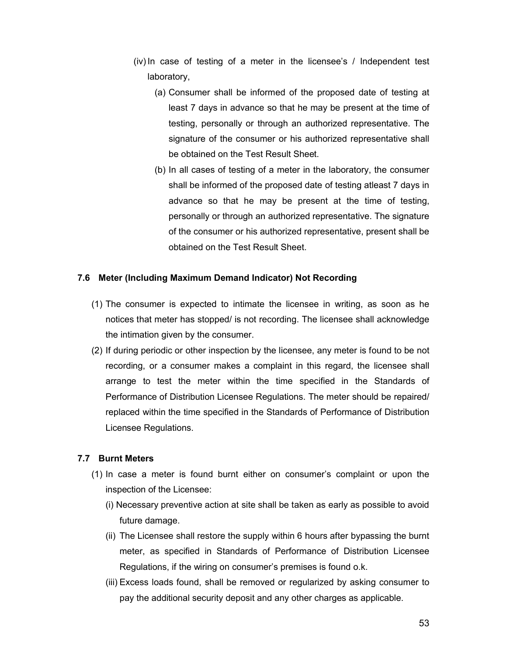- (iv) In case of testing of a meter in the licensee's / Independent test laboratory,
	- (a) Consumer shall be informed of the proposed date of testing at least 7 days in advance so that he may be present at the time of testing, personally or through an authorized representative. The signature of the consumer or his authorized representative shall be obtained on the Test Result Sheet.
	- (b) In all cases of testing of a meter in the laboratory, the consumer shall be informed of the proposed date of testing atleast 7 days in advance so that he may be present at the time of testing, personally or through an authorized representative. The signature of the consumer or his authorized representative, present shall be obtained on the Test Result Sheet.

# **7.6 Meter (Including Maximum Demand Indicator) Not Recording**

- (1) The consumer is expected to intimate the licensee in writing, as soon as he notices that meter has stopped/ is not recording. The licensee shall acknowledge the intimation given by the consumer.
- (2) If during periodic or other inspection by the licensee, any meter is found to be not recording, or a consumer makes a complaint in this regard, the licensee shall arrange to test the meter within the time specified in the Standards of Performance of Distribution Licensee Regulations. The meter should be repaired/ replaced within the time specified in the Standards of Performance of Distribution Licensee Regulations.

## **7.7 Burnt Meters**

- (1) In case a meter is found burnt either on consumer's complaint or upon the inspection of the Licensee:
	- (i) Necessary preventive action at site shall be taken as early as possible to avoid future damage.
	- (ii) The Licensee shall restore the supply within 6 hours after bypassing the burnt meter, as specified in Standards of Performance of Distribution Licensee Regulations, if the wiring on consumer's premises is found o.k.
	- (iii) Excess loads found, shall be removed or regularized by asking consumer to pay the additional security deposit and any other charges as applicable.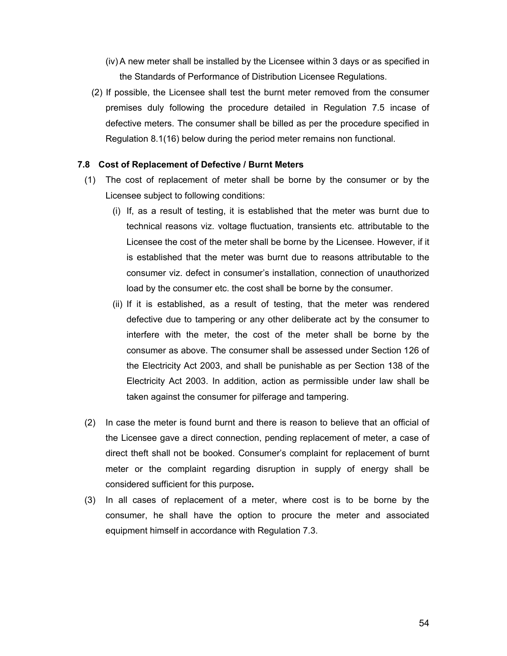- (iv) A new meter shall be installed by the Licensee within 3 days or as specified in the Standards of Performance of Distribution Licensee Regulations.
- (2) If possible, the Licensee shall test the burnt meter removed from the consumer premises duly following the procedure detailed in Regulation 7.5 incase of defective meters. The consumer shall be billed as per the procedure specified in Regulation 8.1(16) below during the period meter remains non functional.

#### **7.8 Cost of Replacement of Defective / Burnt Meters**

- (1) The cost of replacement of meter shall be borne by the consumer or by the Licensee subject to following conditions:
	- (i) If, as a result of testing, it is established that the meter was burnt due to technical reasons viz. voltage fluctuation, transients etc. attributable to the Licensee the cost of the meter shall be borne by the Licensee. However, if it is established that the meter was burnt due to reasons attributable to the consumer viz. defect in consumer's installation, connection of unauthorized load by the consumer etc. the cost shall be borne by the consumer.
	- (ii) If it is established, as a result of testing, that the meter was rendered defective due to tampering or any other deliberate act by the consumer to interfere with the meter, the cost of the meter shall be borne by the consumer as above. The consumer shall be assessed under Section 126 of the Electricity Act 2003, and shall be punishable as per Section 138 of the Electricity Act 2003. In addition, action as permissible under law shall be taken against the consumer for pilferage and tampering.
- (2) In case the meter is found burnt and there is reason to believe that an official of the Licensee gave a direct connection, pending replacement of meter, a case of direct theft shall not be booked. Consumer's complaint for replacement of burnt meter or the complaint regarding disruption in supply of energy shall be considered sufficient for this purpose**.**
- (3) In all cases of replacement of a meter, where cost is to be borne by the consumer, he shall have the option to procure the meter and associated equipment himself in accordance with Regulation 7.3.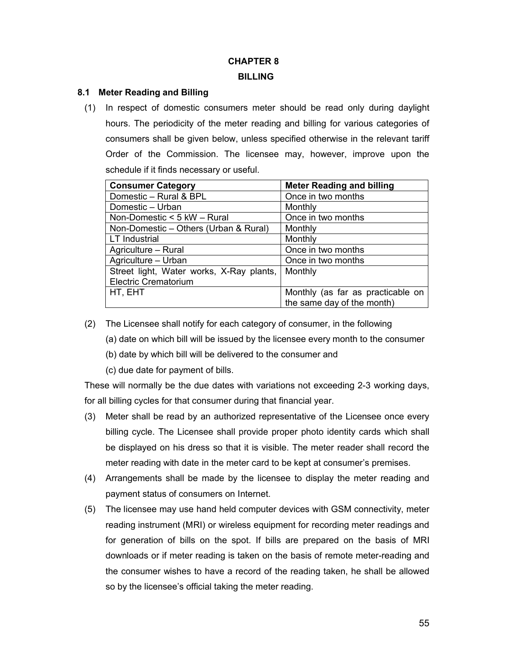# **CHAPTER 8 BILLING**

# **8.1 Meter Reading and Billing**

(1) In respect of domestic consumers meter should be read only during daylight hours. The periodicity of the meter reading and billing for various categories of consumers shall be given below, unless specified otherwise in the relevant tariff Order of the Commission. The licensee may, however, improve upon the schedule if it finds necessary or useful.

| <b>Consumer Category</b>                 | <b>Meter Reading and billing</b>  |
|------------------------------------------|-----------------------------------|
| Domestic - Rural & BPL                   | Once in two months                |
| Domestic - Urban                         | Monthly                           |
| Non-Domestic < 5 kW - Rural              | Once in two months                |
| Non-Domestic - Others (Urban & Rural)    | Monthly                           |
| <b>LT</b> Industrial                     | Monthly                           |
| Agriculture - Rural                      | Once in two months                |
| Agriculture - Urban                      | Once in two months                |
| Street light, Water works, X-Ray plants, | Monthly                           |
| <b>Electric Crematorium</b>              |                                   |
| HT, EHT                                  | Monthly (as far as practicable on |
|                                          | the same day of the month)        |

- (2) The Licensee shall notify for each category of consumer, in the following
	- (a) date on which bill will be issued by the licensee every month to the consumer
	- (b) date by which bill will be delivered to the consumer and
	- (c) due date for payment of bills.

These will normally be the due dates with variations not exceeding 2-3 working days, for all billing cycles for that consumer during that financial year.

- (3) Meter shall be read by an authorized representative of the Licensee once every billing cycle. The Licensee shall provide proper photo identity cards which shall be displayed on his dress so that it is visible. The meter reader shall record the meter reading with date in the meter card to be kept at consumer's premises.
- (4) Arrangements shall be made by the licensee to display the meter reading and payment status of consumers on Internet.
- (5) The licensee may use hand held computer devices with GSM connectivity, meter reading instrument (MRI) or wireless equipment for recording meter readings and for generation of bills on the spot. If bills are prepared on the basis of MRI downloads or if meter reading is taken on the basis of remote meter-reading and the consumer wishes to have a record of the reading taken, he shall be allowed so by the licensee's official taking the meter reading.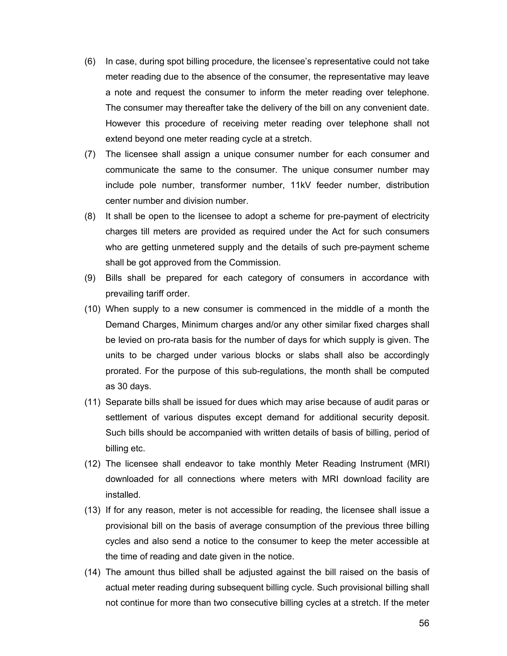- (6) In case, during spot billing procedure, the licensee's representative could not take meter reading due to the absence of the consumer, the representative may leave a note and request the consumer to inform the meter reading over telephone. The consumer may thereafter take the delivery of the bill on any convenient date. However this procedure of receiving meter reading over telephone shall not extend beyond one meter reading cycle at a stretch.
- (7) The licensee shall assign a unique consumer number for each consumer and communicate the same to the consumer. The unique consumer number may include pole number, transformer number, 11kV feeder number, distribution center number and division number.
- (8) It shall be open to the licensee to adopt a scheme for pre-payment of electricity charges till meters are provided as required under the Act for such consumers who are getting unmetered supply and the details of such pre-payment scheme shall be got approved from the Commission.
- (9) Bills shall be prepared for each category of consumers in accordance with prevailing tariff order.
- (10) When supply to a new consumer is commenced in the middle of a month the Demand Charges, Minimum charges and/or any other similar fixed charges shall be levied on pro-rata basis for the number of days for which supply is given. The units to be charged under various blocks or slabs shall also be accordingly prorated. For the purpose of this sub-regulations, the month shall be computed as 30 days.
- (11) Separate bills shall be issued for dues which may arise because of audit paras or settlement of various disputes except demand for additional security deposit. Such bills should be accompanied with written details of basis of billing, period of billing etc.
- (12) The licensee shall endeavor to take monthly Meter Reading Instrument (MRI) downloaded for all connections where meters with MRI download facility are installed.
- (13) If for any reason, meter is not accessible for reading, the licensee shall issue a provisional bill on the basis of average consumption of the previous three billing cycles and also send a notice to the consumer to keep the meter accessible at the time of reading and date given in the notice.
- (14) The amount thus billed shall be adjusted against the bill raised on the basis of actual meter reading during subsequent billing cycle. Such provisional billing shall not continue for more than two consecutive billing cycles at a stretch. If the meter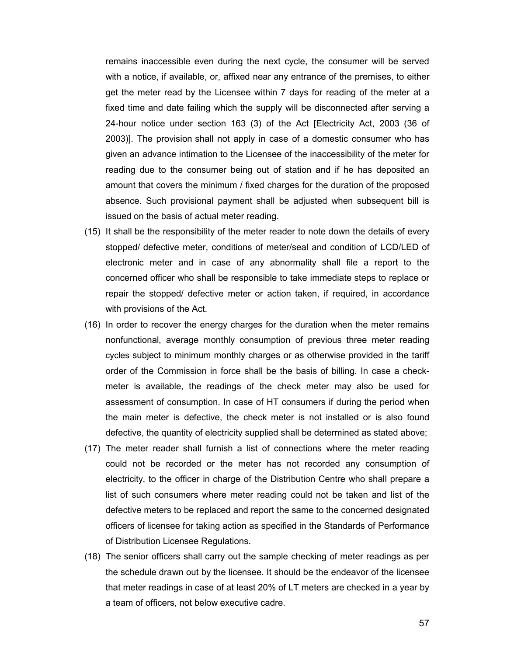remains inaccessible even during the next cycle, the consumer will be served with a notice, if available, or, affixed near any entrance of the premises, to either get the meter read by the Licensee within 7 days for reading of the meter at a fixed time and date failing which the supply will be disconnected after serving a 24-hour notice under section 163 (3) of the Act [Electricity Act, 2003 (36 of 2003)]. The provision shall not apply in case of a domestic consumer who has given an advance intimation to the Licensee of the inaccessibility of the meter for reading due to the consumer being out of station and if he has deposited an amount that covers the minimum / fixed charges for the duration of the proposed absence. Such provisional payment shall be adjusted when subsequent bill is issued on the basis of actual meter reading.

- (15) It shall be the responsibility of the meter reader to note down the details of every stopped/ defective meter, conditions of meter/seal and condition of LCD/LED of electronic meter and in case of any abnormality shall file a report to the concerned officer who shall be responsible to take immediate steps to replace or repair the stopped/ defective meter or action taken, if required, in accordance with provisions of the Act.
- (16) In order to recover the energy charges for the duration when the meter remains nonfunctional, average monthly consumption of previous three meter reading cycles subject to minimum monthly charges or as otherwise provided in the tariff order of the Commission in force shall be the basis of billing. In case a checkmeter is available, the readings of the check meter may also be used for assessment of consumption. In case of HT consumers if during the period when the main meter is defective, the check meter is not installed or is also found defective, the quantity of electricity supplied shall be determined as stated above;
- (17) The meter reader shall furnish a list of connections where the meter reading could not be recorded or the meter has not recorded any consumption of electricity, to the officer in charge of the Distribution Centre who shall prepare a list of such consumers where meter reading could not be taken and list of the defective meters to be replaced and report the same to the concerned designated officers of licensee for taking action as specified in the Standards of Performance of Distribution Licensee Regulations.
- (18) The senior officers shall carry out the sample checking of meter readings as per the schedule drawn out by the licensee. It should be the endeavor of the licensee that meter readings in case of at least 20% of LT meters are checked in a year by a team of officers, not below executive cadre.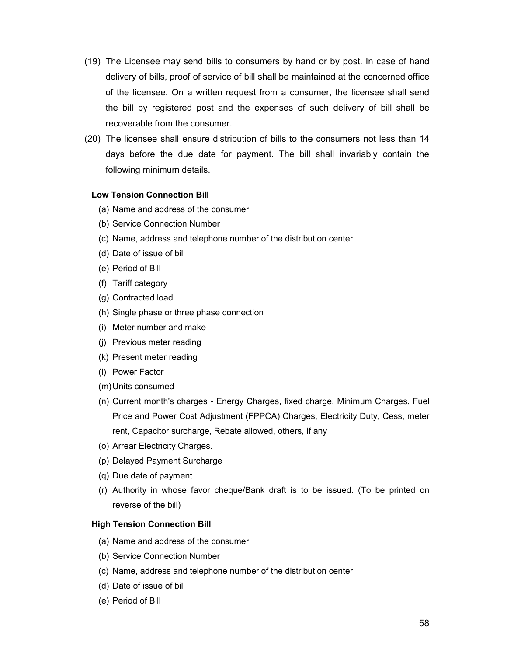- (19) The Licensee may send bills to consumers by hand or by post. In case of hand delivery of bills, proof of service of bill shall be maintained at the concerned office of the licensee. On a written request from a consumer, the licensee shall send the bill by registered post and the expenses of such delivery of bill shall be recoverable from the consumer.
- (20) The licensee shall ensure distribution of bills to the consumers not less than 14 days before the due date for payment. The bill shall invariably contain the following minimum details.

#### **Low Tension Connection Bill**

- (a) Name and address of the consumer
- (b) Service Connection Number
- (c) Name, address and telephone number of the distribution center
- (d) Date of issue of bill
- (e) Period of Bill
- (f) Tariff category
- (g) Contracted load
- (h) Single phase or three phase connection
- (i) Meter number and make
- (j) Previous meter reading
- (k) Present meter reading
- (l) Power Factor
- (m)Units consumed
- (n) Current month's charges Energy Charges, fixed charge, Minimum Charges, Fuel Price and Power Cost Adjustment (FPPCA) Charges, Electricity Duty, Cess, meter rent, Capacitor surcharge, Rebate allowed, others, if any
- (o) Arrear Electricity Charges.
- (p) Delayed Payment Surcharge
- (q) Due date of payment
- (r) Authority in whose favor cheque/Bank draft is to be issued. (To be printed on reverse of the bill)

#### **High Tension Connection Bill**

- (a) Name and address of the consumer
- (b) Service Connection Number
- (c) Name, address and telephone number of the distribution center
- (d) Date of issue of bill
- (e) Period of Bill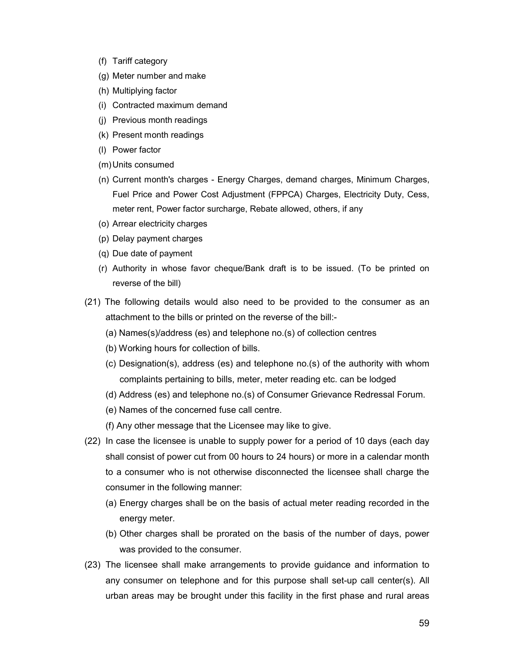- (f) Tariff category
- (g) Meter number and make
- (h) Multiplying factor
- (i) Contracted maximum demand
- (j) Previous month readings
- (k) Present month readings
- (l) Power factor
- (m)Units consumed
- (n) Current month's charges Energy Charges, demand charges, Minimum Charges, Fuel Price and Power Cost Adjustment (FPPCA) Charges, Electricity Duty, Cess, meter rent, Power factor surcharge, Rebate allowed, others, if any
- (o) Arrear electricity charges
- (p) Delay payment charges
- (q) Due date of payment
- (r) Authority in whose favor cheque/Bank draft is to be issued. (To be printed on reverse of the bill)
- (21) The following details would also need to be provided to the consumer as an attachment to the bills or printed on the reverse of the bill:-
	- (a) Names(s)/address (es) and telephone no.(s) of collection centres
	- (b) Working hours for collection of bills.
	- (c) Designation(s), address (es) and telephone no.(s) of the authority with whom complaints pertaining to bills, meter, meter reading etc. can be lodged
	- (d) Address (es) and telephone no.(s) of Consumer Grievance Redressal Forum.
	- (e) Names of the concerned fuse call centre.
	- (f) Any other message that the Licensee may like to give.
- (22) In case the licensee is unable to supply power for a period of 10 days (each day shall consist of power cut from 00 hours to 24 hours) or more in a calendar month to a consumer who is not otherwise disconnected the licensee shall charge the consumer in the following manner:
	- (a) Energy charges shall be on the basis of actual meter reading recorded in the energy meter.
	- (b) Other charges shall be prorated on the basis of the number of days, power was provided to the consumer.
- (23) The licensee shall make arrangements to provide guidance and information to any consumer on telephone and for this purpose shall set-up call center(s). All urban areas may be brought under this facility in the first phase and rural areas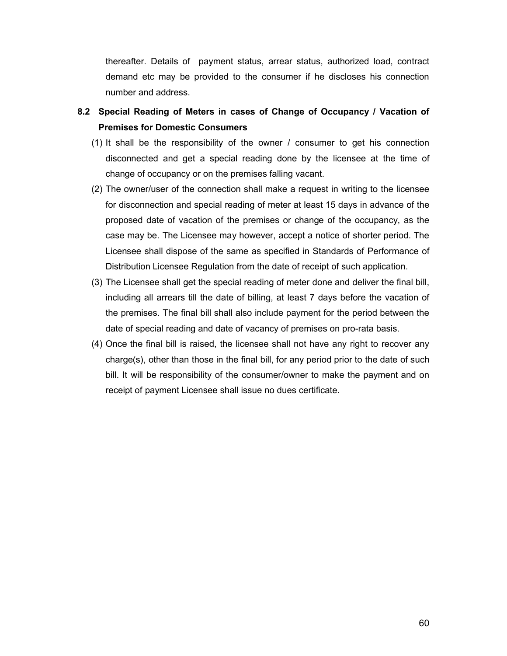thereafter. Details of payment status, arrear status, authorized load, contract demand etc may be provided to the consumer if he discloses his connection number and address.

- **8.2 Special Reading of Meters in cases of Change of Occupancy / Vacation of Premises for Domestic Consumers**
	- (1) It shall be the responsibility of the owner / consumer to get his connection disconnected and get a special reading done by the licensee at the time of change of occupancy or on the premises falling vacant.
	- (2) The owner/user of the connection shall make a request in writing to the licensee for disconnection and special reading of meter at least 15 days in advance of the proposed date of vacation of the premises or change of the occupancy, as the case may be. The Licensee may however, accept a notice of shorter period. The Licensee shall dispose of the same as specified in Standards of Performance of Distribution Licensee Regulation from the date of receipt of such application.
	- (3) The Licensee shall get the special reading of meter done and deliver the final bill, including all arrears till the date of billing, at least 7 days before the vacation of the premises. The final bill shall also include payment for the period between the date of special reading and date of vacancy of premises on pro-rata basis.
	- (4) Once the final bill is raised, the licensee shall not have any right to recover any charge(s), other than those in the final bill, for any period prior to the date of such bill. It will be responsibility of the consumer/owner to make the payment and on receipt of payment Licensee shall issue no dues certificate.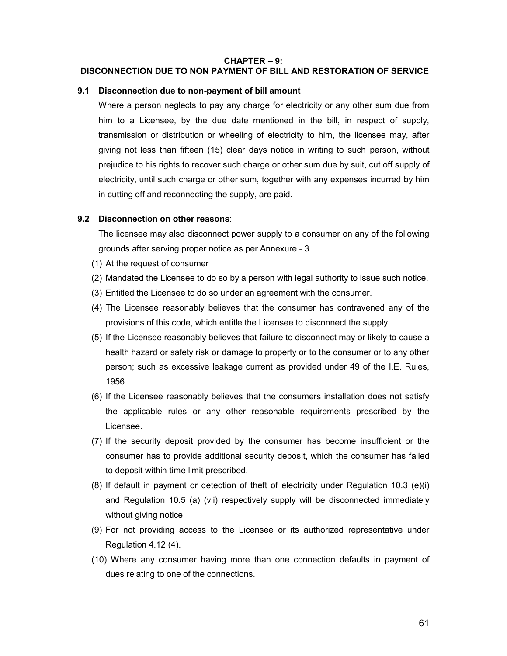#### **CHAPTER – 9:**

### **DISCONNECTION DUE TO NON PAYMENT OF BILL AND RESTORATION OF SERVICE**

#### **9.1 Disconnection due to non-payment of bill amount**

Where a person neglects to pay any charge for electricity or any other sum due from him to a Licensee, by the due date mentioned in the bill, in respect of supply, transmission or distribution or wheeling of electricity to him, the licensee may, after giving not less than fifteen (15) clear days notice in writing to such person, without prejudice to his rights to recover such charge or other sum due by suit, cut off supply of electricity, until such charge or other sum, together with any expenses incurred by him in cutting off and reconnecting the supply, are paid.

#### **9.2 Disconnection on other reasons**:

The licensee may also disconnect power supply to a consumer on any of the following grounds after serving proper notice as per Annexure - 3

- (1) At the request of consumer
- (2) Mandated the Licensee to do so by a person with legal authority to issue such notice.
- (3) Entitled the Licensee to do so under an agreement with the consumer.
- (4) The Licensee reasonably believes that the consumer has contravened any of the provisions of this code, which entitle the Licensee to disconnect the supply.
- (5) If the Licensee reasonably believes that failure to disconnect may or likely to cause a health hazard or safety risk or damage to property or to the consumer or to any other person; such as excessive leakage current as provided under 49 of the I.E. Rules, 1956.
- (6) If the Licensee reasonably believes that the consumers installation does not satisfy the applicable rules or any other reasonable requirements prescribed by the Licensee.
- (7) If the security deposit provided by the consumer has become insufficient or the consumer has to provide additional security deposit, which the consumer has failed to deposit within time limit prescribed.
- (8) If default in payment or detection of theft of electricity under Regulation 10.3 (e)(i) and Regulation 10.5 (a) (vii) respectively supply will be disconnected immediately without giving notice.
- (9) For not providing access to the Licensee or its authorized representative under Regulation 4.12 (4).
- (10) Where any consumer having more than one connection defaults in payment of dues relating to one of the connections.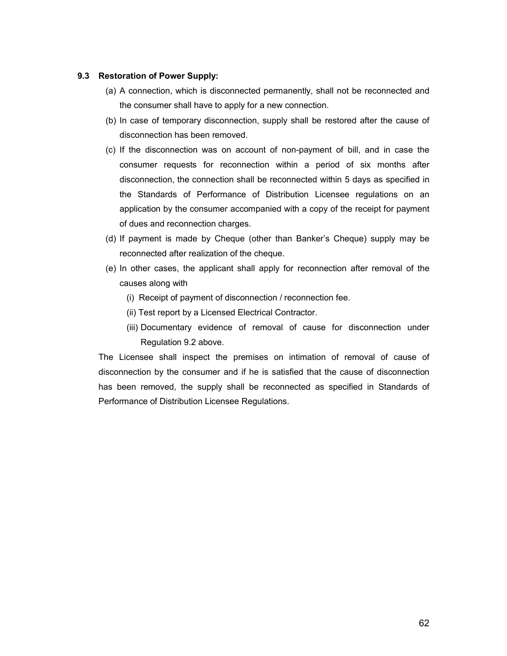## **9.3 Restoration of Power Supply:**

- (a) A connection, which is disconnected permanently, shall not be reconnected and the consumer shall have to apply for a new connection.
- (b) In case of temporary disconnection, supply shall be restored after the cause of disconnection has been removed.
- (c) If the disconnection was on account of non-payment of bill, and in case the consumer requests for reconnection within a period of six months after disconnection, the connection shall be reconnected within 5 days as specified in the Standards of Performance of Distribution Licensee regulations on an application by the consumer accompanied with a copy of the receipt for payment of dues and reconnection charges.
- (d) If payment is made by Cheque (other than Banker's Cheque) supply may be reconnected after realization of the cheque.
- (e) In other cases, the applicant shall apply for reconnection after removal of the causes along with
	- (i) Receipt of payment of disconnection / reconnection fee.
	- (ii) Test report by a Licensed Electrical Contractor.
	- (iii) Documentary evidence of removal of cause for disconnection under Regulation 9.2 above.

The Licensee shall inspect the premises on intimation of removal of cause of disconnection by the consumer and if he is satisfied that the cause of disconnection has been removed, the supply shall be reconnected as specified in Standards of Performance of Distribution Licensee Regulations.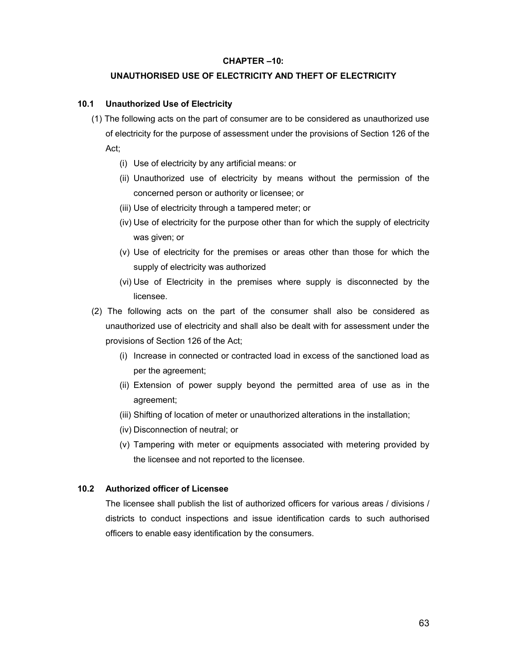#### **CHAPTER –10:**

#### **UNAUTHORISED USE OF ELECTRICITY AND THEFT OF ELECTRICITY**

#### **10.1 Unauthorized Use of Electricity**

- (1) The following acts on the part of consumer are to be considered as unauthorized use of electricity for the purpose of assessment under the provisions of Section 126 of the Act;
	- (i) Use of electricity by any artificial means: or
	- (ii) Unauthorized use of electricity by means without the permission of the concerned person or authority or licensee; or
	- (iii) Use of electricity through a tampered meter; or
	- (iv) Use of electricity for the purpose other than for which the supply of electricity was given; or
	- (v) Use of electricity for the premises or areas other than those for which the supply of electricity was authorized
	- (vi) Use of Electricity in the premises where supply is disconnected by the licensee.
- (2) The following acts on the part of the consumer shall also be considered as unauthorized use of electricity and shall also be dealt with for assessment under the provisions of Section 126 of the Act;
	- (i) Increase in connected or contracted load in excess of the sanctioned load as per the agreement;
	- (ii) Extension of power supply beyond the permitted area of use as in the agreement;
	- (iii) Shifting of location of meter or unauthorized alterations in the installation;
	- (iv) Disconnection of neutral; or
	- (v) Tampering with meter or equipments associated with metering provided by the licensee and not reported to the licensee.

#### **10.2 Authorized officer of Licensee**

The licensee shall publish the list of authorized officers for various areas / divisions / districts to conduct inspections and issue identification cards to such authorised officers to enable easy identification by the consumers.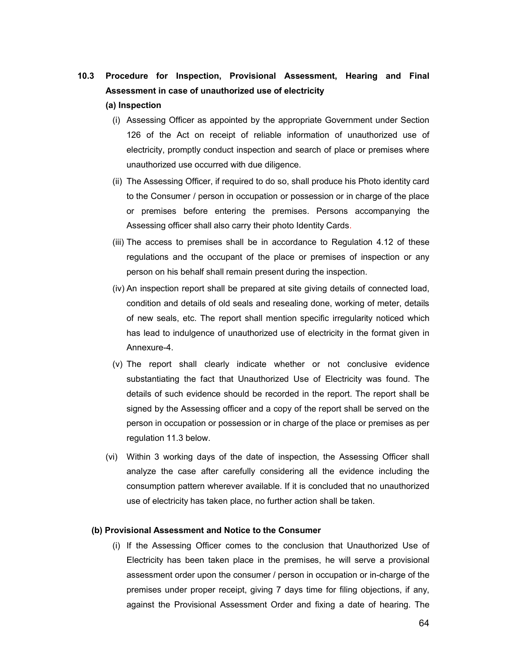# **10.3 Procedure for Inspection, Provisional Assessment, Hearing and Final Assessment in case of unauthorized use of electricity**

#### **(a) Inspection**

- (i) Assessing Officer as appointed by the appropriate Government under Section 126 of the Act on receipt of reliable information of unauthorized use of electricity, promptly conduct inspection and search of place or premises where unauthorized use occurred with due diligence.
- (ii) The Assessing Officer, if required to do so, shall produce his Photo identity card to the Consumer / person in occupation or possession or in charge of the place or premises before entering the premises. Persons accompanying the Assessing officer shall also carry their photo Identity Cards.
- (iii) The access to premises shall be in accordance to Regulation 4.12 of these regulations and the occupant of the place or premises of inspection or any person on his behalf shall remain present during the inspection.
- (iv) An inspection report shall be prepared at site giving details of connected load, condition and details of old seals and resealing done, working of meter, details of new seals, etc. The report shall mention specific irregularity noticed which has lead to indulgence of unauthorized use of electricity in the format given in Annexure-4.
- (v) The report shall clearly indicate whether or not conclusive evidence substantiating the fact that Unauthorized Use of Electricity was found. The details of such evidence should be recorded in the report. The report shall be signed by the Assessing officer and a copy of the report shall be served on the person in occupation or possession or in charge of the place or premises as per regulation 11.3 below.
- (vi) Within 3 working days of the date of inspection, the Assessing Officer shall analyze the case after carefully considering all the evidence including the consumption pattern wherever available. If it is concluded that no unauthorized use of electricity has taken place, no further action shall be taken.

#### **(b) Provisional Assessment and Notice to the Consumer**

(i) If the Assessing Officer comes to the conclusion that Unauthorized Use of Electricity has been taken place in the premises, he will serve a provisional assessment order upon the consumer / person in occupation or in-charge of the premises under proper receipt, giving 7 days time for filing objections, if any, against the Provisional Assessment Order and fixing a date of hearing. The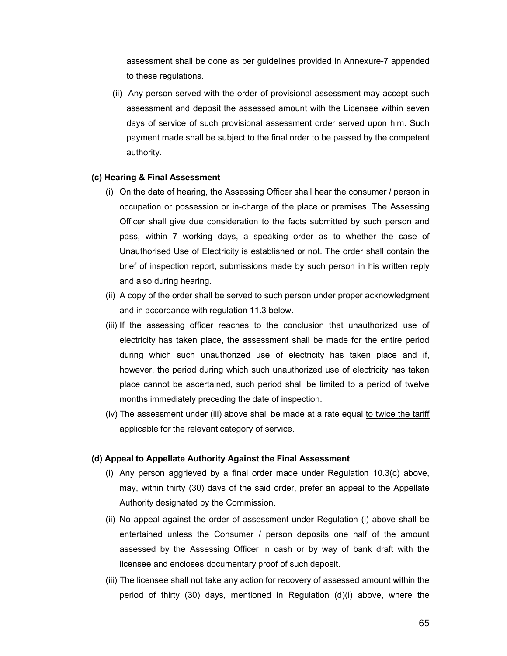assessment shall be done as per guidelines provided in Annexure-7 appended to these regulations.

(ii) Any person served with the order of provisional assessment may accept such assessment and deposit the assessed amount with the Licensee within seven days of service of such provisional assessment order served upon him. Such payment made shall be subject to the final order to be passed by the competent authority.

#### **(c) Hearing & Final Assessment**

- (i) On the date of hearing, the Assessing Officer shall hear the consumer / person in occupation or possession or in-charge of the place or premises. The Assessing Officer shall give due consideration to the facts submitted by such person and pass, within 7 working days, a speaking order as to whether the case of Unauthorised Use of Electricity is established or not. The order shall contain the brief of inspection report, submissions made by such person in his written reply and also during hearing.
- (ii) A copy of the order shall be served to such person under proper acknowledgment and in accordance with regulation 11.3 below.
- (iii) If the assessing officer reaches to the conclusion that unauthorized use of electricity has taken place, the assessment shall be made for the entire period during which such unauthorized use of electricity has taken place and if, however, the period during which such unauthorized use of electricity has taken place cannot be ascertained, such period shall be limited to a period of twelve months immediately preceding the date of inspection.
- (iv) The assessment under (iii) above shall be made at a rate equal to twice the tariff applicable for the relevant category of service.

#### **(d) Appeal to Appellate Authority Against the Final Assessment**

- (i) Any person aggrieved by a final order made under Regulation 10.3(c) above, may, within thirty (30) days of the said order, prefer an appeal to the Appellate Authority designated by the Commission.
- (ii) No appeal against the order of assessment under Regulation (i) above shall be entertained unless the Consumer / person deposits one half of the amount assessed by the Assessing Officer in cash or by way of bank draft with the licensee and encloses documentary proof of such deposit.
- (iii) The licensee shall not take any action for recovery of assessed amount within the period of thirty (30) days, mentioned in Regulation (d)(i) above, where the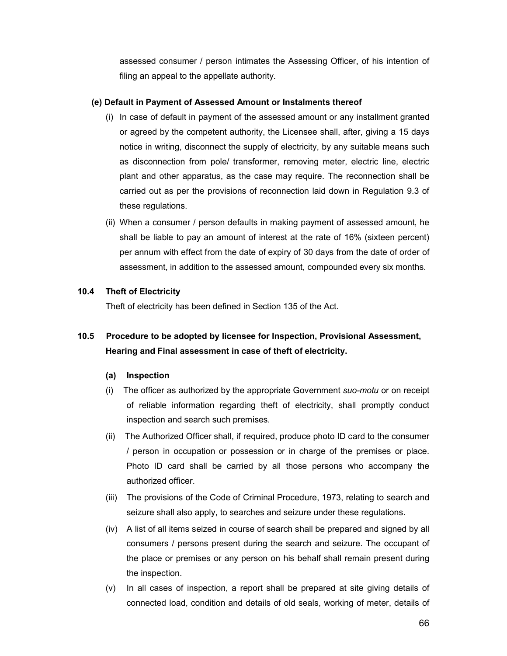assessed consumer / person intimates the Assessing Officer, of his intention of filing an appeal to the appellate authority.

# **(e) Default in Payment of Assessed Amount or Instalments thereof**

- (i) In case of default in payment of the assessed amount or any installment granted or agreed by the competent authority, the Licensee shall, after, giving a 15 days notice in writing, disconnect the supply of electricity, by any suitable means such as disconnection from pole/ transformer, removing meter, electric line, electric plant and other apparatus, as the case may require. The reconnection shall be carried out as per the provisions of reconnection laid down in Regulation 9.3 of these regulations.
- (ii) When a consumer / person defaults in making payment of assessed amount, he shall be liable to pay an amount of interest at the rate of 16% (sixteen percent) per annum with effect from the date of expiry of 30 days from the date of order of assessment, in addition to the assessed amount, compounded every six months.

# **10.4 Theft of Electricity**

Theft of electricity has been defined in Section 135 of the Act.

# **10.5 Procedure to be adopted by licensee for Inspection, Provisional Assessment, Hearing and Final assessment in case of theft of electricity.**

## **(a) Inspection**

- (i) The officer as authorized by the appropriate Government *suo-motu* or on receipt of reliable information regarding theft of electricity, shall promptly conduct inspection and search such premises.
- (ii) The Authorized Officer shall, if required, produce photo ID card to the consumer / person in occupation or possession or in charge of the premises or place. Photo ID card shall be carried by all those persons who accompany the authorized officer.
- (iii) The provisions of the Code of Criminal Procedure, 1973, relating to search and seizure shall also apply, to searches and seizure under these regulations.
- (iv) A list of all items seized in course of search shall be prepared and signed by all consumers / persons present during the search and seizure. The occupant of the place or premises or any person on his behalf shall remain present during the inspection.
- (v) In all cases of inspection, a report shall be prepared at site giving details of connected load, condition and details of old seals, working of meter, details of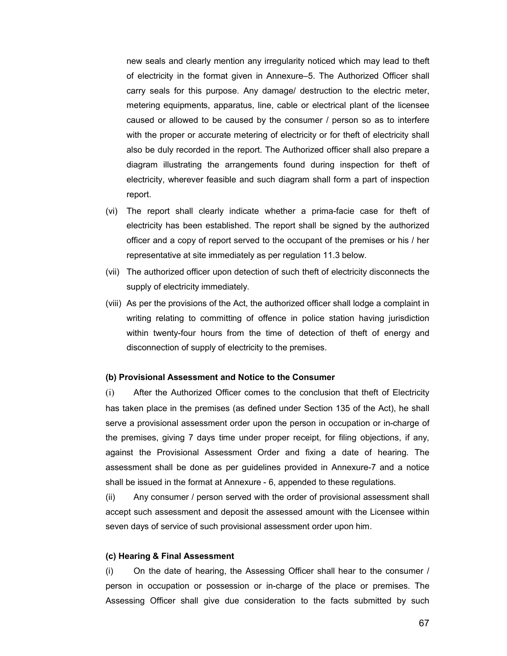new seals and clearly mention any irregularity noticed which may lead to theft of electricity in the format given in Annexure–5. The Authorized Officer shall carry seals for this purpose. Any damage/ destruction to the electric meter, metering equipments, apparatus, line, cable or electrical plant of the licensee caused or allowed to be caused by the consumer / person so as to interfere with the proper or accurate metering of electricity or for theft of electricity shall also be duly recorded in the report. The Authorized officer shall also prepare a diagram illustrating the arrangements found during inspection for theft of electricity, wherever feasible and such diagram shall form a part of inspection report.

- (vi) The report shall clearly indicate whether a prima-facie case for theft of electricity has been established. The report shall be signed by the authorized officer and a copy of report served to the occupant of the premises or his / her representative at site immediately as per regulation 11.3 below.
- (vii) The authorized officer upon detection of such theft of electricity disconnects the supply of electricity immediately.
- (viii) As per the provisions of the Act, the authorized officer shall lodge a complaint in writing relating to committing of offence in police station having jurisdiction within twenty-four hours from the time of detection of theft of energy and disconnection of supply of electricity to the premises.

#### **(b) Provisional Assessment and Notice to the Consumer**

(i) After the Authorized Officer comes to the conclusion that theft of Electricity has taken place in the premises (as defined under Section 135 of the Act), he shall serve a provisional assessment order upon the person in occupation or in-charge of the premises, giving 7 days time under proper receipt, for filing objections, if any, against the Provisional Assessment Order and fixing a date of hearing. The assessment shall be done as per guidelines provided in Annexure-7 and a notice shall be issued in the format at Annexure - 6, appended to these regulations.

(ii) Any consumer / person served with the order of provisional assessment shall accept such assessment and deposit the assessed amount with the Licensee within seven days of service of such provisional assessment order upon him.

#### **(c) Hearing & Final Assessment**

(i) On the date of hearing, the Assessing Officer shall hear to the consumer / person in occupation or possession or in-charge of the place or premises. The Assessing Officer shall give due consideration to the facts submitted by such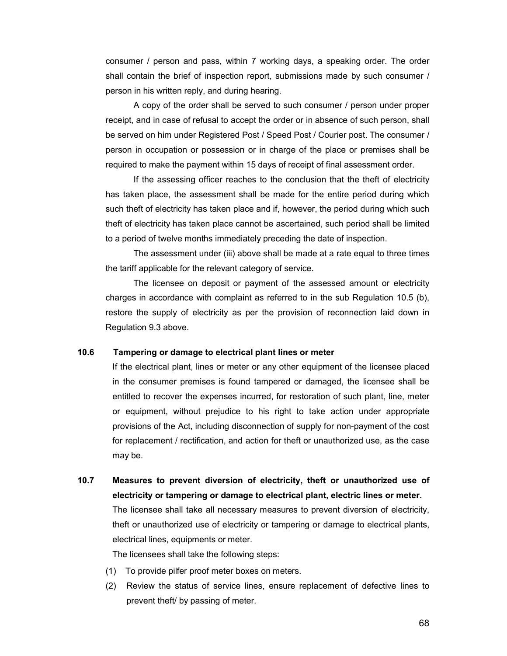consumer / person and pass, within 7 working days, a speaking order. The order shall contain the brief of inspection report, submissions made by such consumer / person in his written reply, and during hearing.

A copy of the order shall be served to such consumer / person under proper receipt, and in case of refusal to accept the order or in absence of such person, shall be served on him under Registered Post / Speed Post / Courier post. The consumer / person in occupation or possession or in charge of the place or premises shall be required to make the payment within 15 days of receipt of final assessment order.

If the assessing officer reaches to the conclusion that the theft of electricity has taken place, the assessment shall be made for the entire period during which such theft of electricity has taken place and if, however, the period during which such theft of electricity has taken place cannot be ascertained, such period shall be limited to a period of twelve months immediately preceding the date of inspection.

The assessment under (iii) above shall be made at a rate equal to three times the tariff applicable for the relevant category of service.

The licensee on deposit or payment of the assessed amount or electricity charges in accordance with complaint as referred to in the sub Regulation 10.5 (b), restore the supply of electricity as per the provision of reconnection laid down in Regulation 9.3 above.

#### **10.6****Tampering or damage to electrical plant lines or meter**

If the electrical plant, lines or meter or any other equipment of the licensee placed in the consumer premises is found tampered or damaged, the licensee shall be entitled to recover the expenses incurred, for restoration of such plant, line, meter or equipment, without prejudice to his right to take action under appropriate provisions of the Act, including disconnection of supply for non-payment of the cost for replacement / rectification, and action for theft or unauthorized use, as the case may be.

**10.7 Measures to prevent diversion of electricity, theft or unauthorized use of electricity or tampering or damage to electrical plant, electric lines or meter.** The licensee shall take all necessary measures to prevent diversion of electricity, theft or unauthorized use of electricity or tampering or damage to electrical plants, electrical lines, equipments or meter.

The licensees shall take the following steps:

- (1) To provide pilfer proof meter boxes on meters.
- (2) Review the status of service lines, ensure replacement of defective lines to prevent theft/ by passing of meter.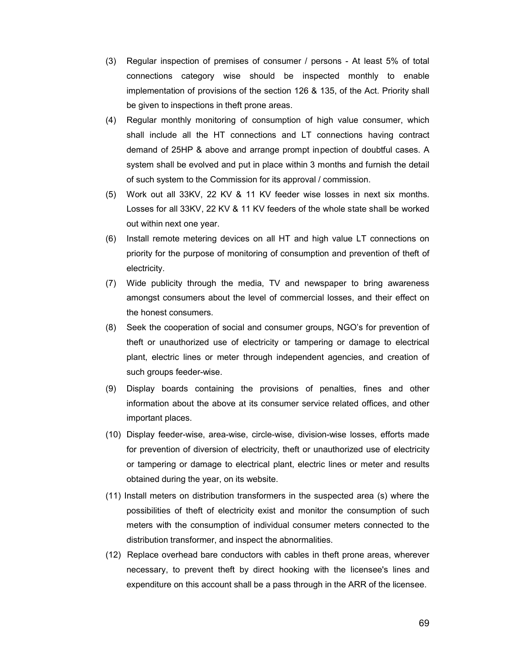- (3) Regular inspection of premises of consumer / persons At least 5% of total connections category wise should be inspected monthly to enable implementation of provisions of the section 126 & 135, of the Act. Priority shall be given to inspections in theft prone areas.
- (4) Regular monthly monitoring of consumption of high value consumer, which shall include all the HT connections and LT connections having contract demand of 25HP & above and arrange prompt inpection of doubtful cases. A system shall be evolved and put in place within 3 months and furnish the detail of such system to the Commission for its approval / commission.
- (5) Work out all 33KV, 22 KV & 11 KV feeder wise losses in next six months. Losses for all 33KV, 22 KV & 11 KV feeders of the whole state shall be worked out within next one year.
- (6) Install remote metering devices on all HT and high value LT connections on priority for the purpose of monitoring of consumption and prevention of theft of electricity.
- (7) Wide publicity through the media, TV and newspaper to bring awareness amongst consumers about the level of commercial losses, and their effect on the honest consumers.
- (8) Seek the cooperation of social and consumer groups, NGO's for prevention of theft or unauthorized use of electricity or tampering or damage to electrical plant, electric lines or meter through independent agencies, and creation of such groups feeder-wise.
- (9) Display boards containing the provisions of penalties, fines and other information about the above at its consumer service related offices, and other important places.
- (10) Display feeder-wise, area-wise, circle-wise, division-wise losses, efforts made for prevention of diversion of electricity, theft or unauthorized use of electricity or tampering or damage to electrical plant, electric lines or meter and results obtained during the year, on its website.
- (11) Install meters on distribution transformers in the suspected area (s) where the possibilities of theft of electricity exist and monitor the consumption of such meters with the consumption of individual consumer meters connected to the distribution transformer, and inspect the abnormalities.
- (12) Replace overhead bare conductors with cables in theft prone areas, wherever necessary, to prevent theft by direct hooking with the licensee's lines and expenditure on this account shall be a pass through in the ARR of the licensee.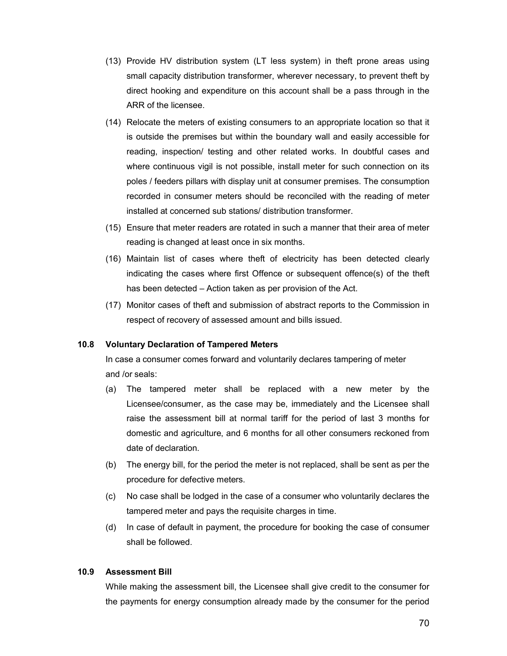- (13) Provide HV distribution system (LT less system) in theft prone areas using small capacity distribution transformer, wherever necessary, to prevent theft by direct hooking and expenditure on this account shall be a pass through in the ARR of the licensee.
- (14) Relocate the meters of existing consumers to an appropriate location so that it is outside the premises but within the boundary wall and easily accessible for reading, inspection/ testing and other related works. In doubtful cases and where continuous vigil is not possible, install meter for such connection on its poles / feeders pillars with display unit at consumer premises. The consumption recorded in consumer meters should be reconciled with the reading of meter installed at concerned sub stations/ distribution transformer.
- (15) Ensure that meter readers are rotated in such a manner that their area of meter reading is changed at least once in six months.
- (16) Maintain list of cases where theft of electricity has been detected clearly indicating the cases where first Offence or subsequent offence(s) of the theft has been detected – Action taken as per provision of the Act.
- (17) Monitor cases of theft and submission of abstract reports to the Commission in respect of recovery of assessed amount and bills issued.

## **10.8 Voluntary Declaration of Tampered Meters**

In case a consumer comes forward and voluntarily declares tampering of meter and /or seals:

- (a) The tampered meter shall be replaced with a new meter by the Licensee/consumer, as the case may be, immediately and the Licensee shall raise the assessment bill at normal tariff for the period of last 3 months for domestic and agriculture, and 6 months for all other consumers reckoned from date of declaration.
- (b) The energy bill, for the period the meter is not replaced, shall be sent as per the procedure for defective meters.
- (c) No case shall be lodged in the case of a consumer who voluntarily declares the tampered meter and pays the requisite charges in time.
- (d) In case of default in payment, the procedure for booking the case of consumer shall be followed.

## **10.9 Assessment Bill**

While making the assessment bill, the Licensee shall give credit to the consumer for the payments for energy consumption already made by the consumer for the period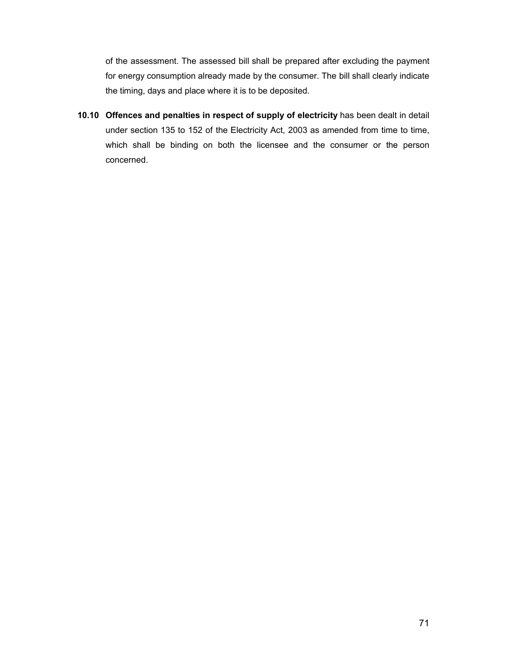of the assessment. The assessed bill shall be prepared after excluding the payment for energy consumption already made by the consumer. The bill shall clearly indicate the timing, days and place where it is to be deposited.

**10.10 Offences and penalties in respect of supply of electricity** has been dealt in detail under section 135 to 152 of the Electricity Act, 2003 as amended from time to time, which shall be binding on both the licensee and the consumer or the person concerned.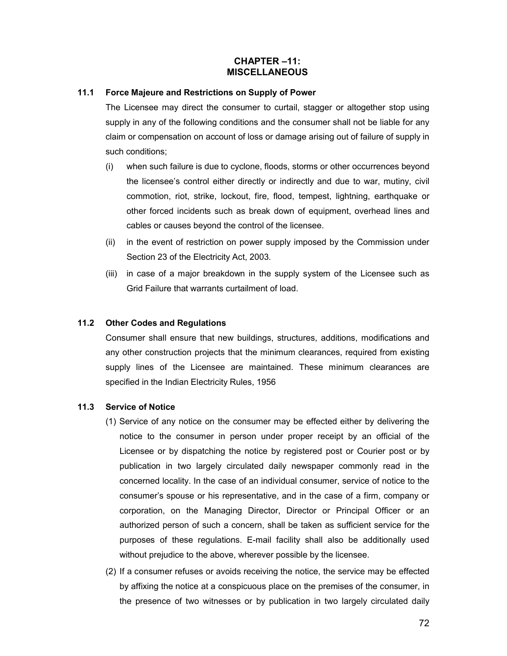# **CHAPTER –11: MISCELLANEOUS**

# **11.1 Force Majeure and Restrictions on Supply of Power**

The Licensee may direct the consumer to curtail, stagger or altogether stop using supply in any of the following conditions and the consumer shall not be liable for any claim or compensation on account of loss or damage arising out of failure of supply in such conditions;

- (i) when such failure is due to cyclone, floods, storms or other occurrences beyond the licensee's control either directly or indirectly and due to war, mutiny, civil commotion, riot, strike, lockout, fire, flood, tempest, lightning, earthquake or other forced incidents such as break down of equipment, overhead lines and cables or causes beyond the control of the licensee.
- (ii) in the event of restriction on power supply imposed by the Commission under Section 23 of the Electricity Act, 2003.
- (iii) in case of a major breakdown in the supply system of the Licensee such as Grid Failure that warrants curtailment of load.

# **11.2 Other Codes and Regulations**

Consumer shall ensure that new buildings, structures, additions, modifications and any other construction projects that the minimum clearances, required from existing supply lines of the Licensee are maintained. These minimum clearances are specified in the Indian Electricity Rules, 1956

## **11.3 Service of Notice**

- (1) Service of any notice on the consumer may be effected either by delivering the notice to the consumer in person under proper receipt by an official of the Licensee or by dispatching the notice by registered post or Courier post or by publication in two largely circulated daily newspaper commonly read in the concerned locality. In the case of an individual consumer, service of notice to the consumer's spouse or his representative, and in the case of a firm, company or corporation, on the Managing Director, Director or Principal Officer or an authorized person of such a concern, shall be taken as sufficient service for the purposes of these regulations. E-mail facility shall also be additionally used without prejudice to the above, wherever possible by the licensee.
- (2) If a consumer refuses or avoids receiving the notice, the service may be effected by affixing the notice at a conspicuous place on the premises of the consumer, in the presence of two witnesses or by publication in two largely circulated daily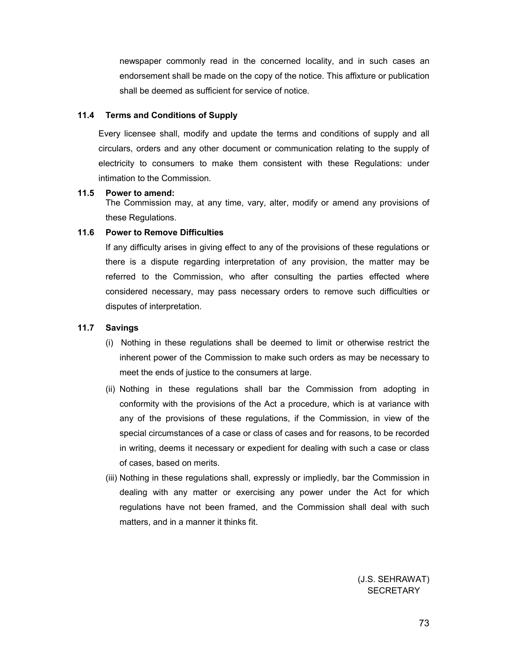newspaper commonly read in the concerned locality, and in such cases an endorsement shall be made on the copy of the notice. This affixture or publication shall be deemed as sufficient for service of notice.

### **11.4 Terms and Conditions of Supply**

Every licensee shall, modify and update the terms and conditions of supply and all circulars, orders and any other document or communication relating to the supply of electricity to consumers to make them consistent with these Regulations: under intimation to the Commission.

### **11.5 Power to amend:**

The Commission may, at any time, vary, alter, modify or amend any provisions of these Regulations.

### **11.6 Power to Remove Difficulties**

If any difficulty arises in giving effect to any of the provisions of these regulations or there is a dispute regarding interpretation of any provision, the matter may be referred to the Commission, who after consulting the parties effected where considered necessary, may pass necessary orders to remove such difficulties or disputes of interpretation.

## **11.7 Savings**

- (i) Nothing in these regulations shall be deemed to limit or otherwise restrict the inherent power of the Commission to make such orders as may be necessary to meet the ends of justice to the consumers at large.
- (ii) Nothing in these regulations shall bar the Commission from adopting in conformity with the provisions of the Act a procedure, which is at variance with any of the provisions of these regulations, if the Commission, in view of the special circumstances of a case or class of cases and for reasons, to be recorded in writing, deems it necessary or expedient for dealing with such a case or class of cases, based on merits.
- (iii) Nothing in these regulations shall, expressly or impliedly, bar the Commission in dealing with any matter or exercising any power under the Act for which regulations have not been framed, and the Commission shall deal with such matters, and in a manner it thinks fit.

(J.S. SEHRAWAT) **SECRETARY**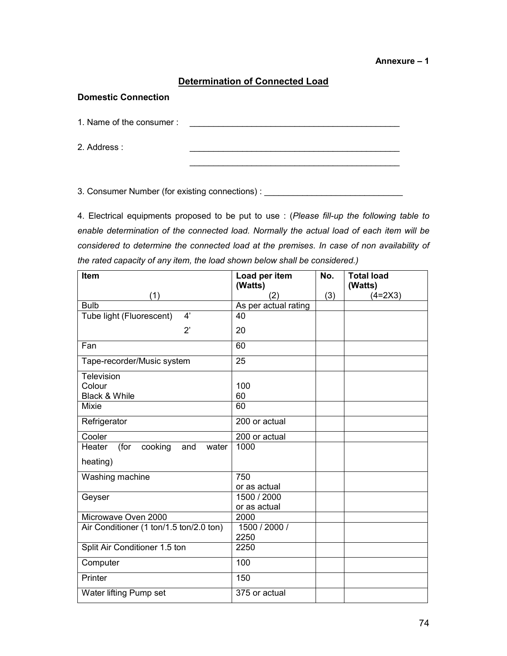# **Determination of Connected Load**

### **Domestic Connection**

1. Name of the consumer : \_\_\_\_\_\_\_\_\_\_\_\_\_\_\_\_\_\_\_\_\_\_\_\_\_\_\_\_\_\_\_\_\_\_\_\_\_\_\_\_\_\_\_\_

2. Address :

3. Consumer Number (for existing connections) : \_\_\_\_\_\_\_\_\_\_\_\_\_\_\_\_\_\_\_\_\_\_\_\_\_\_\_\_\_\_\_\_

4. Electrical equipments proposed to be put to use : (*Please fill-up the following table to enable determination of the connected load. Normally the actual load of each item will be considered to determine the connected load at the premises. In case of non availability of the rated capacity of any item, the load shown below shall be considered.)*

\_\_\_\_\_\_\_\_\_\_\_\_\_\_\_\_\_\_\_\_\_\_\_\_\_\_\_\_\_\_\_\_\_\_\_\_\_\_\_\_\_\_\_\_

| Item                                      | Load per item        | No. | <b>Total load</b> |
|-------------------------------------------|----------------------|-----|-------------------|
|                                           | (Watts)              |     | (Watts)           |
| (1)                                       | (2)                  | (3) | $(4=2X3)$         |
| <b>Bulb</b>                               | As per actual rating |     |                   |
| 4'<br>Tube light (Fluorescent)            | 40                   |     |                   |
| $2^{\prime}$                              | 20                   |     |                   |
| Fan                                       | 60                   |     |                   |
| Tape-recorder/Music system                | 25                   |     |                   |
| Television                                |                      |     |                   |
| Colour                                    | 100                  |     |                   |
| Black & While                             | 60                   |     |                   |
| <b>Mixie</b>                              | 60                   |     |                   |
| Refrigerator                              | 200 or actual        |     |                   |
| Cooler                                    | 200 or actual        |     |                   |
| (for<br>cooking<br>Heater<br>and<br>water | 1000                 |     |                   |
| heating)                                  |                      |     |                   |
| Washing machine                           | 750                  |     |                   |
|                                           | or as actual         |     |                   |
| Geyser                                    | 1500 / 2000          |     |                   |
|                                           | or as actual         |     |                   |
| Microwave Oven 2000                       | 2000                 |     |                   |
| Air Conditioner (1 ton/1.5 ton/2.0 ton)   | 1500 / 2000 /        |     |                   |
|                                           | 2250                 |     |                   |
| Split Air Conditioner 1.5 ton             | 2250                 |     |                   |
| Computer                                  | 100                  |     |                   |
| Printer                                   | 150                  |     |                   |
| Water lifting Pump set                    | 375 or actual        |     |                   |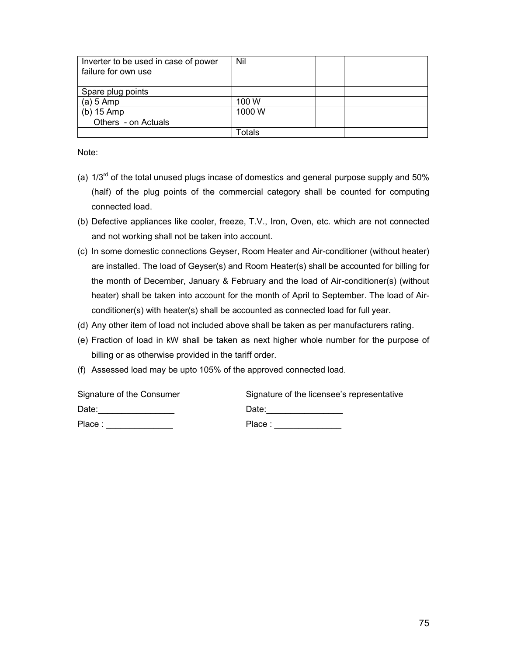| Inverter to be used in case of power<br>failure for own use | <b>Nil</b> |  |
|-------------------------------------------------------------|------------|--|
|                                                             |            |  |
| Spare plug points                                           |            |  |
| $(a) 5$ Amp                                                 | 100 W      |  |
| $(b)$ 15 Amp                                                | 1000W      |  |
| Others - on Actuals                                         |            |  |
|                                                             | Totals     |  |

Note:

- (a)  $1/3^{rd}$  of the total unused plugs incase of domestics and general purpose supply and 50% (half) of the plug points of the commercial category shall be counted for computing connected load.
- (b) Defective appliances like cooler, freeze, T.V., Iron, Oven, etc. which are not connected and not working shall not be taken into account.
- (c) In some domestic connections Geyser, Room Heater and Air-conditioner (without heater) are installed. The load of Geyser(s) and Room Heater(s) shall be accounted for billing for the month of December, January & February and the load of Air-conditioner(s) (without heater) shall be taken into account for the month of April to September. The load of Airconditioner(s) with heater(s) shall be accounted as connected load for full year.
- (d) Any other item of load not included above shall be taken as per manufacturers rating.
- (e) Fraction of load in kW shall be taken as next higher whole number for the purpose of billing or as otherwise provided in the tariff order.
- (f) Assessed load may be upto 105% of the approved connected load.

| Signature of the Consumer | Signature of the licensee's representative |  |  |
|---------------------------|--------------------------------------------|--|--|
| Date:                     | Date:                                      |  |  |
| Place:                    | Place:                                     |  |  |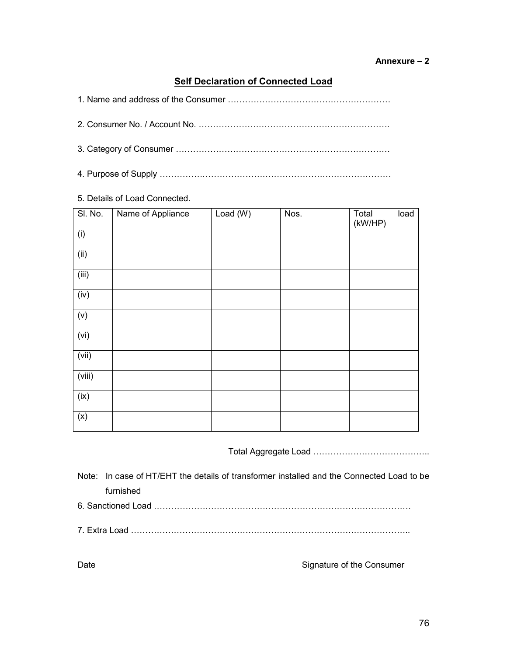# **Self Declaration of Connected Load**

2. Consumer No. / Account No. ………………………………………………………….

- 3. Category of Consumer …………………………………………………………………
- 4. Purpose of Supply ………………………………………………………………………

# 5. Details of Load Connected.

| SI. No. | Name of Appliance | Load $(W)$ | Nos. | Total<br>(kW/HP) | load |
|---------|-------------------|------------|------|------------------|------|
| (i)     |                   |            |      |                  |      |
| (i)     |                   |            |      |                  |      |
| (iii)   |                   |            |      |                  |      |
| (iv)    |                   |            |      |                  |      |
| (v)     |                   |            |      |                  |      |
| (vi)    |                   |            |      |                  |      |
| (vii)   |                   |            |      |                  |      |
| (viii)  |                   |            |      |                  |      |
| (ix)    |                   |            |      |                  |      |
| (x)     |                   |            |      |                  |      |

Total Aggregate Load …………………………………..

Note: In case of HT/EHT the details of transformer installed and the Connected Load to be furnished

- 6. Sanctioned Load ………………………………………………………………………………
- 7. Extra Load ……………………………………………………………………………………..

Date **Signature of the Consumer**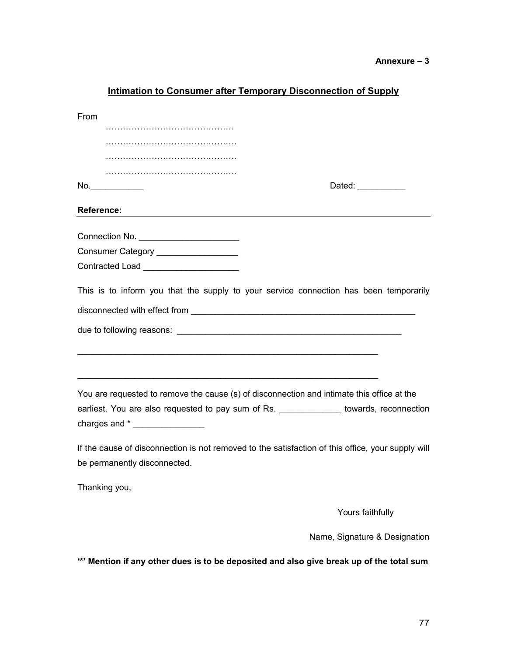| intimation to Consumer after Temporary Disconnection of Supply                                                                    |                               |
|-----------------------------------------------------------------------------------------------------------------------------------|-------------------------------|
| From                                                                                                                              |                               |
|                                                                                                                                   |                               |
|                                                                                                                                   |                               |
|                                                                                                                                   |                               |
|                                                                                                                                   |                               |
| No.                                                                                                                               | Dated: ___________            |
| <b>Reference:</b>                                                                                                                 |                               |
|                                                                                                                                   |                               |
| Consumer Category __________________                                                                                              |                               |
| Contracted Load ________________________                                                                                          |                               |
| This is to inform you that the supply to your service connection has been temporarily                                             |                               |
|                                                                                                                                   |                               |
|                                                                                                                                   |                               |
| You are requested to remove the cause (s) of disconnection and intimate this office at the                                        |                               |
| earliest. You are also requested to pay sum of Rs. ______________ towards, reconnection                                           |                               |
|                                                                                                                                   |                               |
| If the cause of disconnection is not removed to the satisfaction of this office, your supply will<br>be permanently disconnected. |                               |
| Thanking you,                                                                                                                     |                               |
|                                                                                                                                   | Yours faithfully              |
|                                                                                                                                   | Name, Signature & Designation |
| " Mention if any other dues is to be deposited and also give break up of the total sum                                            |                               |

# **Intimation to Consumer after Temporary Disconnection of Supply**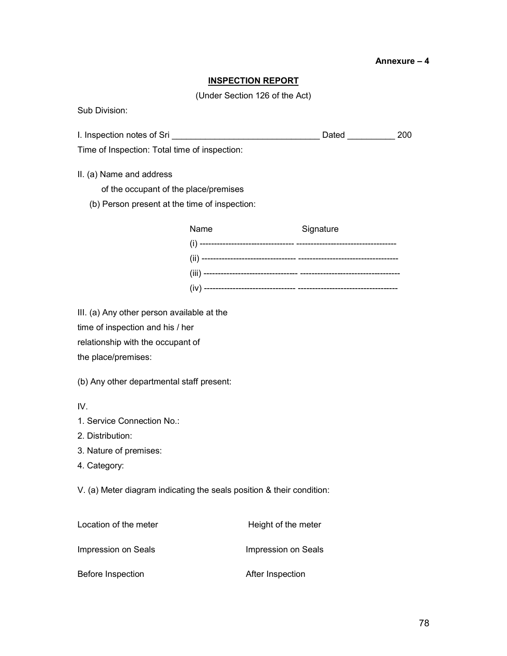#### **INSPECTION REPORT**

(Under Section 126 of the Act)

Sub Division:

I. Inspection notes of Sri \_\_\_\_\_\_\_\_\_\_\_\_\_\_\_\_\_\_\_\_\_\_\_\_\_\_\_\_\_\_\_ Dated \_\_\_\_\_\_\_\_\_\_ 200

Time of Inspection: Total time of inspection:

II. (a) Name and address

of the occupant of the place/premises

(b) Person present at the time of inspection:

| Name | Signature |
|------|-----------|
|      |           |
|      |           |
|      |           |
|      |           |

III. (a) Any other person available at the time of inspection and his / her relationship with the occupant of the place/premises:

(b) Any other departmental staff present:

IV.

1. Service Connection No.:

2. Distribution:

3. Nature of premises:

4. Category:

V. (a) Meter diagram indicating the seals position & their condition:

| Location of the meter | Height of the meter |
|-----------------------|---------------------|
| Impression on Seals   | Impression on Seals |
| Before Inspection     | After Inspection    |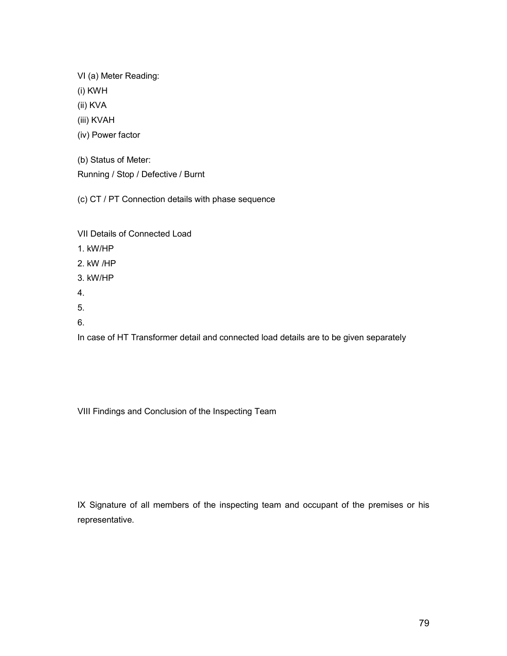VI (a) Meter Reading:

(i) KWH

(ii) KVA

(iii) KVAH

(iv) Power factor

(b) Status of Meter:

Running / Stop / Defective / Burnt

(c) CT / PT Connection details with phase sequence

VII Details of Connected Load

1. kW/HP

2. kW /HP

3. kW/HP

4.

5.

6.

In case of HT Transformer detail and connected load details are to be given separately

VIII Findings and Conclusion of the Inspecting Team

IX Signature of all members of the inspecting team and occupant of the premises or his representative.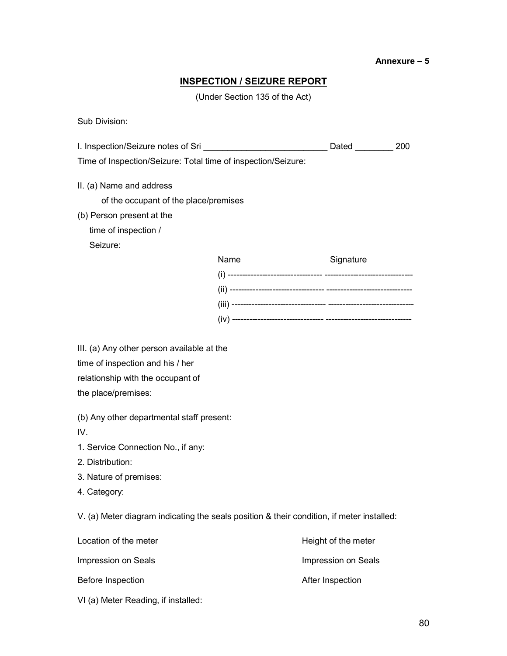### **INSPECTION / SEIZURE REPORT**

(Under Section 135 of the Act)

Sub Division:

| I. Inspection/Seizure notes of Sri __________________________________ Dated _________ |      |           | 200 |
|---------------------------------------------------------------------------------------|------|-----------|-----|
| Time of Inspection/Seizure: Total time of inspection/Seizure:                         |      |           |     |
| II. (a) Name and address                                                              |      |           |     |
| of the occupant of the place/premises                                                 |      |           |     |
| (b) Person present at the                                                             |      |           |     |
| time of inspection /                                                                  |      |           |     |
| Seizure:                                                                              |      |           |     |
|                                                                                       | Name | Signature |     |
|                                                                                       |      |           |     |
|                                                                                       |      |           |     |
|                                                                                       |      |           |     |
|                                                                                       |      |           |     |
| III. (a) Any other person available at the                                            |      |           |     |
| time of inspection and his / her                                                      |      |           |     |
| relationship with the occupant of                                                     |      |           |     |
| the place/premises:                                                                   |      |           |     |
| (b) Any other departmental staff present:                                             |      |           |     |
| IV.                                                                                   |      |           |     |
| 1. Service Connection No., if any:                                                    |      |           |     |

- 2. Distribution:
- 3. Nature of premises:
- 4. Category:

V. (a) Meter diagram indicating the seals position & their condition, if meter installed:

| Location of the meter               | Height of the meter |
|-------------------------------------|---------------------|
| Impression on Seals                 | Impression on Seals |
| Before Inspection                   | After Inspection    |
| VI (a) Meter Reading, if installed: |                     |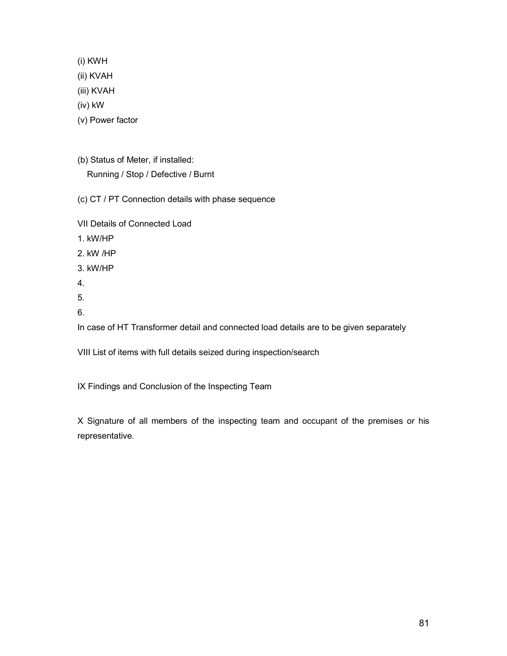(i) KWH

(ii) KVAH

(iii) KVAH

(iv) kW

- (v) Power factor
- (b) Status of Meter, if installed: Running / Stop / Defective / Burnt
- (c) CT / PT Connection details with phase sequence
- VII Details of Connected Load
- 1. kW/HP
- 2. kW /HP
- 3. kW/HP
- 4.
- 5.
- 6.

In case of HT Transformer detail and connected load details are to be given separately

VIII List of items with full details seized during inspection/search

IX Findings and Conclusion of the Inspecting Team

X Signature of all members of the inspecting team and occupant of the premises or his representative.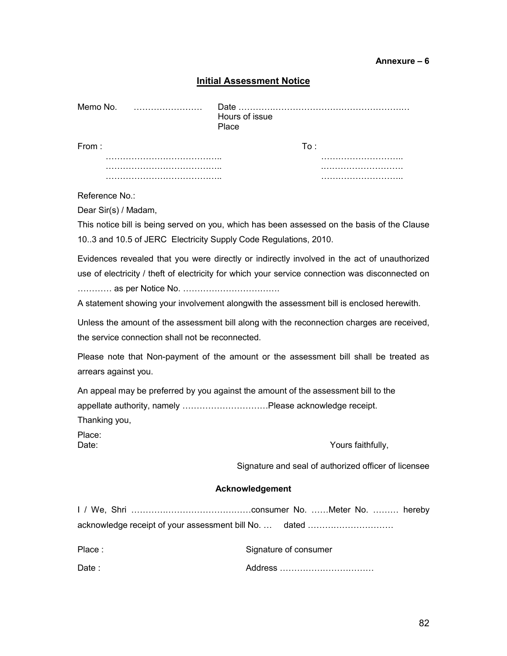### **Initial Assessment Notice**

| Memo No. | Date<br>Hours of issue<br>Place |  |
|----------|---------------------------------|--|
| From:    | T∩∸                             |  |
|          |                                 |  |
|          |                                 |  |
|          |                                 |  |

Reference No.:

Dear Sir(s) / Madam,

This notice bill is being served on you, which has been assessed on the basis of the Clause 10..3 and 10.5 of JERC Electricity Supply Code Regulations, 2010.

Evidences revealed that you were directly or indirectly involved in the act of unauthorized use of electricity / theft of electricity for which your service connection was disconnected on ………… as per Notice No. …………………………….

A statement showing your involvement alongwith the assessment bill is enclosed herewith.

Unless the amount of the assessment bill along with the reconnection charges are received, the service connection shall not be reconnected.

Please note that Non-payment of the amount or the assessment bill shall be treated as arrears against you.

An appeal may be preferred by you against the amount of the assessment bill to the appellate authority, namely …………………………Please acknowledge receipt. Thanking you,

Place:

Date:  $\blacksquare$  Yours faithfully,

Signature and seal of authorized officer of licensee

#### **Acknowledgement**

|        | acknowledge receipt of your assessment bill No.  dated |
|--------|--------------------------------------------------------|
| Place: | Signature of consumer                                  |
| Date : |                                                        |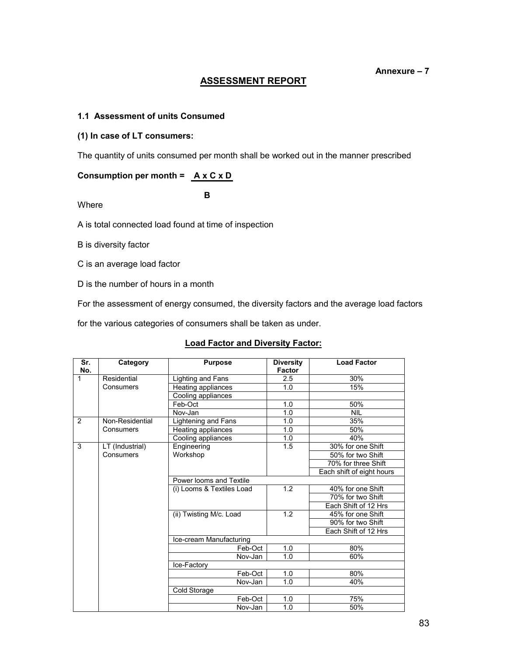# **ASSESSMENT REPORT**

### **1.1 Assessment of units Consumed**

#### **(1) In case of LT consumers:**

The quantity of units consumed per month shall be worked out in the manner prescribed

### **Consumption per month = A x C x D**

 **B**

Where

A is total connected load found at time of inspection

B is diversity factor

C is an average load factor

D is the number of hours in a month

For the assessment of energy consumed, the diversity factors and the average load factors

for the various categories of consumers shall be taken as under.

#### **Load Factor and Diversity Factor:**

| Sr.<br>No. | Category        | <b>Purpose</b>            | <b>Diversity</b><br><b>Factor</b> | <b>Load Factor</b>        |  |
|------------|-----------------|---------------------------|-----------------------------------|---------------------------|--|
| 1          | Residential     | Lighting and Fans         | 2.5                               | 30%                       |  |
|            | Consumers       | Heating appliances        | 1.0                               | 15%                       |  |
|            |                 | Cooling appliances        |                                   |                           |  |
|            |                 | Feb-Oct                   | 1.0                               | 50%                       |  |
|            |                 | Nov-Jan                   | 1.0                               | <b>NIL</b>                |  |
| 2          | Non-Residential | Lightening and Fans       | 1.0                               | 35%                       |  |
|            | Consumers       | Heating appliances        | 1.0                               | 50%                       |  |
|            |                 | Cooling appliances        | 1.0                               | 40%                       |  |
| 3          | LT (Industrial) | Engineering               | 1.5                               | 30% for one Shift         |  |
|            | Consumers       | Workshop                  |                                   | 50% for two Shift         |  |
|            |                 |                           |                                   | 70% for three Shift       |  |
|            |                 |                           |                                   | Each shift of eight hours |  |
|            |                 | Power looms and Textile   |                                   |                           |  |
|            |                 | (i) Looms & Textiles Load | 1.2                               | 40% for one Shift         |  |
|            |                 |                           |                                   | 70% for two Shift         |  |
|            |                 |                           |                                   | Each Shift of 12 Hrs      |  |
|            |                 | (ii) Twisting M/c. Load   | 1.2                               | 45% for one Shift         |  |
|            |                 |                           |                                   | 90% for two Shift         |  |
|            |                 |                           |                                   | Each Shift of 12 Hrs      |  |
|            |                 | Ice-cream Manufacturing   |                                   |                           |  |
|            |                 | Feb-Oct                   | 1.0                               | 80%                       |  |
|            |                 | Nov-Jan                   | 1.0                               | 60%                       |  |
|            |                 |                           |                                   |                           |  |
|            |                 | Feb-Oct                   | 1.0                               | 80%                       |  |
|            |                 | Nov-Jan                   | 1.0                               | 40%                       |  |
|            |                 |                           |                                   |                           |  |
|            |                 | Feb-Oct                   | 1.0                               | 75%                       |  |
|            |                 | Nov-Jan                   | 1.0                               | 50%                       |  |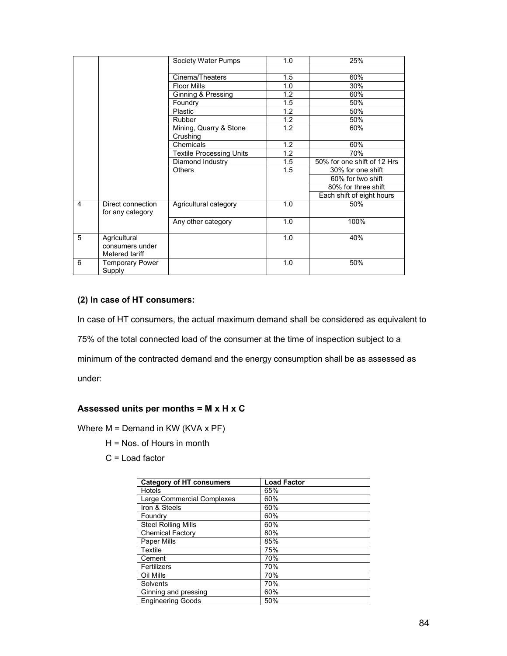|   |                                                   | Society Water Pumps                | 1.0 | 25%                         |
|---|---------------------------------------------------|------------------------------------|-----|-----------------------------|
|   |                                                   |                                    |     |                             |
|   |                                                   | Cinema/Theaters                    | 1.5 | 60%                         |
|   |                                                   | <b>Floor Mills</b>                 | 1.0 | 30%                         |
|   |                                                   | Ginning & Pressing                 | 1.2 | 60%                         |
|   |                                                   | Foundry                            | 1.5 | 50%                         |
|   |                                                   | Plastic                            | 1.2 | 50%                         |
|   |                                                   | <b>Rubber</b>                      | 1.2 | 50%                         |
|   |                                                   | Mining, Quarry & Stone<br>Crushing | 1.2 | 60%                         |
|   |                                                   | Chemicals                          | 1.2 | 60%                         |
|   |                                                   | <b>Textile Processing Units</b>    | 1.2 | 70%                         |
|   |                                                   | Diamond Industry                   | 1.5 | 50% for one shift of 12 Hrs |
|   |                                                   | <b>Others</b>                      | 1.5 | 30% for one shift           |
|   |                                                   |                                    |     | 60% for two shift           |
|   |                                                   |                                    |     | 80% for three shift         |
|   |                                                   |                                    |     | Each shift of eight hours   |
| 4 | Direct connection<br>for any category             | Agricultural category              | 1.0 | 50%                         |
|   |                                                   | Any other category                 | 1.0 | 100%                        |
| 5 | Agricultural<br>consumers under<br>Metered tariff |                                    | 1.0 | 40%                         |
| 6 | Temporary Power<br>Supply                         |                                    | 1.0 | 50%                         |

### **(2) In case of HT consumers:**

In case of HT consumers, the actual maximum demand shall be considered as equivalent to 75% of the total connected load of the consumer at the time of inspection subject to a minimum of the contracted demand and the energy consumption shall be as assessed as under:

# **Assessed units per months = M x H x C**

Where  $M =$  Demand in KW (KVA x PF)

- H = Nos. of Hours in month
- C = Load factor

| <b>Category of HT consumers</b> | <b>Load Factor</b> |
|---------------------------------|--------------------|
| Hotels                          | 65%                |
| Large Commercial Complexes      | 60%                |
| Iron & Steels                   | 60%                |
| Foundry                         | 60%                |
| <b>Steel Rolling Mills</b>      | 60%                |
| <b>Chemical Factory</b>         | 80%                |
| <b>Paper Mills</b>              | 85%                |
| Textile                         | 75%                |
| Cement                          | 70%                |
| Fertilizers                     | 70%                |
| Oil Mills                       | 70%                |
| Solvents                        | 70%                |
| Ginning and pressing            | 60%                |
| <b>Engineering Goods</b>        | 50%                |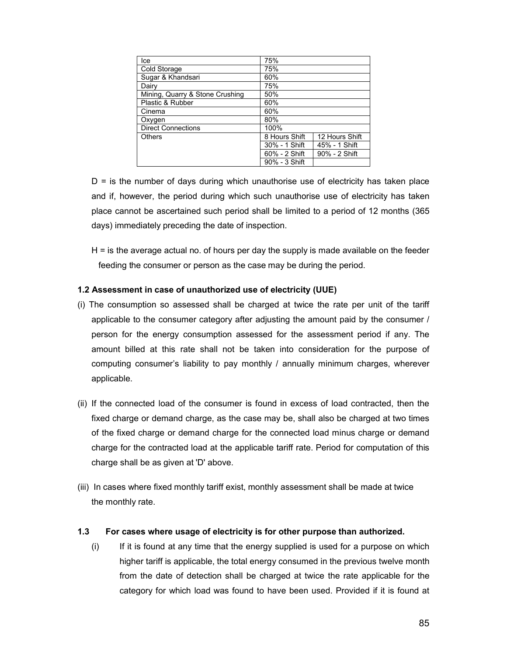| Ice                             | 75%           |                |  |
|---------------------------------|---------------|----------------|--|
| Cold Storage                    | 75%           |                |  |
| Sugar & Khandsari               | 60%           |                |  |
| Dairy                           | 75%           |                |  |
| Mining, Quarry & Stone Crushing | 50%           |                |  |
| Plastic & Rubber                | 60%           |                |  |
| Cinema                          | 60%           |                |  |
| Oxygen                          | 80%           |                |  |
| <b>Direct Connections</b>       | 100%          |                |  |
| Others                          | 8 Hours Shift | 12 Hours Shift |  |
|                                 | 30% - 1 Shift | 45% - 1 Shift  |  |
|                                 | 60% - 2 Shift | 90% - 2 Shift  |  |
|                                 | 90% - 3 Shift |                |  |

 $D =$  is the number of days during which unauthorise use of electricity has taken place and if, however, the period during which such unauthorise use of electricity has taken place cannot be ascertained such period shall be limited to a period of 12 months (365 days) immediately preceding the date of inspection.

H = is the average actual no. of hours per day the supply is made available on the feeder feeding the consumer or person as the case may be during the period.

### **1.2 Assessment in case of unauthorized use of electricity (UUE)**

- (i) The consumption so assessed shall be charged at twice the rate per unit of the tariff applicable to the consumer category after adjusting the amount paid by the consumer / person for the energy consumption assessed for the assessment period if any. The amount billed at this rate shall not be taken into consideration for the purpose of computing consumer's liability to pay monthly / annually minimum charges, wherever applicable.
- (ii) If the connected load of the consumer is found in excess of load contracted, then the fixed charge or demand charge, as the case may be, shall also be charged at two times of the fixed charge or demand charge for the connected load minus charge or demand charge for the contracted load at the applicable tariff rate. Period for computation of this charge shall be as given at 'D' above.
- (iii) In cases where fixed monthly tariff exist, monthly assessment shall be made at twice the monthly rate.

### **1.3 For cases where usage of electricity is for other purpose than authorized.**

(i) If it is found at any time that the energy supplied is used for a purpose on which higher tariff is applicable, the total energy consumed in the previous twelve month from the date of detection shall be charged at twice the rate applicable for the category for which load was found to have been used. Provided if it is found at